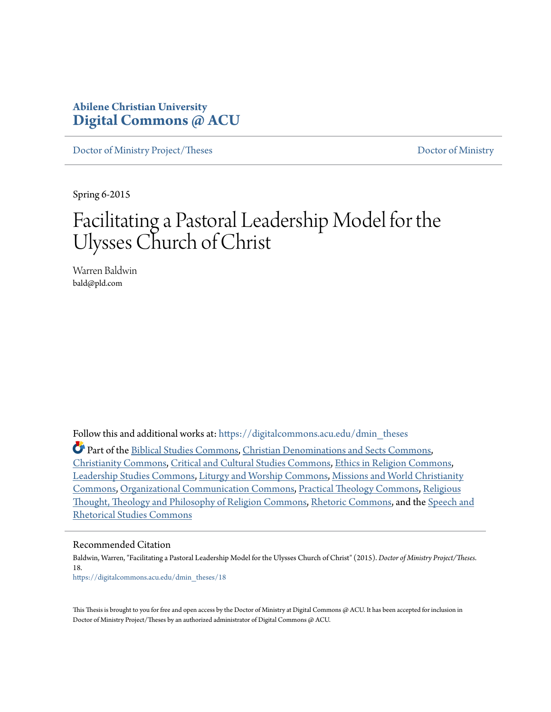# **Abilene Christian University [Digital Commons @ ACU](https://digitalcommons.acu.edu?utm_source=digitalcommons.acu.edu%2Fdmin_theses%2F18&utm_medium=PDF&utm_campaign=PDFCoverPages)**

[Doctor of Ministry Project/Theses](https://digitalcommons.acu.edu/dmin_theses?utm_source=digitalcommons.acu.edu%2Fdmin_theses%2F18&utm_medium=PDF&utm_campaign=PDFCoverPages) [Doctor of Ministry](https://digitalcommons.acu.edu/dmin?utm_source=digitalcommons.acu.edu%2Fdmin_theses%2F18&utm_medium=PDF&utm_campaign=PDFCoverPages)

Spring 6-2015

# Facilitating a Pastoral Leadership Model for the Ulysses Church of Christ

Warren Baldwin bald@pld.com

Follow this and additional works at: [https://digitalcommons.acu.edu/dmin\\_theses](https://digitalcommons.acu.edu/dmin_theses?utm_source=digitalcommons.acu.edu%2Fdmin_theses%2F18&utm_medium=PDF&utm_campaign=PDFCoverPages)

Part of the [Biblical Studies Commons,](http://network.bepress.com/hgg/discipline/539?utm_source=digitalcommons.acu.edu%2Fdmin_theses%2F18&utm_medium=PDF&utm_campaign=PDFCoverPages) [Christian Denominations and Sects Commons](http://network.bepress.com/hgg/discipline/1184?utm_source=digitalcommons.acu.edu%2Fdmin_theses%2F18&utm_medium=PDF&utm_campaign=PDFCoverPages), [Christianity Commons](http://network.bepress.com/hgg/discipline/1181?utm_source=digitalcommons.acu.edu%2Fdmin_theses%2F18&utm_medium=PDF&utm_campaign=PDFCoverPages), [Critical and Cultural Studies Commons,](http://network.bepress.com/hgg/discipline/328?utm_source=digitalcommons.acu.edu%2Fdmin_theses%2F18&utm_medium=PDF&utm_campaign=PDFCoverPages) [Ethics in Religion Commons,](http://network.bepress.com/hgg/discipline/541?utm_source=digitalcommons.acu.edu%2Fdmin_theses%2F18&utm_medium=PDF&utm_campaign=PDFCoverPages) [Leadership Studies Commons](http://network.bepress.com/hgg/discipline/1250?utm_source=digitalcommons.acu.edu%2Fdmin_theses%2F18&utm_medium=PDF&utm_campaign=PDFCoverPages), [Liturgy and Worship Commons](http://network.bepress.com/hgg/discipline/1188?utm_source=digitalcommons.acu.edu%2Fdmin_theses%2F18&utm_medium=PDF&utm_campaign=PDFCoverPages), [Missions and World Christianity](http://network.bepress.com/hgg/discipline/1187?utm_source=digitalcommons.acu.edu%2Fdmin_theses%2F18&utm_medium=PDF&utm_campaign=PDFCoverPages) [Commons,](http://network.bepress.com/hgg/discipline/1187?utm_source=digitalcommons.acu.edu%2Fdmin_theses%2F18&utm_medium=PDF&utm_campaign=PDFCoverPages) [Organizational Communication Commons](http://network.bepress.com/hgg/discipline/335?utm_source=digitalcommons.acu.edu%2Fdmin_theses%2F18&utm_medium=PDF&utm_campaign=PDFCoverPages), [Practical Theology Commons](http://network.bepress.com/hgg/discipline/1186?utm_source=digitalcommons.acu.edu%2Fdmin_theses%2F18&utm_medium=PDF&utm_campaign=PDFCoverPages), [Religious](http://network.bepress.com/hgg/discipline/544?utm_source=digitalcommons.acu.edu%2Fdmin_theses%2F18&utm_medium=PDF&utm_campaign=PDFCoverPages) [Thought, Theology and Philosophy of Religion Commons,](http://network.bepress.com/hgg/discipline/544?utm_source=digitalcommons.acu.edu%2Fdmin_theses%2F18&utm_medium=PDF&utm_campaign=PDFCoverPages) [Rhetoric Commons](http://network.bepress.com/hgg/discipline/575?utm_source=digitalcommons.acu.edu%2Fdmin_theses%2F18&utm_medium=PDF&utm_campaign=PDFCoverPages), and the [Speech and](http://network.bepress.com/hgg/discipline/338?utm_source=digitalcommons.acu.edu%2Fdmin_theses%2F18&utm_medium=PDF&utm_campaign=PDFCoverPages) [Rhetorical Studies Commons](http://network.bepress.com/hgg/discipline/338?utm_source=digitalcommons.acu.edu%2Fdmin_theses%2F18&utm_medium=PDF&utm_campaign=PDFCoverPages)

#### Recommended Citation

Baldwin, Warren, "Facilitating a Pastoral Leadership Model for the Ulysses Church of Christ" (2015). *Doctor of Ministry Project/Theses*. 18. [https://digitalcommons.acu.edu/dmin\\_theses/18](https://digitalcommons.acu.edu/dmin_theses/18?utm_source=digitalcommons.acu.edu%2Fdmin_theses%2F18&utm_medium=PDF&utm_campaign=PDFCoverPages)

This Thesis is brought to you for free and open access by the Doctor of Ministry at Digital Commons @ ACU. It has been accepted for inclusion in Doctor of Ministry Project/Theses by an authorized administrator of Digital Commons @ ACU.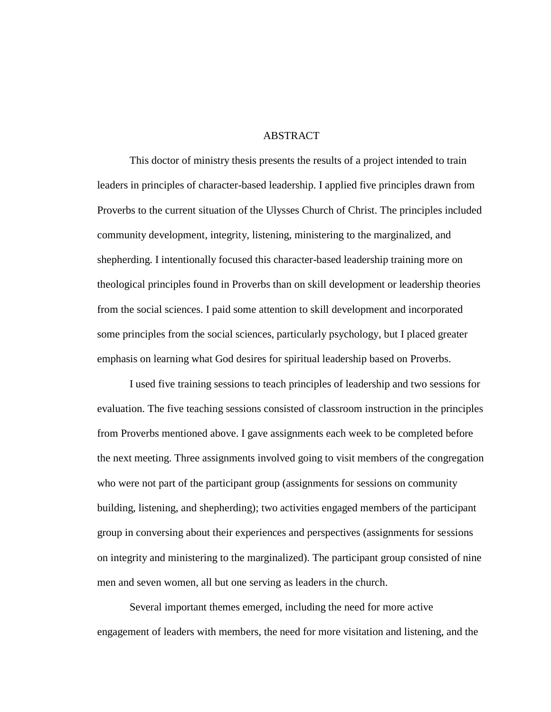### ABSTRACT

This doctor of ministry thesis presents the results of a project intended to train leaders in principles of character-based leadership. I applied five principles drawn from Proverbs to the current situation of the Ulysses Church of Christ. The principles included community development, integrity, listening, ministering to the marginalized, and shepherding. I intentionally focused this character-based leadership training more on theological principles found in Proverbs than on skill development or leadership theories from the social sciences. I paid some attention to skill development and incorporated some principles from the social sciences, particularly psychology, but I placed greater emphasis on learning what God desires for spiritual leadership based on Proverbs.

I used five training sessions to teach principles of leadership and two sessions for evaluation. The five teaching sessions consisted of classroom instruction in the principles from Proverbs mentioned above. I gave assignments each week to be completed before the next meeting. Three assignments involved going to visit members of the congregation who were not part of the participant group (assignments for sessions on community building, listening, and shepherding); two activities engaged members of the participant group in conversing about their experiences and perspectives (assignments for sessions on integrity and ministering to the marginalized). The participant group consisted of nine men and seven women, all but one serving as leaders in the church.

Several important themes emerged, including the need for more active engagement of leaders with members, the need for more visitation and listening, and the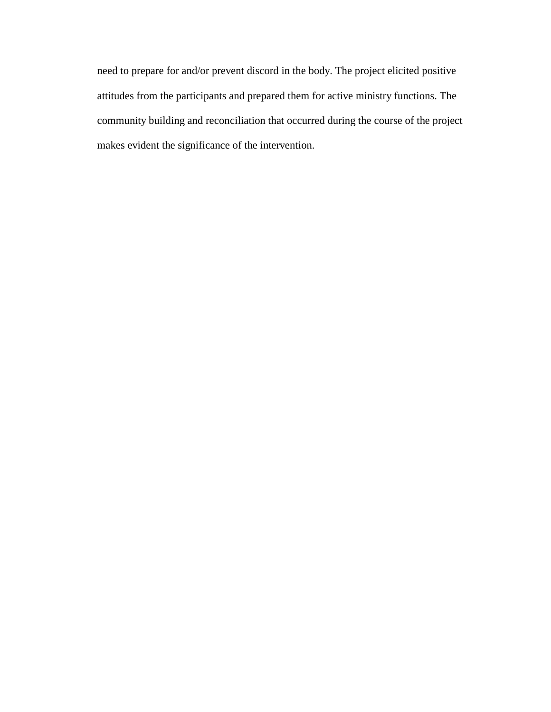need to prepare for and/or prevent discord in the body. The project elicited positive attitudes from the participants and prepared them for active ministry functions. The community building and reconciliation that occurred during the course of the project makes evident the significance of the intervention.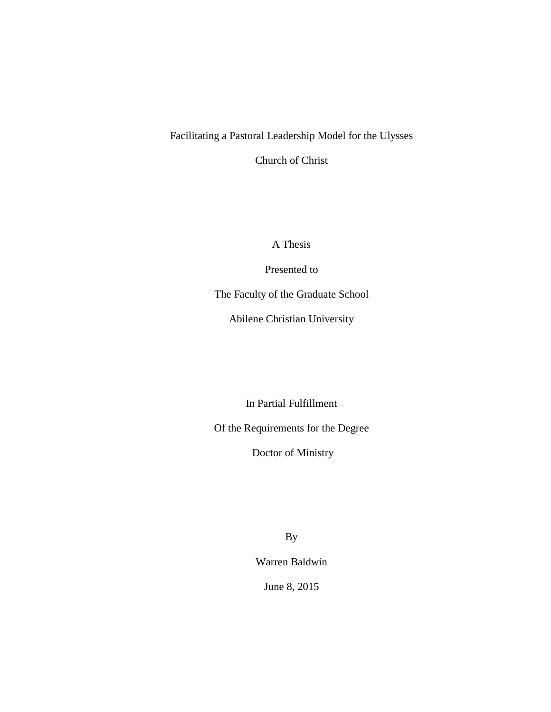# Facilitating a Pastoral Leadership Model for the Ulysses

Church of Christ

A Thesis

Presented to

The Faculty of the Graduate School

Abilene Christian University

In Partial Fulfillment

Of the Requirements for the Degree

Doctor of Ministry

By

Warren Baldwin

June 8, 2015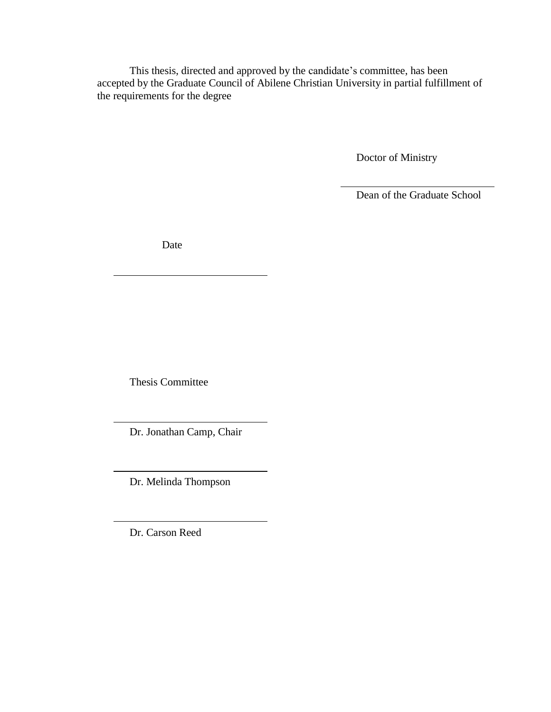This thesis, directed and approved by the candidate's committee, has been accepted by the Graduate Council of Abilene Christian University in partial fulfillment of the requirements for the degree

Doctor of Ministry

Dean of the Graduate School

Date

Thesis Committee

Dr. Jonathan Camp, Chair

Dr. Melinda Thompson

Dr. Carson Reed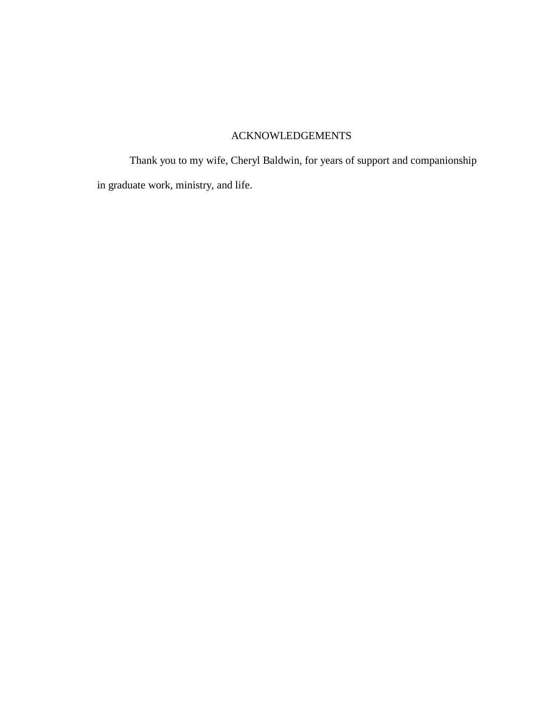# ACKNOWLEDGEMENTS

Thank you to my wife, Cheryl Baldwin, for years of support and companionship in graduate work, ministry, and life.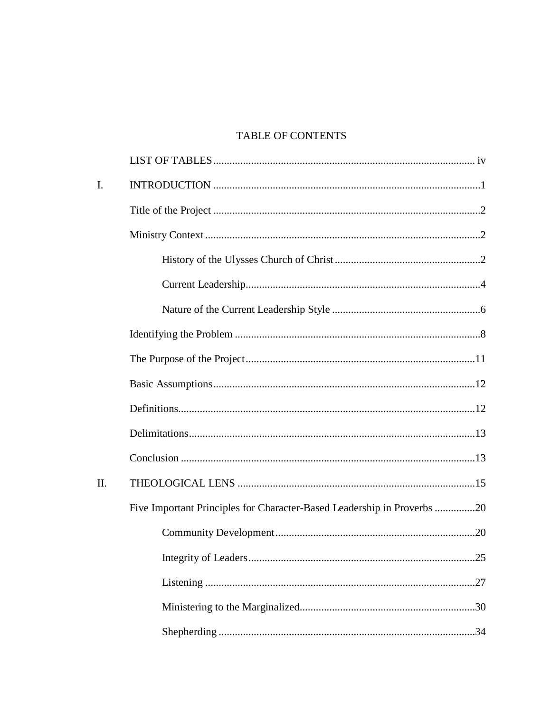# TABLE OF CONTENTS

| $\mathbf{I}$ . |                                                                         |
|----------------|-------------------------------------------------------------------------|
|                |                                                                         |
|                |                                                                         |
|                |                                                                         |
|                |                                                                         |
|                |                                                                         |
|                |                                                                         |
|                |                                                                         |
|                |                                                                         |
|                |                                                                         |
|                |                                                                         |
|                |                                                                         |
| II.            |                                                                         |
|                | Five Important Principles for Character-Based Leadership in Proverbs 20 |
|                |                                                                         |
|                | .25                                                                     |
|                |                                                                         |
|                |                                                                         |
|                |                                                                         |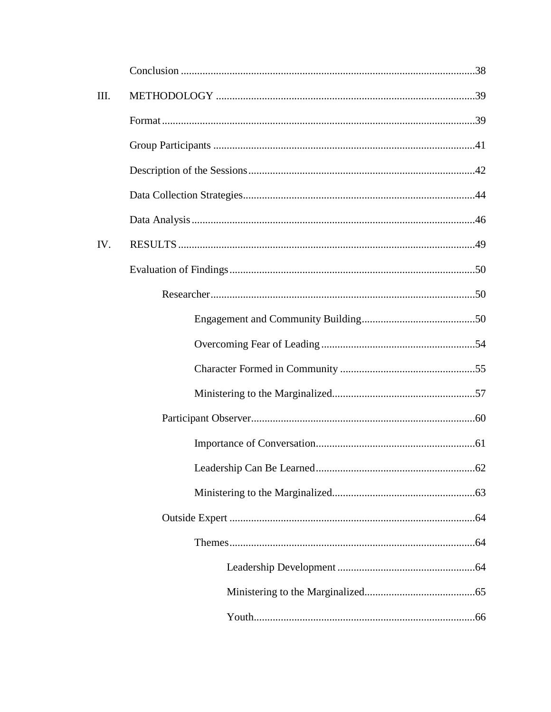| III. |  |
|------|--|
|      |  |
|      |  |
|      |  |
|      |  |
|      |  |
| IV.  |  |
|      |  |
|      |  |
|      |  |
|      |  |
|      |  |
|      |  |
|      |  |
|      |  |
|      |  |
|      |  |
|      |  |
|      |  |
|      |  |
|      |  |
|      |  |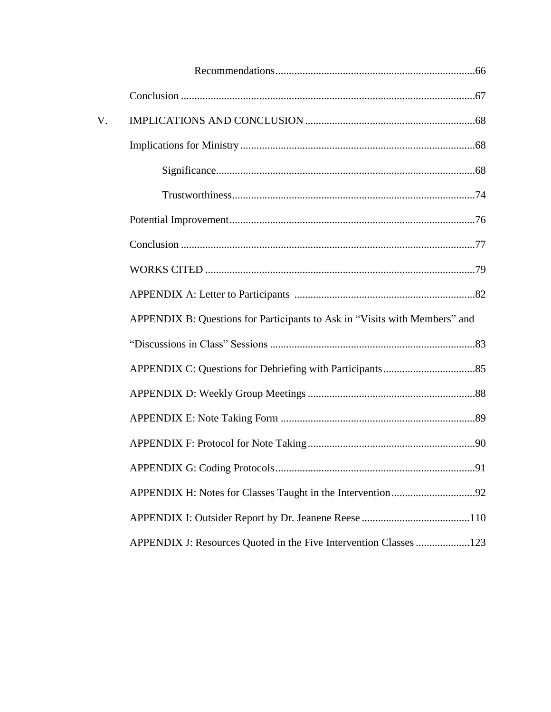| V. |                                                                            |     |
|----|----------------------------------------------------------------------------|-----|
|    |                                                                            |     |
|    |                                                                            |     |
|    |                                                                            |     |
|    |                                                                            |     |
|    |                                                                            |     |
|    |                                                                            |     |
|    |                                                                            |     |
|    | APPENDIX B: Questions for Participants to Ask in "Visits with Members" and |     |
|    |                                                                            |     |
|    |                                                                            |     |
|    |                                                                            |     |
|    |                                                                            |     |
|    |                                                                            |     |
|    |                                                                            | .91 |
|    |                                                                            |     |
|    |                                                                            |     |
|    | APPENDIX J: Resources Quoted in the Five Intervention Classes 123          |     |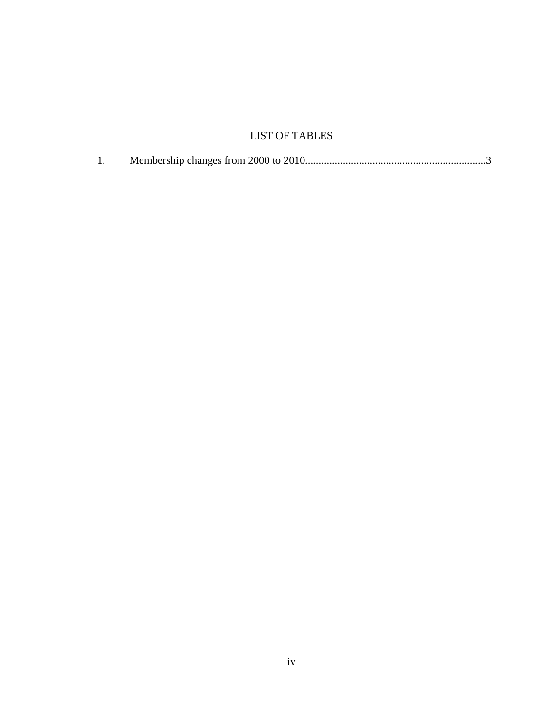# LIST OF TABLES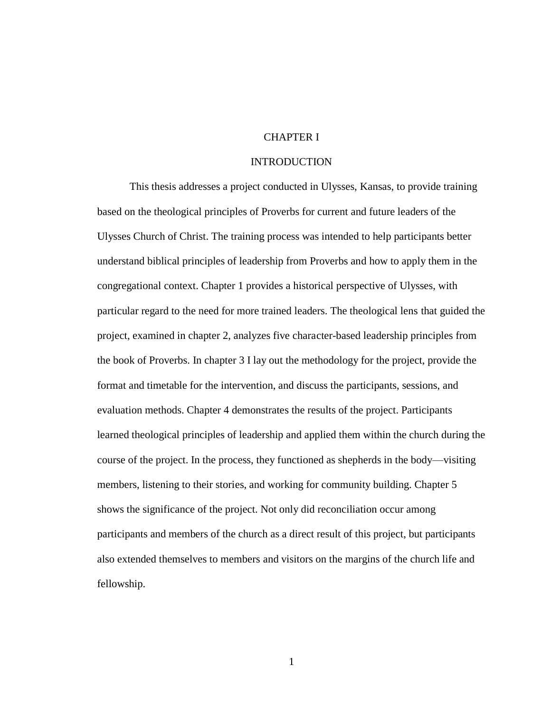# CHAPTER I

#### INTRODUCTION

This thesis addresses a project conducted in Ulysses, Kansas, to provide training based on the theological principles of Proverbs for current and future leaders of the Ulysses Church of Christ. The training process was intended to help participants better understand biblical principles of leadership from Proverbs and how to apply them in the congregational context. Chapter 1 provides a historical perspective of Ulysses, with particular regard to the need for more trained leaders. The theological lens that guided the project, examined in chapter 2, analyzes five character-based leadership principles from the book of Proverbs. In chapter 3 I lay out the methodology for the project, provide the format and timetable for the intervention, and discuss the participants, sessions, and evaluation methods. Chapter 4 demonstrates the results of the project. Participants learned theological principles of leadership and applied them within the church during the course of the project. In the process, they functioned as shepherds in the body—visiting members, listening to their stories, and working for community building. Chapter 5 shows the significance of the project. Not only did reconciliation occur among participants and members of the church as a direct result of this project, but participants also extended themselves to members and visitors on the margins of the church life and fellowship.

1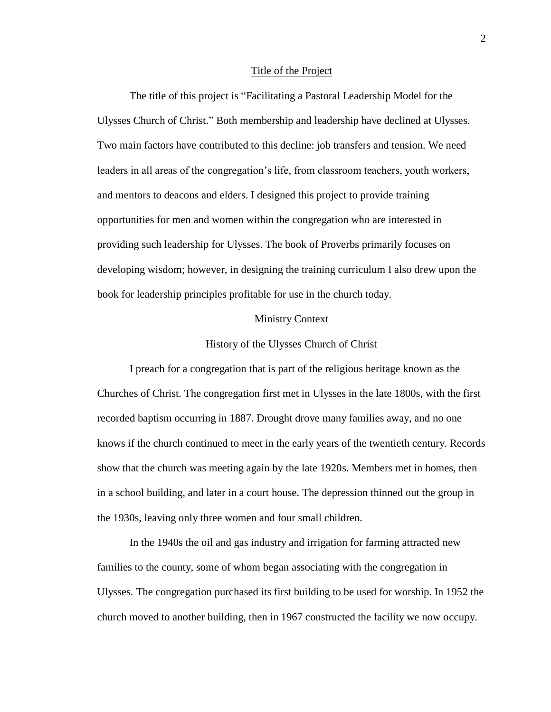#### Title of the Project

The title of this project is "Facilitating a Pastoral Leadership Model for the Ulysses Church of Christ." Both membership and leadership have declined at Ulysses. Two main factors have contributed to this decline: job transfers and tension. We need leaders in all areas of the congregation's life, from classroom teachers, youth workers, and mentors to deacons and elders. I designed this project to provide training opportunities for men and women within the congregation who are interested in providing such leadership for Ulysses. The book of Proverbs primarily focuses on developing wisdom; however, in designing the training curriculum I also drew upon the book for leadership principles profitable for use in the church today.

#### Ministry Context

#### History of the Ulysses Church of Christ

I preach for a congregation that is part of the religious heritage known as the Churches of Christ. The congregation first met in Ulysses in the late 1800s, with the first recorded baptism occurring in 1887. Drought drove many families away, and no one knows if the church continued to meet in the early years of the twentieth century. Records show that the church was meeting again by the late 1920s. Members met in homes, then in a school building, and later in a court house. The depression thinned out the group in the 1930s, leaving only three women and four small children.

In the 1940s the oil and gas industry and irrigation for farming attracted new families to the county, some of whom began associating with the congregation in Ulysses. The congregation purchased its first building to be used for worship. In 1952 the church moved to another building, then in 1967 constructed the facility we now occupy.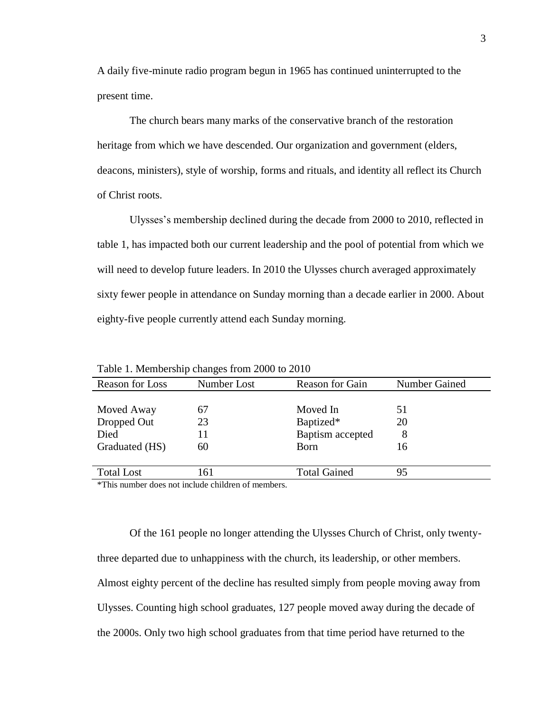A daily five-minute radio program begun in 1965 has continued uninterrupted to the present time.

The church bears many marks of the conservative branch of the restoration heritage from which we have descended. Our organization and government (elders, deacons, ministers), style of worship, forms and rituals, and identity all reflect its Church of Christ roots.

Ulysses's membership declined during the decade from 2000 to 2010, reflected in table 1, has impacted both our current leadership and the pool of potential from which we will need to develop future leaders. In 2010 the Ulysses church averaged approximately sixty fewer people in attendance on Sunday morning than a decade earlier in 2000. About eighty-five people currently attend each Sunday morning.

| <b>Reason for Loss</b> | Number Lost | <b>Reason for Gain</b> | Number Gained |
|------------------------|-------------|------------------------|---------------|
|                        |             |                        |               |
| Moved Away             | 67          | Moved In               | 51            |
| Dropped Out            | 23          | Baptized*              | 20            |
| Died                   | 11          | Baptism accepted       | 8             |
| Graduated (HS)         | 60          | <b>B</b> orn           | 16            |
|                        |             |                        |               |
| <b>Total Lost</b>      | 161         | <b>Total Gained</b>    | 95            |
|                        |             |                        |               |

Table 1. Membership changes from 2000 to 2010

\*This number does not include children of members.

Of the 161 people no longer attending the Ulysses Church of Christ, only twentythree departed due to unhappiness with the church, its leadership, or other members. Almost eighty percent of the decline has resulted simply from people moving away from Ulysses. Counting high school graduates, 127 people moved away during the decade of the 2000s. Only two high school graduates from that time period have returned to the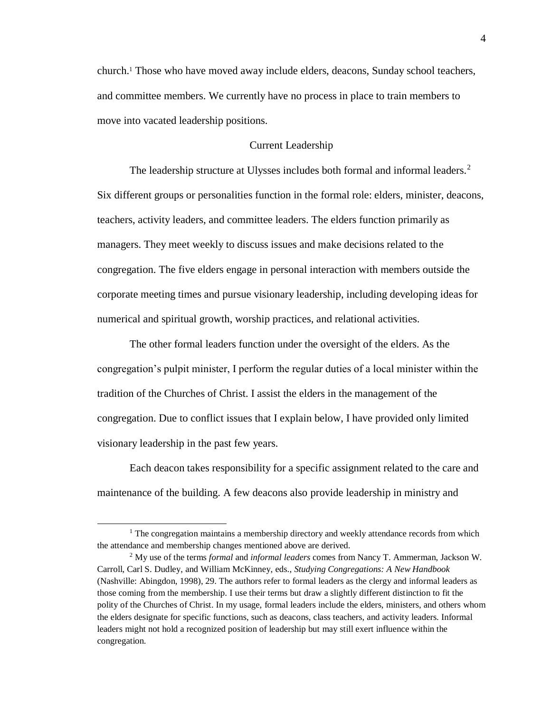church.<sup>1</sup> Those who have moved away include elders, deacons, Sunday school teachers, and committee members. We currently have no process in place to train members to move into vacated leadership positions.

# Current Leadership

The leadership structure at Ulysses includes both formal and informal leaders.<sup>2</sup> Six different groups or personalities function in the formal role: elders, minister, deacons, teachers, activity leaders, and committee leaders. The elders function primarily as managers. They meet weekly to discuss issues and make decisions related to the congregation. The five elders engage in personal interaction with members outside the corporate meeting times and pursue visionary leadership, including developing ideas for numerical and spiritual growth, worship practices, and relational activities.

The other formal leaders function under the oversight of the elders. As the congregation's pulpit minister, I perform the regular duties of a local minister within the tradition of the Churches of Christ. I assist the elders in the management of the congregation. Due to conflict issues that I explain below, I have provided only limited visionary leadership in the past few years.

Each deacon takes responsibility for a specific assignment related to the care and maintenance of the building. A few deacons also provide leadership in ministry and

 $<sup>1</sup>$  The congregation maintains a membership directory and weekly attendance records from which</sup> the attendance and membership changes mentioned above are derived.

<sup>2</sup> My use of the terms *formal* and *informal leaders* comes from Nancy T. Ammerman, Jackson W. Carroll, Carl S. Dudley, and William McKinney, eds., *Studying Congregations: A New Handbook* (Nashville: Abingdon, 1998), 29. The authors refer to formal leaders as the clergy and informal leaders as those coming from the membership. I use their terms but draw a slightly different distinction to fit the polity of the Churches of Christ. In my usage, formal leaders include the elders, ministers, and others whom the elders designate for specific functions, such as deacons, class teachers, and activity leaders. Informal leaders might not hold a recognized position of leadership but may still exert influence within the congregation.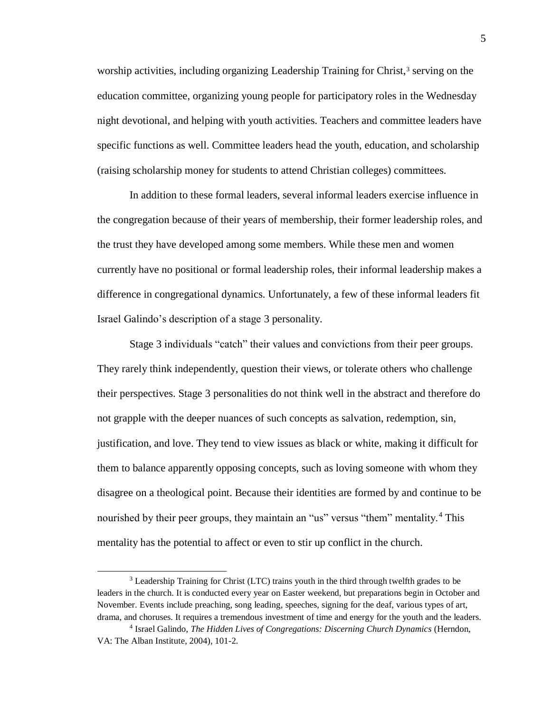worship activities, including organizing Leadership Training for Christ,<sup>3</sup> serving on the education committee, organizing young people for participatory roles in the Wednesday night devotional, and helping with youth activities. Teachers and committee leaders have specific functions as well. Committee leaders head the youth, education, and scholarship (raising scholarship money for students to attend Christian colleges) committees.

In addition to these formal leaders, several informal leaders exercise influence in the congregation because of their years of membership, their former leadership roles, and the trust they have developed among some members. While these men and women currently have no positional or formal leadership roles, their informal leadership makes a difference in congregational dynamics. Unfortunately, a few of these informal leaders fit Israel Galindo's description of a stage 3 personality.

Stage 3 individuals "catch" their values and convictions from their peer groups. They rarely think independently, question their views, or tolerate others who challenge their perspectives. Stage 3 personalities do not think well in the abstract and therefore do not grapple with the deeper nuances of such concepts as salvation, redemption, sin, justification, and love. They tend to view issues as black or white, making it difficult for them to balance apparently opposing concepts, such as loving someone with whom they disagree on a theological point. Because their identities are formed by and continue to be nourished by their peer groups, they maintain an "us" versus "them" mentality.<sup>4</sup> This mentality has the potential to affect or even to stir up conflict in the church.

<sup>&</sup>lt;sup>3</sup> Leadership Training for Christ (LTC) trains youth in the third through twelfth grades to be leaders in the church. It is conducted every year on Easter weekend, but preparations begin in October and November. Events include preaching, song leading, speeches, signing for the deaf, various types of art, drama, and choruses. It requires a tremendous investment of time and energy for the youth and the leaders.

<sup>4</sup> Israel Galindo, *The Hidden Lives of Congregations: Discerning Church Dynamics* (Herndon, VA: The Alban Institute, 2004), 101-2.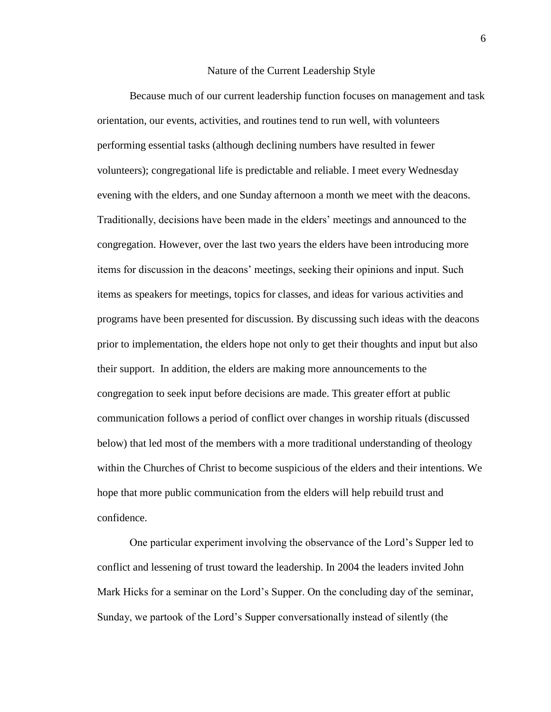#### Nature of the Current Leadership Style

Because much of our current leadership function focuses on management and task orientation, our events, activities, and routines tend to run well, with volunteers performing essential tasks (although declining numbers have resulted in fewer volunteers); congregational life is predictable and reliable. I meet every Wednesday evening with the elders, and one Sunday afternoon a month we meet with the deacons. Traditionally, decisions have been made in the elders' meetings and announced to the congregation. However, over the last two years the elders have been introducing more items for discussion in the deacons' meetings, seeking their opinions and input. Such items as speakers for meetings, topics for classes, and ideas for various activities and programs have been presented for discussion. By discussing such ideas with the deacons prior to implementation, the elders hope not only to get their thoughts and input but also their support. In addition, the elders are making more announcements to the congregation to seek input before decisions are made. This greater effort at public communication follows a period of conflict over changes in worship rituals (discussed below) that led most of the members with a more traditional understanding of theology within the Churches of Christ to become suspicious of the elders and their intentions. We hope that more public communication from the elders will help rebuild trust and confidence.

One particular experiment involving the observance of the Lord's Supper led to conflict and lessening of trust toward the leadership. In 2004 the leaders invited John Mark Hicks for a seminar on the Lord's Supper. On the concluding day of the seminar, Sunday, we partook of the Lord's Supper conversationally instead of silently (the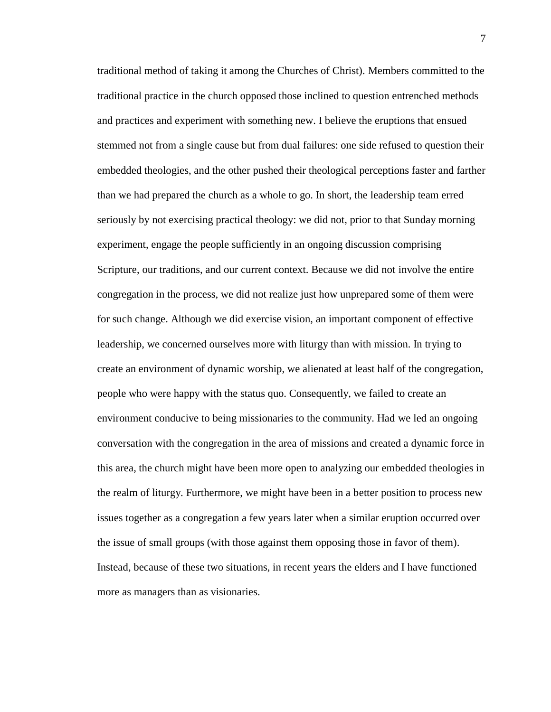traditional method of taking it among the Churches of Christ). Members committed to the traditional practice in the church opposed those inclined to question entrenched methods and practices and experiment with something new. I believe the eruptions that ensued stemmed not from a single cause but from dual failures: one side refused to question their embedded theologies, and the other pushed their theological perceptions faster and farther than we had prepared the church as a whole to go. In short, the leadership team erred seriously by not exercising practical theology: we did not, prior to that Sunday morning experiment, engage the people sufficiently in an ongoing discussion comprising Scripture, our traditions, and our current context. Because we did not involve the entire congregation in the process, we did not realize just how unprepared some of them were for such change. Although we did exercise vision, an important component of effective leadership, we concerned ourselves more with liturgy than with mission. In trying to create an environment of dynamic worship, we alienated at least half of the congregation, people who were happy with the status quo. Consequently, we failed to create an environment conducive to being missionaries to the community. Had we led an ongoing conversation with the congregation in the area of missions and created a dynamic force in this area, the church might have been more open to analyzing our embedded theologies in the realm of liturgy. Furthermore, we might have been in a better position to process new issues together as a congregation a few years later when a similar eruption occurred over the issue of small groups (with those against them opposing those in favor of them). Instead, because of these two situations, in recent years the elders and I have functioned more as managers than as visionaries.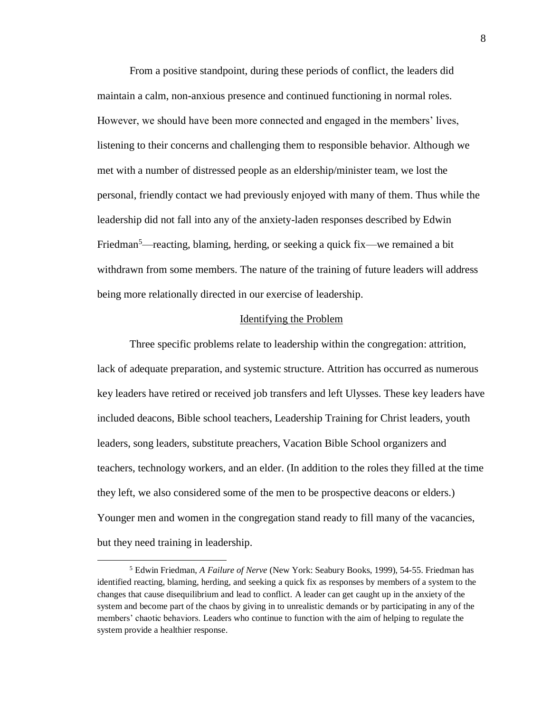From a positive standpoint, during these periods of conflict, the leaders did maintain a calm, non-anxious presence and continued functioning in normal roles. However, we should have been more connected and engaged in the members' lives, listening to their concerns and challenging them to responsible behavior. Although we met with a number of distressed people as an eldership/minister team, we lost the personal, friendly contact we had previously enjoyed with many of them. Thus while the leadership did not fall into any of the anxiety-laden responses described by Edwin Friedman<sup>5</sup>—reacting, blaming, herding, or seeking a quick fix—we remained a bit withdrawn from some members. The nature of the training of future leaders will address being more relationally directed in our exercise of leadership.

### Identifying the Problem

Three specific problems relate to leadership within the congregation: attrition, lack of adequate preparation, and systemic structure. Attrition has occurred as numerous key leaders have retired or received job transfers and left Ulysses. These key leaders have included deacons, Bible school teachers, Leadership Training for Christ leaders, youth leaders, song leaders, substitute preachers, Vacation Bible School organizers and teachers, technology workers, and an elder. (In addition to the roles they filled at the time they left, we also considered some of the men to be prospective deacons or elders.) Younger men and women in the congregation stand ready to fill many of the vacancies, but they need training in leadership.

<sup>5</sup> Edwin Friedman, *A Failure of Nerve* (New York: Seabury Books, 1999), 54-55. Friedman has identified reacting, blaming, herding, and seeking a quick fix as responses by members of a system to the changes that cause disequilibrium and lead to conflict. A leader can get caught up in the anxiety of the system and become part of the chaos by giving in to unrealistic demands or by participating in any of the members' chaotic behaviors. Leaders who continue to function with the aim of helping to regulate the system provide a healthier response.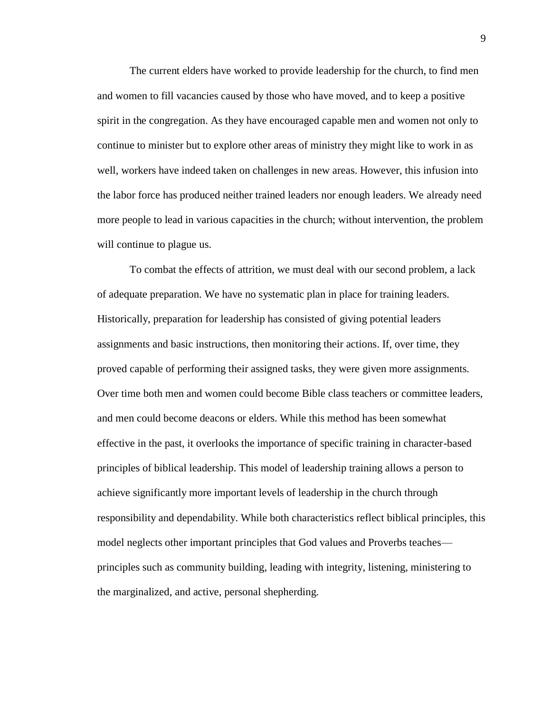The current elders have worked to provide leadership for the church, to find men and women to fill vacancies caused by those who have moved, and to keep a positive spirit in the congregation. As they have encouraged capable men and women not only to continue to minister but to explore other areas of ministry they might like to work in as well, workers have indeed taken on challenges in new areas. However, this infusion into the labor force has produced neither trained leaders nor enough leaders. We already need more people to lead in various capacities in the church; without intervention, the problem will continue to plague us.

To combat the effects of attrition, we must deal with our second problem, a lack of adequate preparation. We have no systematic plan in place for training leaders. Historically, preparation for leadership has consisted of giving potential leaders assignments and basic instructions, then monitoring their actions. If, over time, they proved capable of performing their assigned tasks, they were given more assignments. Over time both men and women could become Bible class teachers or committee leaders, and men could become deacons or elders. While this method has been somewhat effective in the past, it overlooks the importance of specific training in character-based principles of biblical leadership. This model of leadership training allows a person to achieve significantly more important levels of leadership in the church through responsibility and dependability. While both characteristics reflect biblical principles, this model neglects other important principles that God values and Proverbs teaches principles such as community building, leading with integrity, listening, ministering to the marginalized, and active, personal shepherding.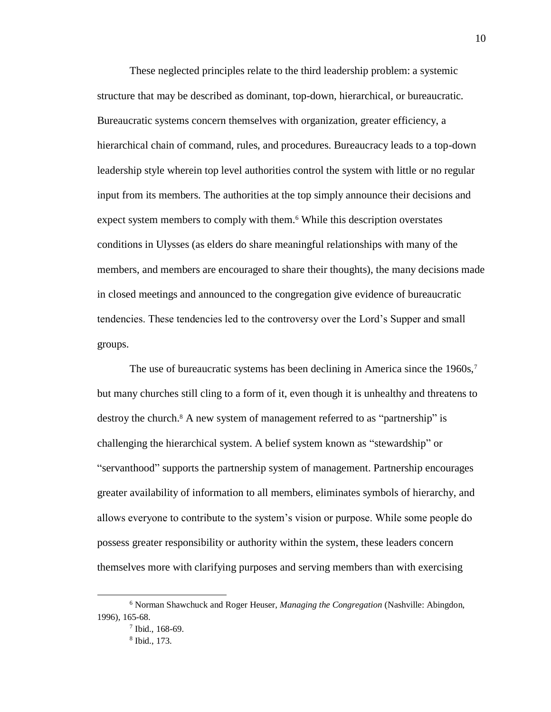These neglected principles relate to the third leadership problem: a systemic structure that may be described as dominant, top-down, hierarchical, or bureaucratic. Bureaucratic systems concern themselves with organization, greater efficiency, a hierarchical chain of command, rules, and procedures. Bureaucracy leads to a top-down leadership style wherein top level authorities control the system with little or no regular input from its members. The authorities at the top simply announce their decisions and expect system members to comply with them.<sup>6</sup> While this description overstates conditions in Ulysses (as elders do share meaningful relationships with many of the members, and members are encouraged to share their thoughts), the many decisions made in closed meetings and announced to the congregation give evidence of bureaucratic tendencies. These tendencies led to the controversy over the Lord's Supper and small groups.

The use of bureaucratic systems has been declining in America since the 1960s,<sup>7</sup> but many churches still cling to a form of it, even though it is unhealthy and threatens to destroy the church.<sup>8</sup> A new system of management referred to as "partnership" is challenging the hierarchical system. A belief system known as "stewardship" or "servanthood" supports the partnership system of management. Partnership encourages greater availability of information to all members, eliminates symbols of hierarchy, and allows everyone to contribute to the system's vision or purpose. While some people do possess greater responsibility or authority within the system, these leaders concern themselves more with clarifying purposes and serving members than with exercising

 $\overline{a}$ 

<sup>6</sup> Norman Shawchuck and Roger Heuser, *Managing the Congregation* (Nashville: Abingdon, 1996), 165-68.

<sup>7</sup> Ibid., 168-69.

<sup>8</sup> Ibid., 173.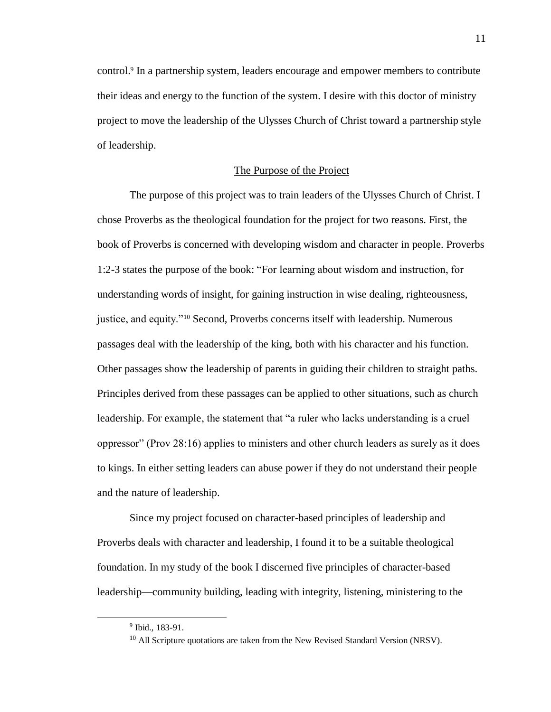control.<sup>9</sup> In a partnership system, leaders encourage and empower members to contribute their ideas and energy to the function of the system. I desire with this doctor of ministry project to move the leadership of the Ulysses Church of Christ toward a partnership style of leadership.

# The Purpose of the Project

The purpose of this project was to train leaders of the Ulysses Church of Christ. I chose Proverbs as the theological foundation for the project for two reasons. First, the book of Proverbs is concerned with developing wisdom and character in people. Proverbs 1:2-3 states the purpose of the book: "For learning about wisdom and instruction, for understanding words of insight, for gaining instruction in wise dealing, righteousness, justice, and equity."<sup>10</sup> Second, Proverbs concerns itself with leadership. Numerous passages deal with the leadership of the king, both with his character and his function. Other passages show the leadership of parents in guiding their children to straight paths. Principles derived from these passages can be applied to other situations, such as church leadership. For example, the statement that "a ruler who lacks understanding is a cruel oppressor" (Prov 28:16) applies to ministers and other church leaders as surely as it does to kings. In either setting leaders can abuse power if they do not understand their people and the nature of leadership.

Since my project focused on character-based principles of leadership and Proverbs deals with character and leadership, I found it to be a suitable theological foundation. In my study of the book I discerned five principles of character-based leadership—community building, leading with integrity, listening, ministering to the

<sup>9</sup> Ibid., 183-91.

<sup>&</sup>lt;sup>10</sup> All Scripture quotations are taken from the New Revised Standard Version (NRSV).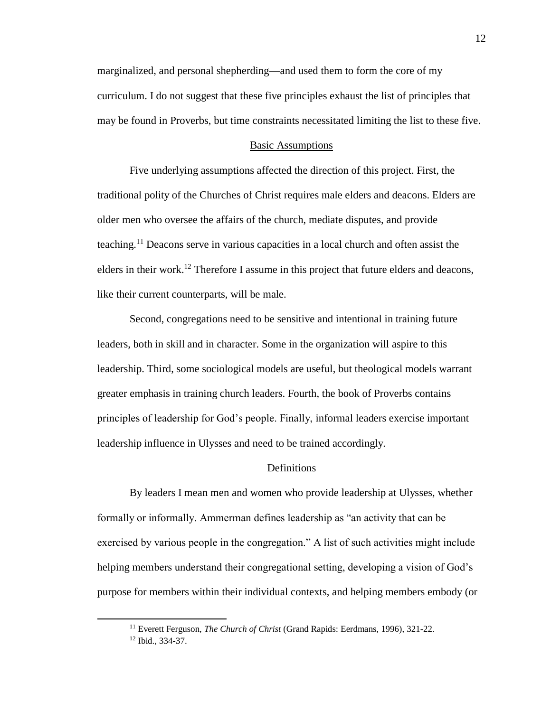marginalized, and personal shepherding—and used them to form the core of my curriculum. I do not suggest that these five principles exhaust the list of principles that may be found in Proverbs, but time constraints necessitated limiting the list to these five.

#### Basic Assumptions

Five underlying assumptions affected the direction of this project. First, the traditional polity of the Churches of Christ requires male elders and deacons. Elders are older men who oversee the affairs of the church, mediate disputes, and provide teaching.<sup>11</sup> Deacons serve in various capacities in a local church and often assist the elders in their work.<sup>12</sup> Therefore I assume in this project that future elders and deacons, like their current counterparts, will be male.

Second, congregations need to be sensitive and intentional in training future leaders, both in skill and in character. Some in the organization will aspire to this leadership. Third, some sociological models are useful, but theological models warrant greater emphasis in training church leaders. Fourth, the book of Proverbs contains principles of leadership for God's people. Finally, informal leaders exercise important leadership influence in Ulysses and need to be trained accordingly.

#### Definitions

By leaders I mean men and women who provide leadership at Ulysses, whether formally or informally. Ammerman defines leadership as "an activity that can be exercised by various people in the congregation." A list of such activities might include helping members understand their congregational setting, developing a vision of God's purpose for members within their individual contexts, and helping members embody (or

 $\overline{a}$ 

<sup>&</sup>lt;sup>11</sup> Everett Ferguson, *The Church of Christ* (Grand Rapids: Eerdmans, 1996), 321-22.

<sup>12</sup> Ibid., 334-37.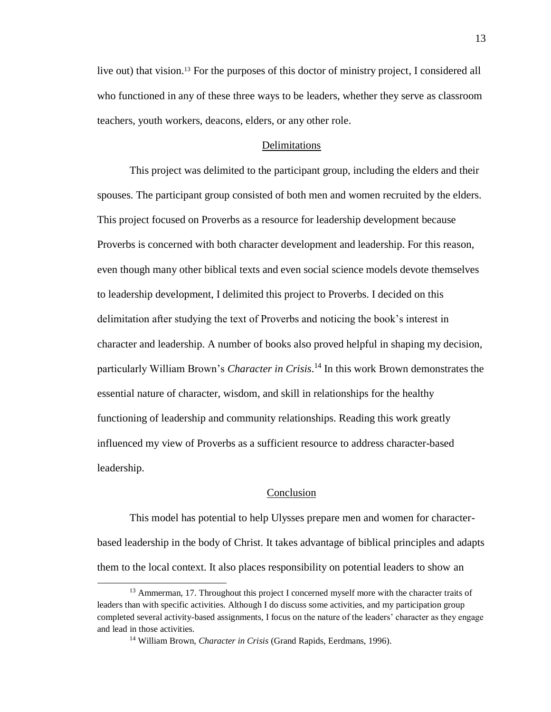live out) that vision.<sup>13</sup> For the purposes of this doctor of ministry project, I considered all who functioned in any of these three ways to be leaders, whether they serve as classroom teachers, youth workers, deacons, elders, or any other role.

#### Delimitations

This project was delimited to the participant group, including the elders and their spouses. The participant group consisted of both men and women recruited by the elders. This project focused on Proverbs as a resource for leadership development because Proverbs is concerned with both character development and leadership. For this reason, even though many other biblical texts and even social science models devote themselves to leadership development, I delimited this project to Proverbs. I decided on this delimitation after studying the text of Proverbs and noticing the book's interest in character and leadership. A number of books also proved helpful in shaping my decision, particularly William Brown's *Character in Crisis*. <sup>14</sup> In this work Brown demonstrates the essential nature of character, wisdom, and skill in relationships for the healthy functioning of leadership and community relationships. Reading this work greatly influenced my view of Proverbs as a sufficient resource to address character-based leadership.

### **Conclusion**

This model has potential to help Ulysses prepare men and women for characterbased leadership in the body of Christ. It takes advantage of biblical principles and adapts them to the local context. It also places responsibility on potential leaders to show an

<sup>&</sup>lt;sup>13</sup> Ammerman, 17. Throughout this project I concerned myself more with the character traits of leaders than with specific activities. Although I do discuss some activities, and my participation group completed several activity-based assignments, I focus on the nature of the leaders' character as they engage and lead in those activities.

<sup>14</sup> William Brown, *Character in Crisis* (Grand Rapids, Eerdmans, 1996).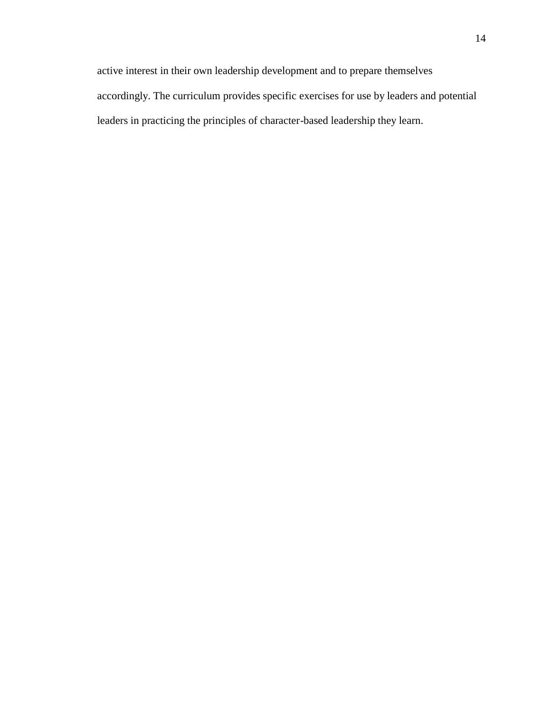active interest in their own leadership development and to prepare themselves accordingly. The curriculum provides specific exercises for use by leaders and potential leaders in practicing the principles of character-based leadership they learn.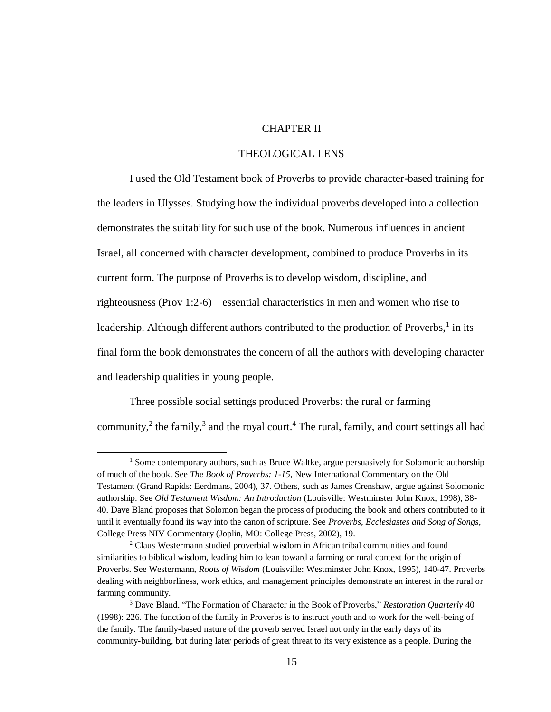# CHAPTER II

# THEOLOGICAL LENS

I used the Old Testament book of Proverbs to provide character-based training for the leaders in Ulysses. Studying how the individual proverbs developed into a collection demonstrates the suitability for such use of the book. Numerous influences in ancient Israel, all concerned with character development, combined to produce Proverbs in its current form. The purpose of Proverbs is to develop wisdom, discipline, and righteousness (Prov 1:2-6)—essential characteristics in men and women who rise to leadership. Although different authors contributed to the production of Proverbs,  $\frac{1}{1}$  in its final form the book demonstrates the concern of all the authors with developing character and leadership qualities in young people.

Three possible social settings produced Proverbs: the rural or farming community,<sup>2</sup> the family,<sup>3</sup> and the royal court.<sup>4</sup> The rural, family, and court settings all had

 $\overline{a}$ 

 $<sup>1</sup>$  Some contemporary authors, such as Bruce Waltke, argue persuasively for Solomonic authorship</sup> of much of the book. See *The Book of Proverbs: 1-15*, New International Commentary on the Old Testament (Grand Rapids: Eerdmans, 2004), 37. Others, such as James Crenshaw, argue against Solomonic authorship. See *Old Testament Wisdom: An Introduction* (Louisville: Westminster John Knox, 1998), 38- 40. Dave Bland proposes that Solomon began the process of producing the book and others contributed to it until it eventually found its way into the canon of scripture. See *Proverbs, Ecclesiastes and Song of Songs*, College Press NIV Commentary (Joplin, MO: College Press, 2002), 19.

<sup>&</sup>lt;sup>2</sup> Claus Westermann studied proverbial wisdom in African tribal communities and found similarities to biblical wisdom, leading him to lean toward a farming or rural context for the origin of Proverbs. See Westermann, *Roots of Wisdom* (Louisville: Westminster John Knox, 1995), 140-47. Proverbs dealing with neighborliness, work ethics, and management principles demonstrate an interest in the rural or farming community.

<sup>3</sup> Dave Bland, "The Formation of Character in the Book of Proverbs," *Restoration Quarterly* 40 (1998): 226. The function of the family in Proverbs is to instruct youth and to work for the well-being of the family. The family-based nature of the proverb served Israel not only in the early days of its community-building, but during later periods of great threat to its very existence as a people. During the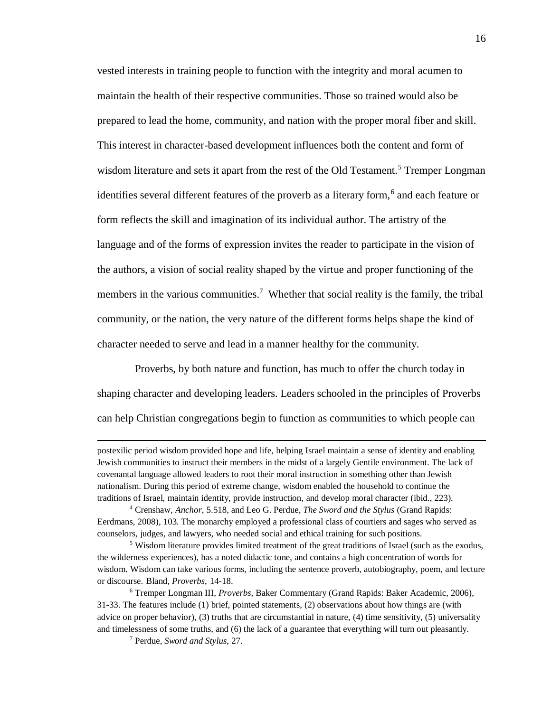vested interests in training people to function with the integrity and moral acumen to maintain the health of their respective communities. Those so trained would also be prepared to lead the home, community, and nation with the proper moral fiber and skill. This interest in character-based development influences both the content and form of wisdom literature and sets it apart from the rest of the Old Testament.<sup>5</sup> Tremper Longman identifies several different features of the proverb as a literary form,<sup>6</sup> and each feature or form reflects the skill and imagination of its individual author. The artistry of the language and of the forms of expression invites the reader to participate in the vision of the authors, a vision of social reality shaped by the virtue and proper functioning of the members in the various communities.<sup>7</sup> Whether that social reality is the family, the tribal community, or the nation, the very nature of the different forms helps shape the kind of character needed to serve and lead in a manner healthy for the community.

 Proverbs, by both nature and function, has much to offer the church today in shaping character and developing leaders. Leaders schooled in the principles of Proverbs can help Christian congregations begin to function as communities to which people can

postexilic period wisdom provided hope and life, helping Israel maintain a sense of identity and enabling Jewish communities to instruct their members in the midst of a largely Gentile environment. The lack of covenantal language allowed leaders to root their moral instruction in something other than Jewish nationalism. During this period of extreme change, wisdom enabled the household to continue the traditions of Israel, maintain identity, provide instruction, and develop moral character (ibid., 223).

<sup>4</sup> Crenshaw, *Anchor*, 5.518, and Leo G. Perdue, *The Sword and the Stylus* (Grand Rapids: Eerdmans, 2008), 103. The monarchy employed a professional class of courtiers and sages who served as counselors, judges, and lawyers, who needed social and ethical training for such positions.

<sup>&</sup>lt;sup>5</sup> Wisdom literature provides limited treatment of the great traditions of Israel (such as the exodus, the wilderness experiences), has a noted didactic tone, and contains a high concentration of words for wisdom. Wisdom can take various forms, including the sentence proverb, autobiography, poem, and lecture or discourse. Bland, *Proverbs*, 14-18.

<sup>6</sup> Tremper Longman III, *Proverbs*, Baker Commentary (Grand Rapids: Baker Academic, 2006), 31-33. The features include (1) brief, pointed statements, (2) observations about how things are (with advice on proper behavior), (3) truths that are circumstantial in nature, (4) time sensitivity, (5) universality and timelessness of some truths, and (6) the lack of a guarantee that everything will turn out pleasantly.

<sup>7</sup> Perdue, *Sword and Stylus*, 27.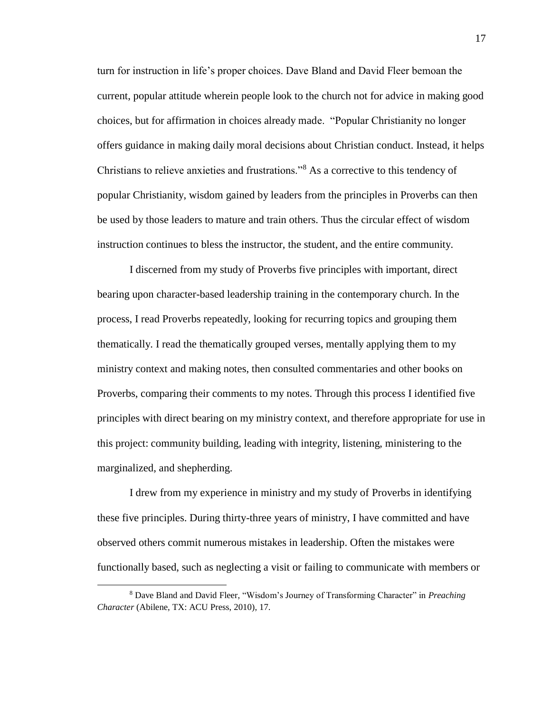turn for instruction in life's proper choices. Dave Bland and David Fleer bemoan the current, popular attitude wherein people look to the church not for advice in making good choices, but for affirmation in choices already made. "Popular Christianity no longer offers guidance in making daily moral decisions about Christian conduct. Instead, it helps Christians to relieve anxieties and frustrations."<sup>8</sup> As a corrective to this tendency of popular Christianity, wisdom gained by leaders from the principles in Proverbs can then be used by those leaders to mature and train others. Thus the circular effect of wisdom instruction continues to bless the instructor, the student, and the entire community.

I discerned from my study of Proverbs five principles with important, direct bearing upon character-based leadership training in the contemporary church. In the process, I read Proverbs repeatedly, looking for recurring topics and grouping them thematically. I read the thematically grouped verses, mentally applying them to my ministry context and making notes, then consulted commentaries and other books on Proverbs, comparing their comments to my notes. Through this process I identified five principles with direct bearing on my ministry context, and therefore appropriate for use in this project: community building, leading with integrity, listening, ministering to the marginalized, and shepherding.

I drew from my experience in ministry and my study of Proverbs in identifying these five principles. During thirty-three years of ministry, I have committed and have observed others commit numerous mistakes in leadership. Often the mistakes were functionally based, such as neglecting a visit or failing to communicate with members or

<sup>8</sup> Dave Bland and David Fleer, "Wisdom's Journey of Transforming Character" in *Preaching Character* (Abilene, TX: ACU Press, 2010), 17.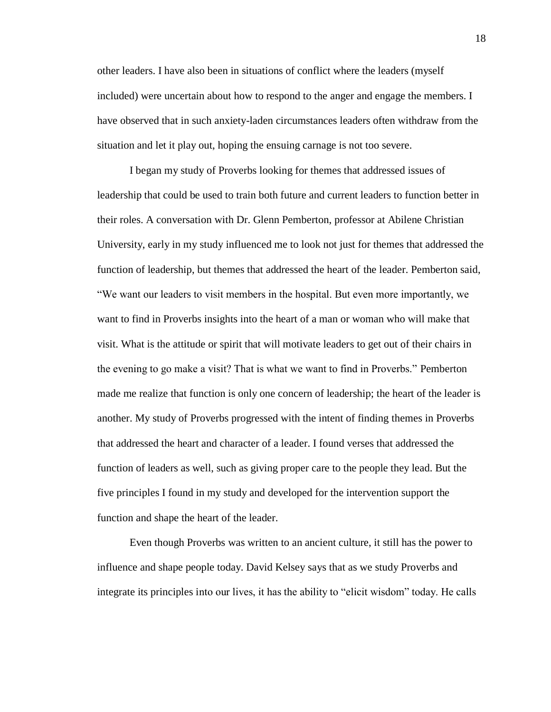other leaders. I have also been in situations of conflict where the leaders (myself included) were uncertain about how to respond to the anger and engage the members. I have observed that in such anxiety-laden circumstances leaders often withdraw from the situation and let it play out, hoping the ensuing carnage is not too severe.

I began my study of Proverbs looking for themes that addressed issues of leadership that could be used to train both future and current leaders to function better in their roles. A conversation with Dr. Glenn Pemberton, professor at Abilene Christian University, early in my study influenced me to look not just for themes that addressed the function of leadership, but themes that addressed the heart of the leader. Pemberton said, "We want our leaders to visit members in the hospital. But even more importantly, we want to find in Proverbs insights into the heart of a man or woman who will make that visit. What is the attitude or spirit that will motivate leaders to get out of their chairs in the evening to go make a visit? That is what we want to find in Proverbs." Pemberton made me realize that function is only one concern of leadership; the heart of the leader is another. My study of Proverbs progressed with the intent of finding themes in Proverbs that addressed the heart and character of a leader. I found verses that addressed the function of leaders as well, such as giving proper care to the people they lead. But the five principles I found in my study and developed for the intervention support the function and shape the heart of the leader.

Even though Proverbs was written to an ancient culture, it still has the power to influence and shape people today. David Kelsey says that as we study Proverbs and integrate its principles into our lives, it has the ability to "elicit wisdom" today. He calls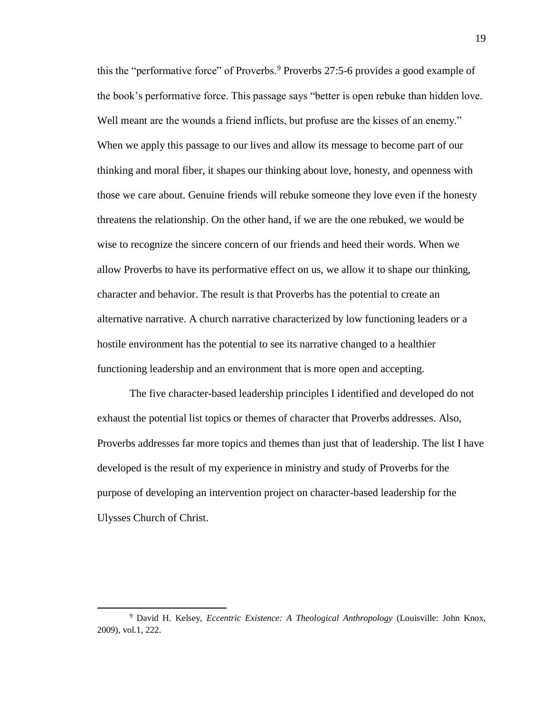this the "performative force" of Proverbs.<sup>9</sup> Proverbs 27:5-6 provides a good example of the book's performative force. This passage says "better is open rebuke than hidden love. Well meant are the wounds a friend inflicts, but profuse are the kisses of an enemy." When we apply this passage to our lives and allow its message to become part of our thinking and moral fiber, it shapes our thinking about love, honesty, and openness with those we care about. Genuine friends will rebuke someone they love even if the honesty threatens the relationship. On the other hand, if we are the one rebuked, we would be wise to recognize the sincere concern of our friends and heed their words. When we allow Proverbs to have its performative effect on us, we allow it to shape our thinking, character and behavior. The result is that Proverbs has the potential to create an alternative narrative. A church narrative characterized by low functioning leaders or a hostile environment has the potential to see its narrative changed to a healthier functioning leadership and an environment that is more open and accepting.

The five character-based leadership principles I identified and developed do not exhaust the potential list topics or themes of character that Proverbs addresses. Also, Proverbs addresses far more topics and themes than just that of leadership. The list I have developed is the result of my experience in ministry and study of Proverbs for the purpose of developing an intervention project on character-based leadership for the Ulysses Church of Christ.

 $\overline{a}$ 

<sup>9</sup> David H. Kelsey, *Eccentric Existence: A Theological Anthropology* (Louisville: John Knox, 2009), vol.1, 222.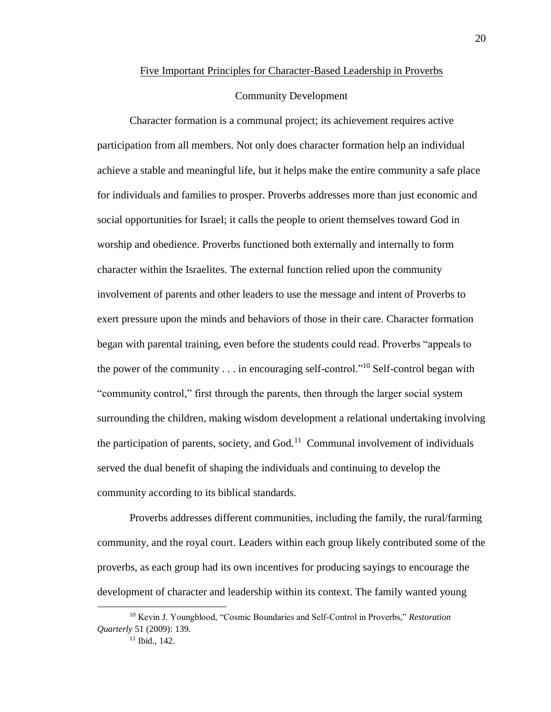#### Five Important Principles for Character-Based Leadership in Proverbs

### Community Development

Character formation is a communal project; its achievement requires active participation from all members. Not only does character formation help an individual achieve a stable and meaningful life, but it helps make the entire community a safe place for individuals and families to prosper. Proverbs addresses more than just economic and social opportunities for Israel; it calls the people to orient themselves toward God in worship and obedience. Proverbs functioned both externally and internally to form character within the Israelites. The external function relied upon the community involvement of parents and other leaders to use the message and intent of Proverbs to exert pressure upon the minds and behaviors of those in their care. Character formation began with parental training, even before the students could read. Proverbs "appeals to the power of the community  $\dots$  in encouraging self-control."<sup>10</sup> Self-control began with "community control," first through the parents, then through the larger social system surrounding the children, making wisdom development a relational undertaking involving the participation of parents, society, and  $God.11}$  Communal involvement of individuals served the dual benefit of shaping the individuals and continuing to develop the community according to its biblical standards.

Proverbs addresses different communities, including the family, the rural/farming community, and the royal court. Leaders within each group likely contributed some of the proverbs, as each group had its own incentives for producing sayings to encourage the development of character and leadership within its context. The family wanted young

<sup>10</sup> Kevin J. Youngblood, "Cosmic Boundaries and Self-Control in Proverbs," *Restoration Quarterly* 51 (2009): 139.

<sup>11</sup> Ibid., 142.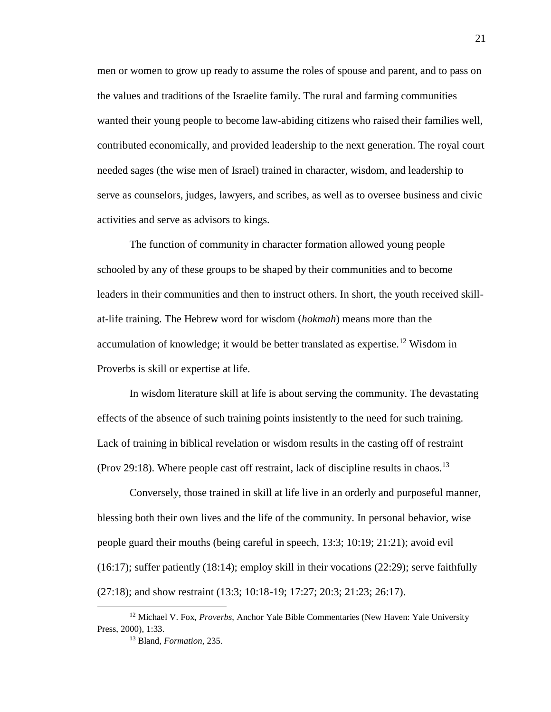men or women to grow up ready to assume the roles of spouse and parent, and to pass on the values and traditions of the Israelite family. The rural and farming communities wanted their young people to become law-abiding citizens who raised their families well, contributed economically, and provided leadership to the next generation. The royal court needed sages (the wise men of Israel) trained in character, wisdom, and leadership to serve as counselors, judges, lawyers, and scribes, as well as to oversee business and civic activities and serve as advisors to kings.

The function of community in character formation allowed young people schooled by any of these groups to be shaped by their communities and to become leaders in their communities and then to instruct others. In short, the youth received skillat-life training. The Hebrew word for wisdom (*hokmah*) means more than the accumulation of knowledge; it would be better translated as expertise.<sup>12</sup> Wisdom in Proverbs is skill or expertise at life.

In wisdom literature skill at life is about serving the community. The devastating effects of the absence of such training points insistently to the need for such training. Lack of training in biblical revelation or wisdom results in the casting off of restraint (Prov 29:18). Where people cast off restraint, lack of discipline results in chaos.<sup>13</sup>

Conversely, those trained in skill at life live in an orderly and purposeful manner, blessing both their own lives and the life of the community. In personal behavior, wise people guard their mouths (being careful in speech, 13:3; 10:19; 21:21); avoid evil  $(16:17)$ ; suffer patiently  $(18:14)$ ; employ skill in their vocations  $(22:29)$ ; serve faithfully (27:18); and show restraint (13:3; 10:18-19; 17:27; 20:3; 21:23; 26:17).

<sup>12</sup> Michael V. Fox, *Proverbs*, Anchor Yale Bible Commentaries (New Haven: Yale University Press, 2000), 1:33.

<sup>13</sup> Bland, *Formation*, 235.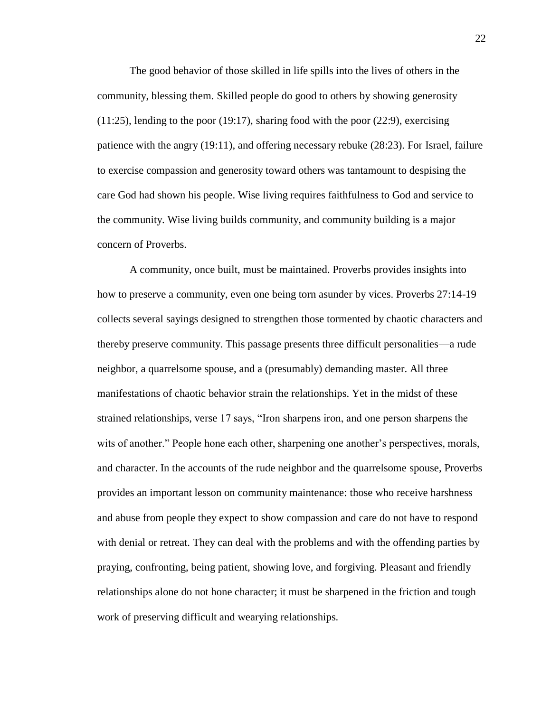The good behavior of those skilled in life spills into the lives of others in the community, blessing them. Skilled people do good to others by showing generosity  $(11:25)$ , lending to the poor  $(19:17)$ , sharing food with the poor  $(22:9)$ , exercising patience with the angry (19:11), and offering necessary rebuke (28:23). For Israel, failure to exercise compassion and generosity toward others was tantamount to despising the care God had shown his people. Wise living requires faithfulness to God and service to the community. Wise living builds community, and community building is a major concern of Proverbs.

A community, once built, must be maintained. Proverbs provides insights into how to preserve a community, even one being torn asunder by vices. Proverbs 27:14-19 collects several sayings designed to strengthen those tormented by chaotic characters and thereby preserve community. This passage presents three difficult personalities—a rude neighbor, a quarrelsome spouse, and a (presumably) demanding master. All three manifestations of chaotic behavior strain the relationships. Yet in the midst of these strained relationships, verse 17 says, "Iron sharpens iron, and one person sharpens the wits of another." People hone each other, sharpening one another's perspectives, morals, and character. In the accounts of the rude neighbor and the quarrelsome spouse, Proverbs provides an important lesson on community maintenance: those who receive harshness and abuse from people they expect to show compassion and care do not have to respond with denial or retreat. They can deal with the problems and with the offending parties by praying, confronting, being patient, showing love, and forgiving. Pleasant and friendly relationships alone do not hone character; it must be sharpened in the friction and tough work of preserving difficult and wearying relationships.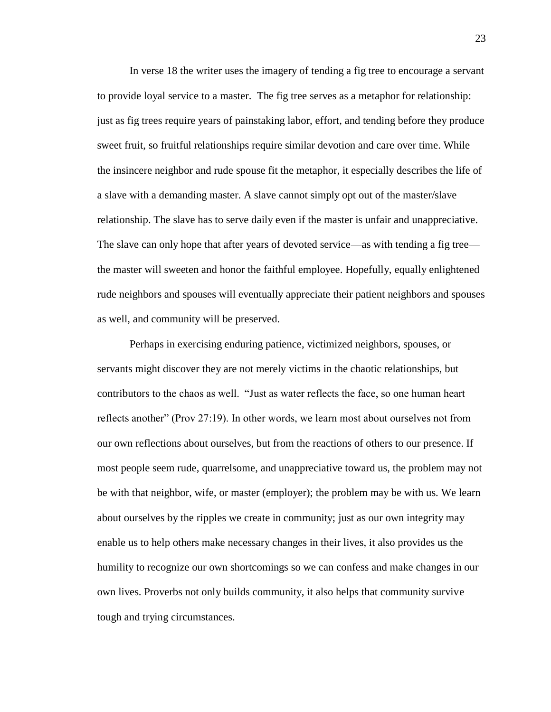In verse 18 the writer uses the imagery of tending a fig tree to encourage a servant to provide loyal service to a master. The fig tree serves as a metaphor for relationship: just as fig trees require years of painstaking labor, effort, and tending before they produce sweet fruit, so fruitful relationships require similar devotion and care over time. While the insincere neighbor and rude spouse fit the metaphor, it especially describes the life of a slave with a demanding master. A slave cannot simply opt out of the master/slave relationship. The slave has to serve daily even if the master is unfair and unappreciative. The slave can only hope that after years of devoted service—as with tending a fig tree the master will sweeten and honor the faithful employee. Hopefully, equally enlightened rude neighbors and spouses will eventually appreciate their patient neighbors and spouses as well, and community will be preserved.

Perhaps in exercising enduring patience, victimized neighbors, spouses, or servants might discover they are not merely victims in the chaotic relationships, but contributors to the chaos as well. "Just as water reflects the face, so one human heart reflects another" (Prov 27:19). In other words, we learn most about ourselves not from our own reflections about ourselves, but from the reactions of others to our presence. If most people seem rude, quarrelsome, and unappreciative toward us, the problem may not be with that neighbor, wife, or master (employer); the problem may be with us. We learn about ourselves by the ripples we create in community; just as our own integrity may enable us to help others make necessary changes in their lives, it also provides us the humility to recognize our own shortcomings so we can confess and make changes in our own lives. Proverbs not only builds community, it also helps that community survive tough and trying circumstances.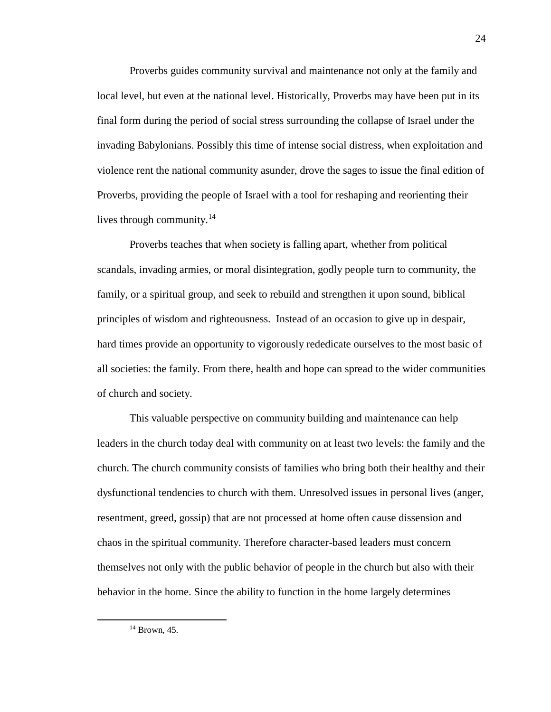Proverbs guides community survival and maintenance not only at the family and local level, but even at the national level. Historically, Proverbs may have been put in its final form during the period of social stress surrounding the collapse of Israel under the invading Babylonians. Possibly this time of intense social distress, when exploitation and violence rent the national community asunder, drove the sages to issue the final edition of Proverbs, providing the people of Israel with a tool for reshaping and reorienting their lives through community.<sup>14</sup>

Proverbs teaches that when society is falling apart, whether from political scandals, invading armies, or moral disintegration, godly people turn to community, the family, or a spiritual group, and seek to rebuild and strengthen it upon sound, biblical principles of wisdom and righteousness. Instead of an occasion to give up in despair, hard times provide an opportunity to vigorously rededicate ourselves to the most basic of all societies: the family. From there, health and hope can spread to the wider communities of church and society.

This valuable perspective on community building and maintenance can help leaders in the church today deal with community on at least two levels: the family and the church. The church community consists of families who bring both their healthy and their dysfunctional tendencies to church with them. Unresolved issues in personal lives (anger, resentment, greed, gossip) that are not processed at home often cause dissension and chaos in the spiritual community. Therefore character-based leaders must concern themselves not only with the public behavior of people in the church but also with their behavior in the home. Since the ability to function in the home largely determines

 $\overline{a}$ 

<sup>14</sup> Brown, 45.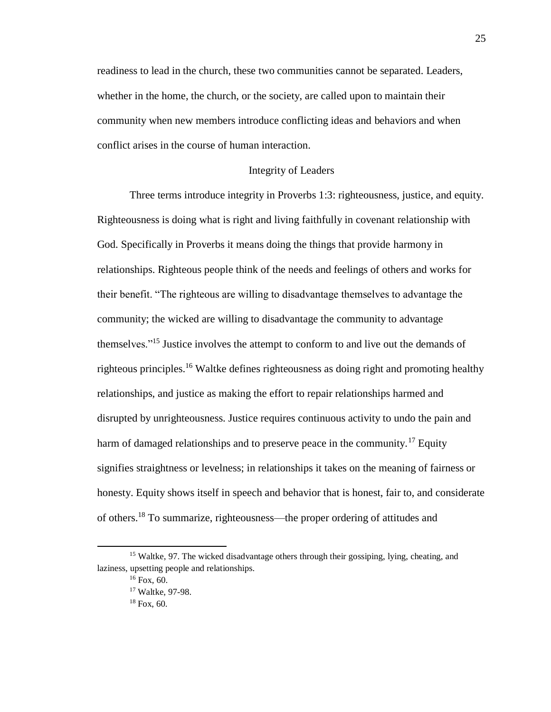readiness to lead in the church, these two communities cannot be separated. Leaders, whether in the home, the church, or the society, are called upon to maintain their community when new members introduce conflicting ideas and behaviors and when conflict arises in the course of human interaction.

# Integrity of Leaders

Three terms introduce integrity in Proverbs 1:3: righteousness, justice, and equity. Righteousness is doing what is right and living faithfully in covenant relationship with God. Specifically in Proverbs it means doing the things that provide harmony in relationships. Righteous people think of the needs and feelings of others and works for their benefit. "The righteous are willing to disadvantage themselves to advantage the community; the wicked are willing to disadvantage the community to advantage themselves."<sup>15</sup> Justice involves the attempt to conform to and live out the demands of righteous principles.<sup>16</sup> Waltke defines righteousness as doing right and promoting healthy relationships, and justice as making the effort to repair relationships harmed and disrupted by unrighteousness. Justice requires continuous activity to undo the pain and harm of damaged relationships and to preserve peace in the community.<sup>17</sup> Equity signifies straightness or levelness; in relationships it takes on the meaning of fairness or honesty. Equity shows itself in speech and behavior that is honest, fair to, and considerate of others.<sup>18</sup> To summarize, righteousness—the proper ordering of attitudes and

 $\overline{a}$ 

<sup>&</sup>lt;sup>15</sup> Waltke, 97. The wicked disadvantage others through their gossiping, lying, cheating, and laziness, upsetting people and relationships.

 $16$  Fox, 60.

<sup>17</sup> Waltke, 97-98.

 $18$  Fox, 60.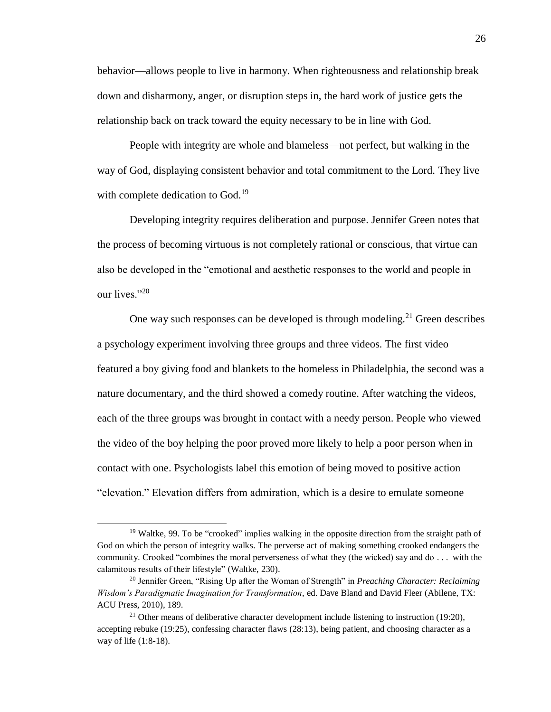behavior—allows people to live in harmony. When righteousness and relationship break down and disharmony, anger, or disruption steps in, the hard work of justice gets the relationship back on track toward the equity necessary to be in line with God.

People with integrity are whole and blameless—not perfect, but walking in the way of God, displaying consistent behavior and total commitment to the Lord. They live with complete dedication to God.<sup>19</sup>

Developing integrity requires deliberation and purpose. Jennifer Green notes that the process of becoming virtuous is not completely rational or conscious, that virtue can also be developed in the "emotional and aesthetic responses to the world and people in our lives."20

One way such responses can be developed is through modeling.<sup>21</sup> Green describes a psychology experiment involving three groups and three videos. The first video featured a boy giving food and blankets to the homeless in Philadelphia, the second was a nature documentary, and the third showed a comedy routine. After watching the videos, each of the three groups was brought in contact with a needy person. People who viewed the video of the boy helping the poor proved more likely to help a poor person when in contact with one. Psychologists label this emotion of being moved to positive action "elevation." Elevation differs from admiration, which is a desire to emulate someone

<sup>&</sup>lt;sup>19</sup> Waltke, 99. To be "crooked" implies walking in the opposite direction from the straight path of God on which the person of integrity walks. The perverse act of making something crooked endangers the community. Crooked "combines the moral perverseness of what they (the wicked) say and do . . . with the calamitous results of their lifestyle" (Waltke, 230).

<sup>20</sup> Jennifer Green, "Rising Up after the Woman of Strength" in *Preaching Character: Reclaiming Wisdom's Paradigmatic Imagination for Transformation*, ed. Dave Bland and David Fleer (Abilene, TX: ACU Press, 2010), 189.

<sup>&</sup>lt;sup>21</sup> Other means of deliberative character development include listening to instruction (19:20), accepting rebuke (19:25), confessing character flaws (28:13), being patient, and choosing character as a way of life (1:8-18).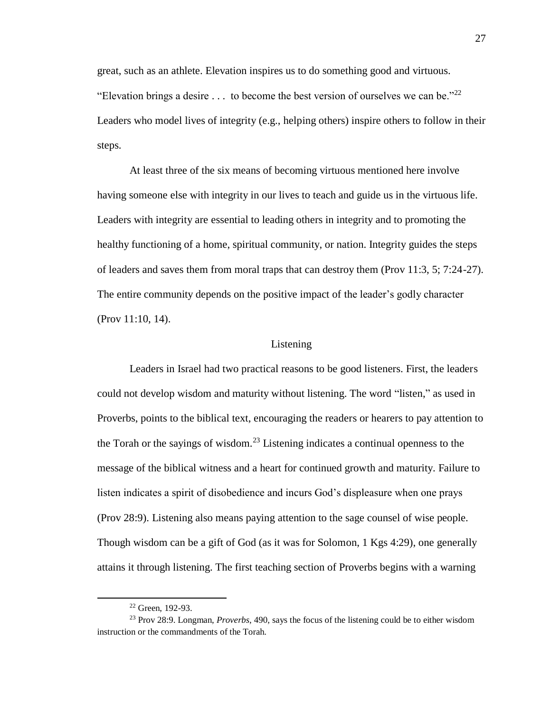great, such as an athlete. Elevation inspires us to do something good and virtuous. "Elevation brings a desire  $\dots$  to become the best version of ourselves we can be."<sup>22</sup> Leaders who model lives of integrity (e.g., helping others) inspire others to follow in their steps.

At least three of the six means of becoming virtuous mentioned here involve having someone else with integrity in our lives to teach and guide us in the virtuous life. Leaders with integrity are essential to leading others in integrity and to promoting the healthy functioning of a home, spiritual community, or nation. Integrity guides the steps of leaders and saves them from moral traps that can destroy them (Prov 11:3, 5; 7:24-27). The entire community depends on the positive impact of the leader's godly character (Prov 11:10, 14).

## Listening

Leaders in Israel had two practical reasons to be good listeners. First, the leaders could not develop wisdom and maturity without listening. The word "listen," as used in Proverbs, points to the biblical text, encouraging the readers or hearers to pay attention to the Torah or the sayings of wisdom.<sup>23</sup> Listening indicates a continual openness to the message of the biblical witness and a heart for continued growth and maturity. Failure to listen indicates a spirit of disobedience and incurs God's displeasure when one prays (Prov 28:9). Listening also means paying attention to the sage counsel of wise people. Though wisdom can be a gift of God (as it was for Solomon, 1 Kgs 4:29), one generally attains it through listening. The first teaching section of Proverbs begins with a warning

<sup>22</sup> Green, 192-93.

<sup>23</sup> Prov 28:9. Longman, *Proverbs*, 490, says the focus of the listening could be to either wisdom instruction or the commandments of the Torah.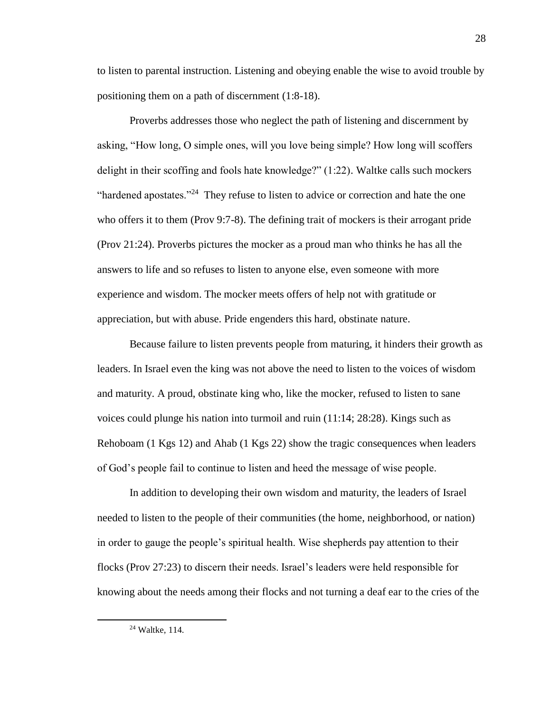to listen to parental instruction. Listening and obeying enable the wise to avoid trouble by positioning them on a path of discernment (1:8-18).

Proverbs addresses those who neglect the path of listening and discernment by asking, "How long, O simple ones, will you love being simple? How long will scoffers delight in their scoffing and fools hate knowledge?" (1:22). Waltke calls such mockers "hardened apostates."<sup>24</sup> They refuse to listen to advice or correction and hate the one who offers it to them (Prov 9:7-8). The defining trait of mockers is their arrogant pride (Prov 21:24). Proverbs pictures the mocker as a proud man who thinks he has all the answers to life and so refuses to listen to anyone else, even someone with more experience and wisdom. The mocker meets offers of help not with gratitude or appreciation, but with abuse. Pride engenders this hard, obstinate nature.

Because failure to listen prevents people from maturing, it hinders their growth as leaders. In Israel even the king was not above the need to listen to the voices of wisdom and maturity. A proud, obstinate king who, like the mocker, refused to listen to sane voices could plunge his nation into turmoil and ruin (11:14; 28:28). Kings such as Rehoboam (1 Kgs 12) and Ahab (1 Kgs 22) show the tragic consequences when leaders of God's people fail to continue to listen and heed the message of wise people.

In addition to developing their own wisdom and maturity, the leaders of Israel needed to listen to the people of their communities (the home, neighborhood, or nation) in order to gauge the people's spiritual health. Wise shepherds pay attention to their flocks (Prov 27:23) to discern their needs. Israel's leaders were held responsible for knowing about the needs among their flocks and not turning a deaf ear to the cries of the

<sup>24</sup> Waltke, 114.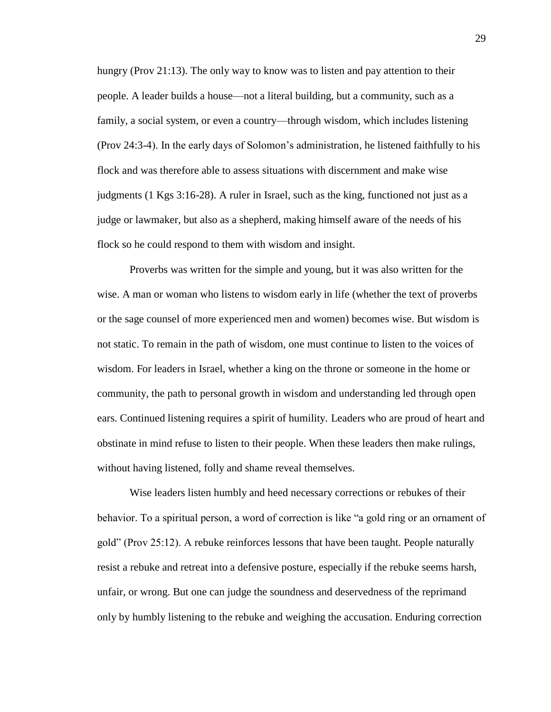hungry (Prov 21:13). The only way to know was to listen and pay attention to their people. A leader builds a house—not a literal building, but a community, such as a family, a social system, or even a country—through wisdom, which includes listening (Prov 24:3-4). In the early days of Solomon's administration, he listened faithfully to his flock and was therefore able to assess situations with discernment and make wise judgments (1 Kgs 3:16-28). A ruler in Israel, such as the king, functioned not just as a judge or lawmaker, but also as a shepherd, making himself aware of the needs of his flock so he could respond to them with wisdom and insight.

Proverbs was written for the simple and young, but it was also written for the wise. A man or woman who listens to wisdom early in life (whether the text of proverbs or the sage counsel of more experienced men and women) becomes wise. But wisdom is not static. To remain in the path of wisdom, one must continue to listen to the voices of wisdom. For leaders in Israel, whether a king on the throne or someone in the home or community, the path to personal growth in wisdom and understanding led through open ears. Continued listening requires a spirit of humility. Leaders who are proud of heart and obstinate in mind refuse to listen to their people. When these leaders then make rulings, without having listened, folly and shame reveal themselves.

Wise leaders listen humbly and heed necessary corrections or rebukes of their behavior. To a spiritual person, a word of correction is like "a gold ring or an ornament of gold" (Prov 25:12). A rebuke reinforces lessons that have been taught. People naturally resist a rebuke and retreat into a defensive posture, especially if the rebuke seems harsh, unfair, or wrong. But one can judge the soundness and deservedness of the reprimand only by humbly listening to the rebuke and weighing the accusation. Enduring correction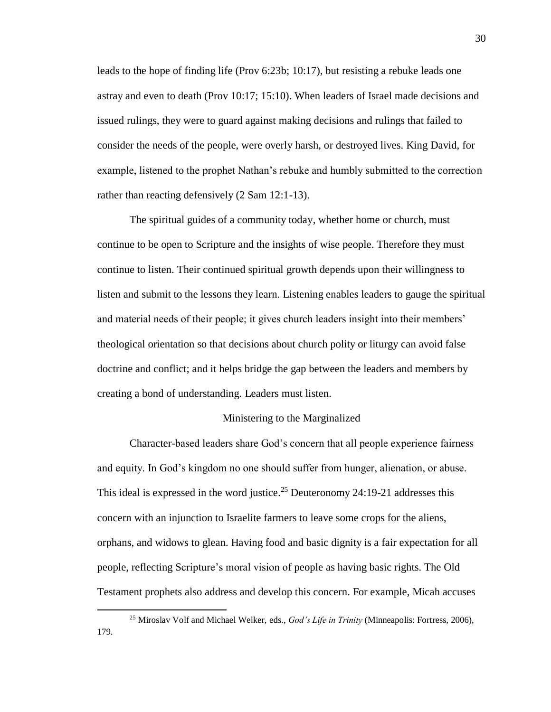leads to the hope of finding life (Prov 6:23b; 10:17), but resisting a rebuke leads one astray and even to death (Prov 10:17; 15:10). When leaders of Israel made decisions and issued rulings, they were to guard against making decisions and rulings that failed to consider the needs of the people, were overly harsh, or destroyed lives. King David, for example, listened to the prophet Nathan's rebuke and humbly submitted to the correction rather than reacting defensively (2 Sam 12:1-13).

The spiritual guides of a community today, whether home or church, must continue to be open to Scripture and the insights of wise people. Therefore they must continue to listen. Their continued spiritual growth depends upon their willingness to listen and submit to the lessons they learn. Listening enables leaders to gauge the spiritual and material needs of their people; it gives church leaders insight into their members' theological orientation so that decisions about church polity or liturgy can avoid false doctrine and conflict; and it helps bridge the gap between the leaders and members by creating a bond of understanding. Leaders must listen.

# Ministering to the Marginalized

Character-based leaders share God's concern that all people experience fairness and equity. In God's kingdom no one should suffer from hunger, alienation, or abuse. This ideal is expressed in the word justice.<sup>25</sup> Deuteronomy 24:19-21 addresses this concern with an injunction to Israelite farmers to leave some crops for the aliens, orphans, and widows to glean. Having food and basic dignity is a fair expectation for all people, reflecting Scripture's moral vision of people as having basic rights. The Old Testament prophets also address and develop this concern. For example, Micah accuses

<sup>25</sup> Miroslav Volf and Michael Welker, eds., *God's Life in Trinity* (Minneapolis: Fortress, 2006), 179.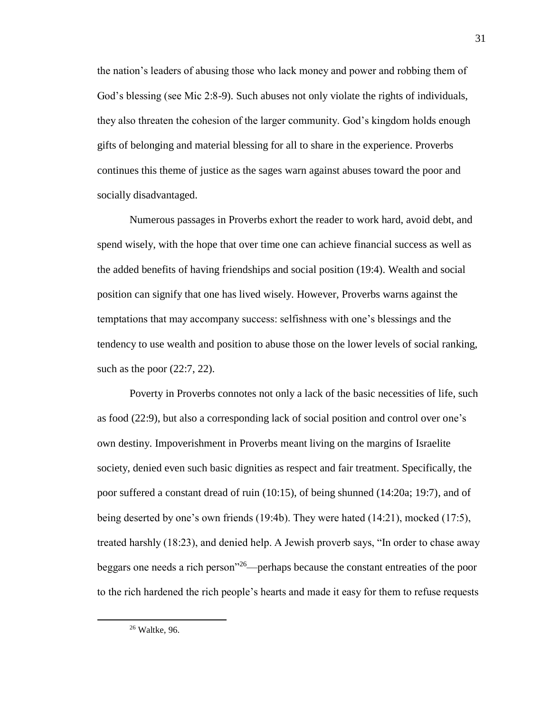the nation's leaders of abusing those who lack money and power and robbing them of God's blessing (see Mic 2:8-9). Such abuses not only violate the rights of individuals, they also threaten the cohesion of the larger community. God's kingdom holds enough gifts of belonging and material blessing for all to share in the experience. Proverbs continues this theme of justice as the sages warn against abuses toward the poor and socially disadvantaged.

Numerous passages in Proverbs exhort the reader to work hard, avoid debt, and spend wisely, with the hope that over time one can achieve financial success as well as the added benefits of having friendships and social position (19:4). Wealth and social position can signify that one has lived wisely. However, Proverbs warns against the temptations that may accompany success: selfishness with one's blessings and the tendency to use wealth and position to abuse those on the lower levels of social ranking, such as the poor (22:7, 22).

Poverty in Proverbs connotes not only a lack of the basic necessities of life, such as food (22:9), but also a corresponding lack of social position and control over one's own destiny. Impoverishment in Proverbs meant living on the margins of Israelite society, denied even such basic dignities as respect and fair treatment. Specifically, the poor suffered a constant dread of ruin (10:15), of being shunned (14:20a; 19:7), and of being deserted by one's own friends (19:4b). They were hated (14:21), mocked (17:5), treated harshly (18:23), and denied help. A Jewish proverb says, "In order to chase away beggars one needs a rich person"<sup>26</sup>—perhaps because the constant entreaties of the poor to the rich hardened the rich people's hearts and made it easy for them to refuse requests

<sup>26</sup> Waltke, 96.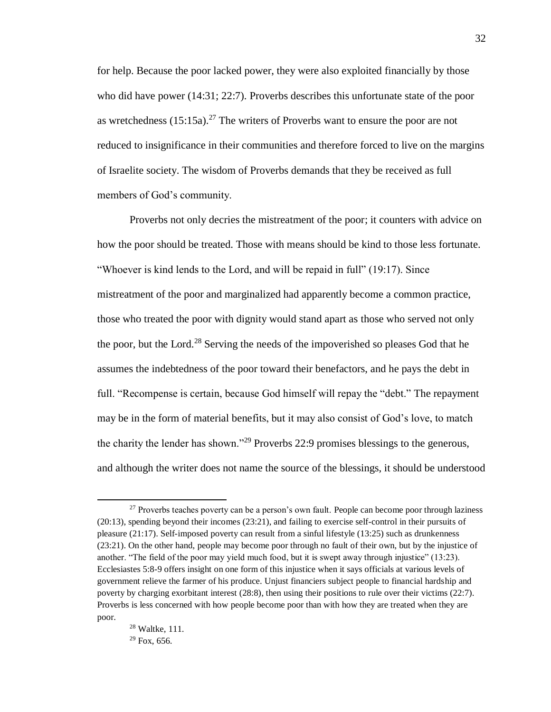for help. Because the poor lacked power, they were also exploited financially by those who did have power (14:31; 22:7). Proverbs describes this unfortunate state of the poor as wretchedness  $(15:15a)^{27}$  The writers of Proverbs want to ensure the poor are not reduced to insignificance in their communities and therefore forced to live on the margins of Israelite society. The wisdom of Proverbs demands that they be received as full members of God's community.

Proverbs not only decries the mistreatment of the poor; it counters with advice on how the poor should be treated. Those with means should be kind to those less fortunate. "Whoever is kind lends to the Lord, and will be repaid in full" (19:17). Since mistreatment of the poor and marginalized had apparently become a common practice, those who treated the poor with dignity would stand apart as those who served not only the poor, but the Lord.<sup>28</sup> Serving the needs of the impoverished so pleases God that he assumes the indebtedness of the poor toward their benefactors, and he pays the debt in full. "Recompense is certain, because God himself will repay the "debt." The repayment may be in the form of material benefits, but it may also consist of God's love, to match the charity the lender has shown."<sup>29</sup> Proverbs 22:9 promises blessings to the generous, and although the writer does not name the source of the blessings, it should be understood

<sup>&</sup>lt;sup>27</sup> Proverbs teaches poverty can be a person's own fault. People can become poor through laziness (20:13), spending beyond their incomes (23:21), and failing to exercise self-control in their pursuits of pleasure (21:17). Self-imposed poverty can result from a sinful lifestyle (13:25) such as drunkenness (23:21). On the other hand, people may become poor through no fault of their own, but by the injustice of another. "The field of the poor may yield much food, but it is swept away through injustice" (13:23). Ecclesiastes 5:8-9 offers insight on one form of this injustice when it says officials at various levels of government relieve the farmer of his produce. Unjust financiers subject people to financial hardship and poverty by charging exorbitant interest (28:8), then using their positions to rule over their victims (22:7). Proverbs is less concerned with how people become poor than with how they are treated when they are poor.

<sup>32</sup>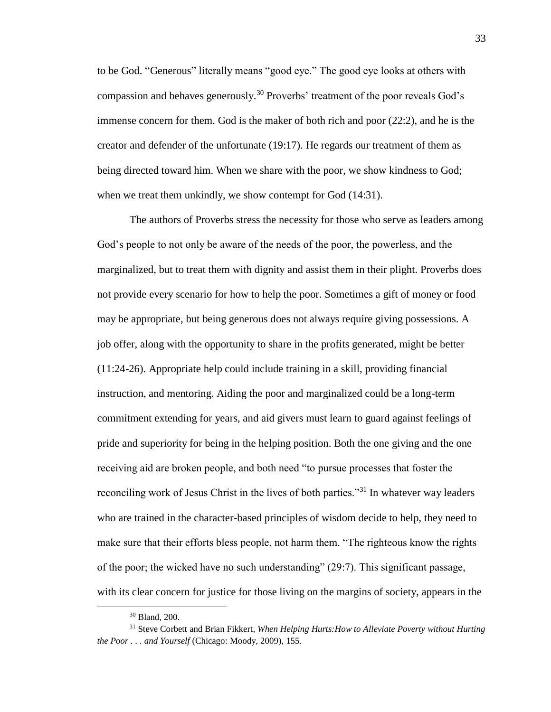to be God. "Generous" literally means "good eye." The good eye looks at others with compassion and behaves generously.<sup>30</sup> Proverbs' treatment of the poor reveals God's immense concern for them. God is the maker of both rich and poor (22:2), and he is the creator and defender of the unfortunate (19:17). He regards our treatment of them as being directed toward him. When we share with the poor, we show kindness to God; when we treat them unkindly, we show contempt for God  $(14:31)$ .

The authors of Proverbs stress the necessity for those who serve as leaders among God's people to not only be aware of the needs of the poor, the powerless, and the marginalized, but to treat them with dignity and assist them in their plight. Proverbs does not provide every scenario for how to help the poor. Sometimes a gift of money or food may be appropriate, but being generous does not always require giving possessions. A job offer, along with the opportunity to share in the profits generated, might be better (11:24-26). Appropriate help could include training in a skill, providing financial instruction, and mentoring. Aiding the poor and marginalized could be a long-term commitment extending for years, and aid givers must learn to guard against feelings of pride and superiority for being in the helping position. Both the one giving and the one receiving aid are broken people, and both need "to pursue processes that foster the reconciling work of Jesus Christ in the lives of both parties."<sup>31</sup> In whatever way leaders who are trained in the character-based principles of wisdom decide to help, they need to make sure that their efforts bless people, not harm them. "The righteous know the rights of the poor; the wicked have no such understanding" (29:7). This significant passage, with its clear concern for justice for those living on the margins of society, appears in the

<sup>30</sup> Bland, 200.

<sup>31</sup> Steve Corbett and Brian Fikkert, *When Helping Hurts:How to Alleviate Poverty without Hurting the Poor . . . and Yourself* (Chicago: Moody, 2009), 155.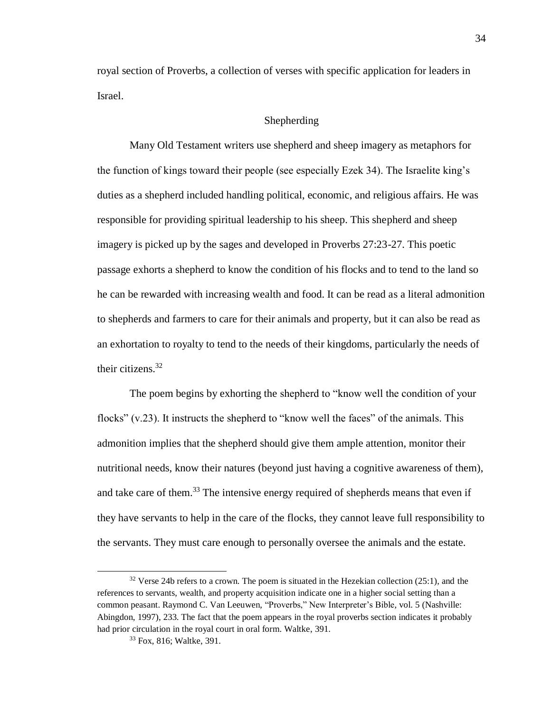royal section of Proverbs, a collection of verses with specific application for leaders in Israel.

# Shepherding

Many Old Testament writers use shepherd and sheep imagery as metaphors for the function of kings toward their people (see especially Ezek 34). The Israelite king's duties as a shepherd included handling political, economic, and religious affairs. He was responsible for providing spiritual leadership to his sheep. This shepherd and sheep imagery is picked up by the sages and developed in Proverbs 27:23-27. This poetic passage exhorts a shepherd to know the condition of his flocks and to tend to the land so he can be rewarded with increasing wealth and food. It can be read as a literal admonition to shepherds and farmers to care for their animals and property, but it can also be read as an exhortation to royalty to tend to the needs of their kingdoms, particularly the needs of their citizens. $32$ 

The poem begins by exhorting the shepherd to "know well the condition of your flocks" (v.23). It instructs the shepherd to "know well the faces" of the animals. This admonition implies that the shepherd should give them ample attention, monitor their nutritional needs, know their natures (beyond just having a cognitive awareness of them), and take care of them.<sup>33</sup> The intensive energy required of shepherds means that even if they have servants to help in the care of the flocks, they cannot leave full responsibility to the servants. They must care enough to personally oversee the animals and the estate.

 $32$  Verse 24b refers to a crown. The poem is situated in the Hezekian collection (25:1), and the references to servants, wealth, and property acquisition indicate one in a higher social setting than a common peasant. Raymond C. Van Leeuwen, "Proverbs," New Interpreter's Bible, vol. 5 (Nashville: Abingdon, 1997), 233. The fact that the poem appears in the royal proverbs section indicates it probably had prior circulation in the royal court in oral form. Waltke, 391.

<sup>33</sup> Fox, 816; Waltke, 391.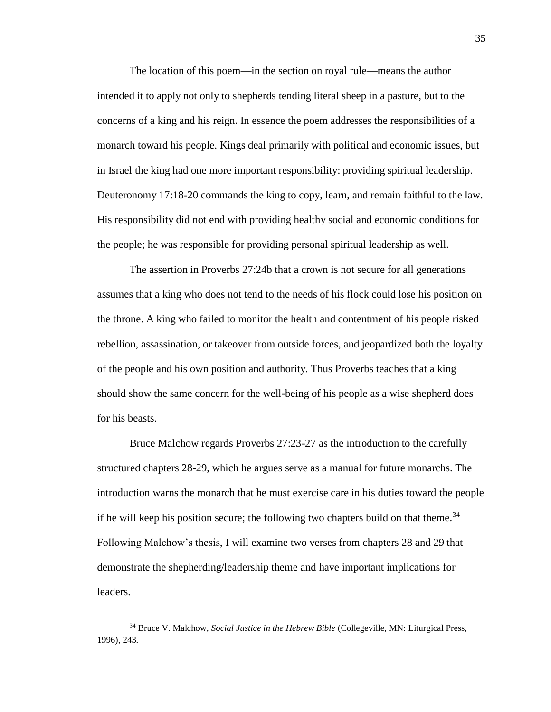The location of this poem—in the section on royal rule—means the author intended it to apply not only to shepherds tending literal sheep in a pasture, but to the concerns of a king and his reign. In essence the poem addresses the responsibilities of a monarch toward his people. Kings deal primarily with political and economic issues, but in Israel the king had one more important responsibility: providing spiritual leadership. Deuteronomy 17:18-20 commands the king to copy, learn, and remain faithful to the law. His responsibility did not end with providing healthy social and economic conditions for the people; he was responsible for providing personal spiritual leadership as well.

The assertion in Proverbs 27:24b that a crown is not secure for all generations assumes that a king who does not tend to the needs of his flock could lose his position on the throne. A king who failed to monitor the health and contentment of his people risked rebellion, assassination, or takeover from outside forces, and jeopardized both the loyalty of the people and his own position and authority. Thus Proverbs teaches that a king should show the same concern for the well-being of his people as a wise shepherd does for his beasts.

Bruce Malchow regards Proverbs 27:23-27 as the introduction to the carefully structured chapters 28-29, which he argues serve as a manual for future monarchs. The introduction warns the monarch that he must exercise care in his duties toward the people if he will keep his position secure; the following two chapters build on that theme.<sup>34</sup> Following Malchow's thesis, I will examine two verses from chapters 28 and 29 that demonstrate the shepherding/leadership theme and have important implications for leaders.

<sup>34</sup> Bruce V. Malchow, *Social Justice in the Hebrew Bible* (Collegeville, MN: Liturgical Press, 1996), 243.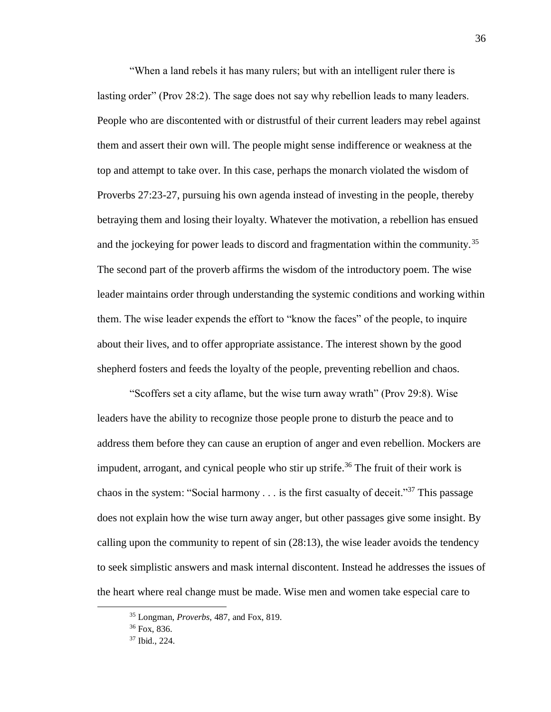"When a land rebels it has many rulers; but with an intelligent ruler there is lasting order" (Prov 28:2). The sage does not say why rebellion leads to many leaders. People who are discontented with or distrustful of their current leaders may rebel against them and assert their own will. The people might sense indifference or weakness at the top and attempt to take over. In this case, perhaps the monarch violated the wisdom of Proverbs 27:23-27, pursuing his own agenda instead of investing in the people, thereby betraying them and losing their loyalty. Whatever the motivation, a rebellion has ensued and the jockeying for power leads to discord and fragmentation within the community.<sup>35</sup> The second part of the proverb affirms the wisdom of the introductory poem. The wise leader maintains order through understanding the systemic conditions and working within them. The wise leader expends the effort to "know the faces" of the people, to inquire about their lives, and to offer appropriate assistance. The interest shown by the good shepherd fosters and feeds the loyalty of the people, preventing rebellion and chaos.

"Scoffers set a city aflame, but the wise turn away wrath" (Prov 29:8). Wise leaders have the ability to recognize those people prone to disturb the peace and to address them before they can cause an eruption of anger and even rebellion. Mockers are impudent, arrogant, and cynical people who stir up strife.<sup>36</sup> The fruit of their work is chaos in the system: "Social harmony  $\ldots$  is the first casualty of deceit."<sup>37</sup> This passage does not explain how the wise turn away anger, but other passages give some insight. By calling upon the community to repent of sin (28:13), the wise leader avoids the tendency to seek simplistic answers and mask internal discontent. Instead he addresses the issues of the heart where real change must be made. Wise men and women take especial care to

<sup>35</sup> Longman, *Proverbs*, 487, and Fox, 819.

<sup>36</sup> Fox, 836.

<sup>37</sup> Ibid., 224.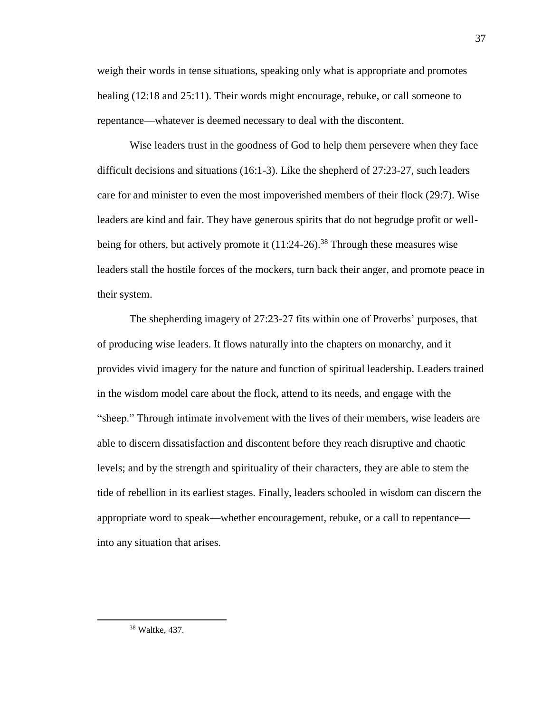weigh their words in tense situations, speaking only what is appropriate and promotes healing (12:18 and 25:11). Their words might encourage, rebuke, or call someone to repentance—whatever is deemed necessary to deal with the discontent.

Wise leaders trust in the goodness of God to help them persevere when they face difficult decisions and situations (16:1-3). Like the shepherd of 27:23-27, such leaders care for and minister to even the most impoverished members of their flock (29:7). Wise leaders are kind and fair. They have generous spirits that do not begrudge profit or wellbeing for others, but actively promote it  $(11:24-26)$ .<sup>38</sup> Through these measures wise leaders stall the hostile forces of the mockers, turn back their anger, and promote peace in their system.

The shepherding imagery of 27:23-27 fits within one of Proverbs' purposes, that of producing wise leaders. It flows naturally into the chapters on monarchy, and it provides vivid imagery for the nature and function of spiritual leadership. Leaders trained in the wisdom model care about the flock, attend to its needs, and engage with the "sheep." Through intimate involvement with the lives of their members, wise leaders are able to discern dissatisfaction and discontent before they reach disruptive and chaotic levels; and by the strength and spirituality of their characters, they are able to stem the tide of rebellion in its earliest stages. Finally, leaders schooled in wisdom can discern the appropriate word to speak—whether encouragement, rebuke, or a call to repentance into any situation that arises.

<sup>38</sup> Waltke, 437.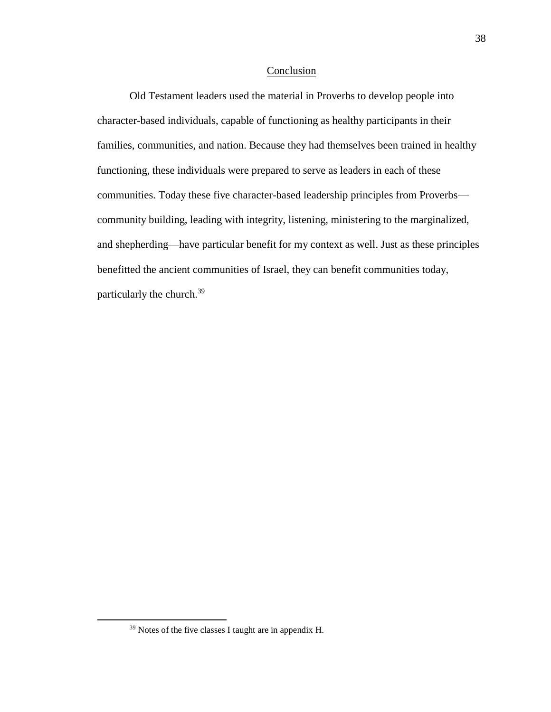## Conclusion

Old Testament leaders used the material in Proverbs to develop people into character-based individuals, capable of functioning as healthy participants in their families, communities, and nation. Because they had themselves been trained in healthy functioning, these individuals were prepared to serve as leaders in each of these communities. Today these five character-based leadership principles from Proverbs community building, leading with integrity, listening, ministering to the marginalized, and shepherding—have particular benefit for my context as well. Just as these principles benefitted the ancient communities of Israel, they can benefit communities today, particularly the church.<sup>39</sup>

<sup>39</sup> Notes of the five classes I taught are in appendix H.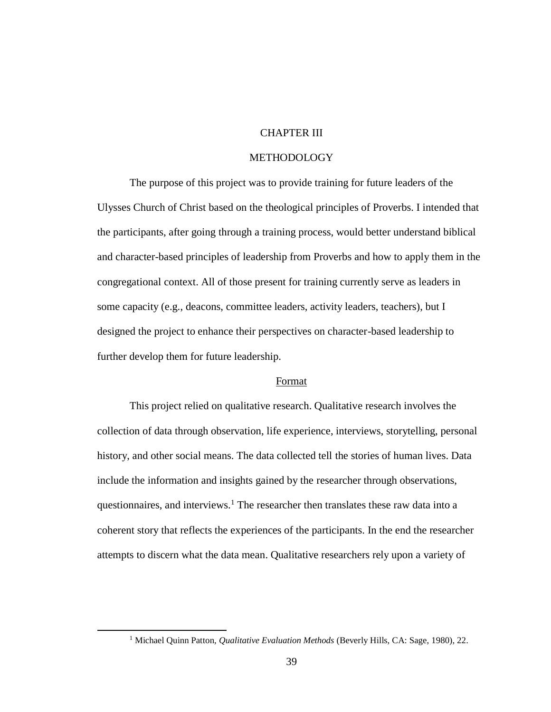# CHAPTER III

## METHODOLOGY

The purpose of this project was to provide training for future leaders of the Ulysses Church of Christ based on the theological principles of Proverbs. I intended that the participants, after going through a training process, would better understand biblical and character-based principles of leadership from Proverbs and how to apply them in the congregational context. All of those present for training currently serve as leaders in some capacity (e.g., deacons, committee leaders, activity leaders, teachers), but I designed the project to enhance their perspectives on character-based leadership to further develop them for future leadership.

## Format

This project relied on qualitative research. Qualitative research involves the collection of data through observation, life experience, interviews, storytelling, personal history, and other social means. The data collected tell the stories of human lives. Data include the information and insights gained by the researcher through observations, questionnaires, and interviews.<sup>1</sup> The researcher then translates these raw data into a coherent story that reflects the experiences of the participants. In the end the researcher attempts to discern what the data mean. Qualitative researchers rely upon a variety of

<sup>1</sup> Michael Quinn Patton, *Qualitative Evaluation Methods* (Beverly Hills, CA: Sage, 1980), 22.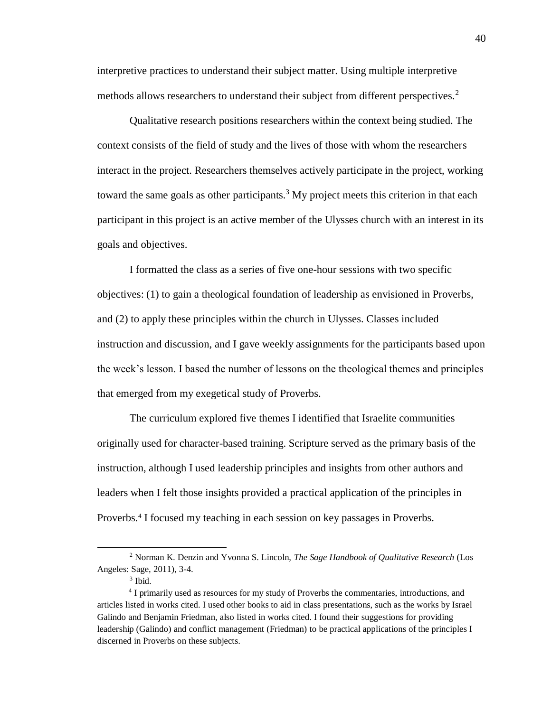interpretive practices to understand their subject matter. Using multiple interpretive methods allows researchers to understand their subject from different perspectives.<sup>2</sup>

 Qualitative research positions researchers within the context being studied. The context consists of the field of study and the lives of those with whom the researchers interact in the project. Researchers themselves actively participate in the project, working toward the same goals as other participants.<sup>3</sup> My project meets this criterion in that each participant in this project is an active member of the Ulysses church with an interest in its goals and objectives.

I formatted the class as a series of five one-hour sessions with two specific objectives: (1) to gain a theological foundation of leadership as envisioned in Proverbs, and (2) to apply these principles within the church in Ulysses. Classes included instruction and discussion, and I gave weekly assignments for the participants based upon the week's lesson. I based the number of lessons on the theological themes and principles that emerged from my exegetical study of Proverbs.

The curriculum explored five themes I identified that Israelite communities originally used for character-based training. Scripture served as the primary basis of the instruction, although I used leadership principles and insights from other authors and leaders when I felt those insights provided a practical application of the principles in Proverbs.<sup>4</sup> I focused my teaching in each session on key passages in Proverbs.

<sup>2</sup> Norman K. Denzin and Yvonna S. Lincoln, *The Sage Handbook of Qualitative Research* (Los Angeles: Sage, 2011), 3-4.

<sup>3</sup> Ibid.

<sup>&</sup>lt;sup>4</sup> I primarily used as resources for my study of Proverbs the commentaries, introductions, and articles listed in works cited. I used other books to aid in class presentations, such as the works by Israel Galindo and Benjamin Friedman, also listed in works cited. I found their suggestions for providing leadership (Galindo) and conflict management (Friedman) to be practical applications of the principles I discerned in Proverbs on these subjects.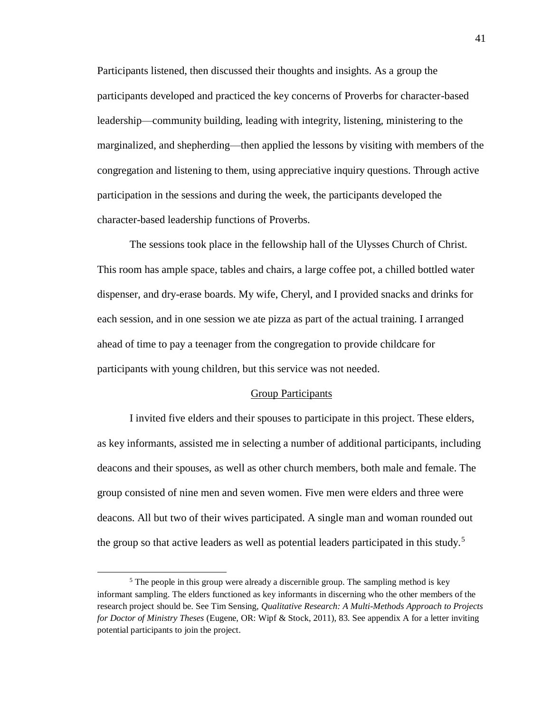Participants listened, then discussed their thoughts and insights. As a group the participants developed and practiced the key concerns of Proverbs for character-based leadership—community building, leading with integrity, listening, ministering to the marginalized, and shepherding—then applied the lessons by visiting with members of the congregation and listening to them, using appreciative inquiry questions. Through active participation in the sessions and during the week, the participants developed the character-based leadership functions of Proverbs.

The sessions took place in the fellowship hall of the Ulysses Church of Christ. This room has ample space, tables and chairs, a large coffee pot, a chilled bottled water dispenser, and dry-erase boards. My wife, Cheryl, and I provided snacks and drinks for each session, and in one session we ate pizza as part of the actual training. I arranged ahead of time to pay a teenager from the congregation to provide childcare for participants with young children, but this service was not needed.

#### Group Participants

I invited five elders and their spouses to participate in this project. These elders, as key informants, assisted me in selecting a number of additional participants, including deacons and their spouses, as well as other church members, both male and female. The group consisted of nine men and seven women. Five men were elders and three were deacons. All but two of their wives participated. A single man and woman rounded out the group so that active leaders as well as potential leaders participated in this study.<sup>5</sup>

<sup>&</sup>lt;sup>5</sup> The people in this group were already a discernible group. The sampling method is key informant sampling. The elders functioned as key informants in discerning who the other members of the research project should be. See Tim Sensing, *Qualitative Research: A Multi-Methods Approach to Projects for Doctor of Ministry Theses* (Eugene, OR: Wipf & Stock, 2011), 83. See appendix A for a letter inviting potential participants to join the project.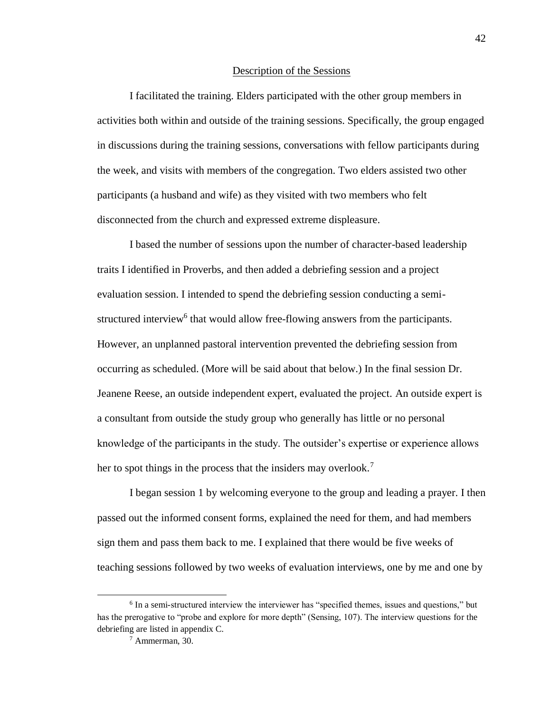#### Description of the Sessions

I facilitated the training. Elders participated with the other group members in activities both within and outside of the training sessions. Specifically, the group engaged in discussions during the training sessions, conversations with fellow participants during the week, and visits with members of the congregation. Two elders assisted two other participants (a husband and wife) as they visited with two members who felt disconnected from the church and expressed extreme displeasure.

I based the number of sessions upon the number of character-based leadership traits I identified in Proverbs, and then added a debriefing session and a project evaluation session. I intended to spend the debriefing session conducting a semistructured interview<sup>6</sup> that would allow free-flowing answers from the participants. However, an unplanned pastoral intervention prevented the debriefing session from occurring as scheduled. (More will be said about that below.) In the final session Dr. Jeanene Reese, an outside independent expert, evaluated the project. An outside expert is a consultant from outside the study group who generally has little or no personal knowledge of the participants in the study. The outsider's expertise or experience allows her to spot things in the process that the insiders may overlook.<sup>7</sup>

I began session 1 by welcoming everyone to the group and leading a prayer. I then passed out the informed consent forms, explained the need for them, and had members sign them and pass them back to me. I explained that there would be five weeks of teaching sessions followed by two weeks of evaluation interviews, one by me and one by

<sup>&</sup>lt;sup>6</sup> In a semi-structured interview the interviewer has "specified themes, issues and questions," but has the prerogative to "probe and explore for more depth" (Sensing, 107). The interview questions for the debriefing are listed in appendix C.

<sup>7</sup> Ammerman, 30.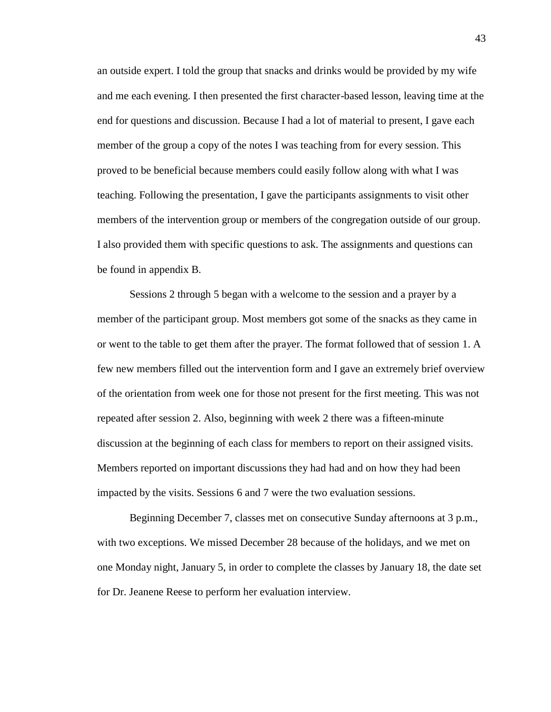an outside expert. I told the group that snacks and drinks would be provided by my wife and me each evening. I then presented the first character-based lesson, leaving time at the end for questions and discussion. Because I had a lot of material to present, I gave each member of the group a copy of the notes I was teaching from for every session. This proved to be beneficial because members could easily follow along with what I was teaching. Following the presentation, I gave the participants assignments to visit other members of the intervention group or members of the congregation outside of our group. I also provided them with specific questions to ask. The assignments and questions can be found in appendix B.

Sessions 2 through 5 began with a welcome to the session and a prayer by a member of the participant group. Most members got some of the snacks as they came in or went to the table to get them after the prayer. The format followed that of session 1. A few new members filled out the intervention form and I gave an extremely brief overview of the orientation from week one for those not present for the first meeting. This was not repeated after session 2. Also, beginning with week 2 there was a fifteen-minute discussion at the beginning of each class for members to report on their assigned visits. Members reported on important discussions they had had and on how they had been impacted by the visits. Sessions 6 and 7 were the two evaluation sessions.

Beginning December 7, classes met on consecutive Sunday afternoons at 3 p.m., with two exceptions. We missed December 28 because of the holidays, and we met on one Monday night, January 5, in order to complete the classes by January 18, the date set for Dr. Jeanene Reese to perform her evaluation interview.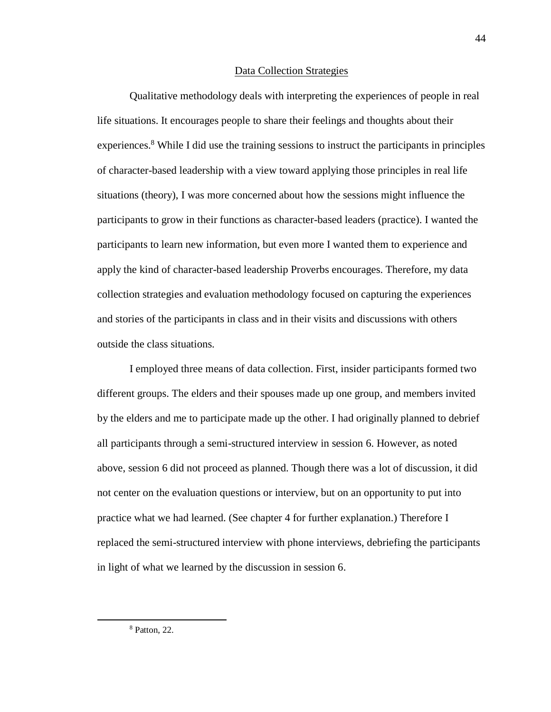### Data Collection Strategies

Qualitative methodology deals with interpreting the experiences of people in real life situations. It encourages people to share their feelings and thoughts about their experiences.<sup>8</sup> While I did use the training sessions to instruct the participants in principles of character-based leadership with a view toward applying those principles in real life situations (theory), I was more concerned about how the sessions might influence the participants to grow in their functions as character-based leaders (practice). I wanted the participants to learn new information, but even more I wanted them to experience and apply the kind of character-based leadership Proverbs encourages. Therefore, my data collection strategies and evaluation methodology focused on capturing the experiences and stories of the participants in class and in their visits and discussions with others outside the class situations.

I employed three means of data collection. First, insider participants formed two different groups. The elders and their spouses made up one group, and members invited by the elders and me to participate made up the other. I had originally planned to debrief all participants through a semi-structured interview in session 6. However, as noted above, session 6 did not proceed as planned. Though there was a lot of discussion, it did not center on the evaluation questions or interview, but on an opportunity to put into practice what we had learned. (See chapter 4 for further explanation.) Therefore I replaced the semi-structured interview with phone interviews, debriefing the participants in light of what we learned by the discussion in session 6.

<sup>8</sup> Patton, 22.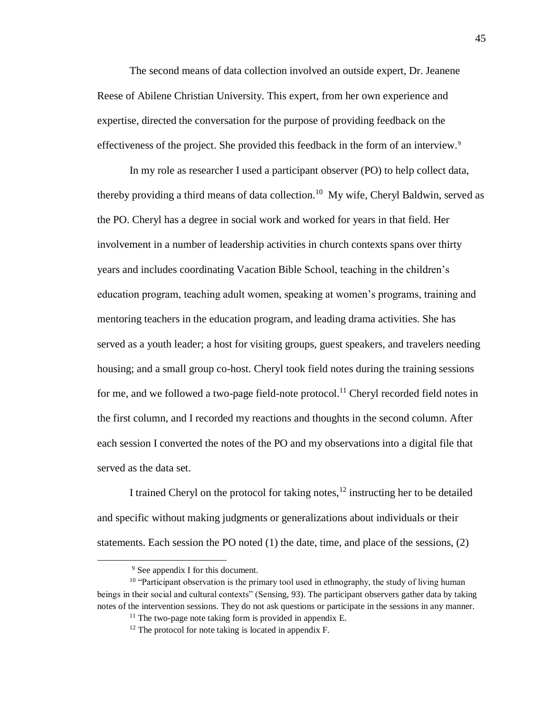The second means of data collection involved an outside expert, Dr. Jeanene Reese of Abilene Christian University. This expert, from her own experience and expertise, directed the conversation for the purpose of providing feedback on the effectiveness of the project. She provided this feedback in the form of an interview.<sup>9</sup>

In my role as researcher I used a participant observer (PO) to help collect data, thereby providing a third means of data collection.<sup>10</sup> My wife, Cheryl Baldwin, served as the PO. Cheryl has a degree in social work and worked for years in that field. Her involvement in a number of leadership activities in church contexts spans over thirty years and includes coordinating Vacation Bible School, teaching in the children's education program, teaching adult women, speaking at women's programs, training and mentoring teachers in the education program, and leading drama activities. She has served as a youth leader; a host for visiting groups, guest speakers, and travelers needing housing; and a small group co-host. Cheryl took field notes during the training sessions for me, and we followed a two-page field-note protocol.<sup>11</sup> Cheryl recorded field notes in the first column, and I recorded my reactions and thoughts in the second column. After each session I converted the notes of the PO and my observations into a digital file that served as the data set.

I trained Cheryl on the protocol for taking notes, $^{12}$  instructing her to be detailed and specific without making judgments or generalizations about individuals or their statements. Each session the PO noted (1) the date, time, and place of the sessions, (2)

<sup>&</sup>lt;sup>9</sup> See appendix I for this document.

<sup>&</sup>lt;sup>10</sup> "Participant observation is the primary tool used in ethnography, the study of living human beings in their social and cultural contexts" (Sensing, 93). The participant observers gather data by taking notes of the intervention sessions. They do not ask questions or participate in the sessions in any manner.

 $11$  The two-page note taking form is provided in appendix E.

<sup>&</sup>lt;sup>12</sup> The protocol for note taking is located in appendix F.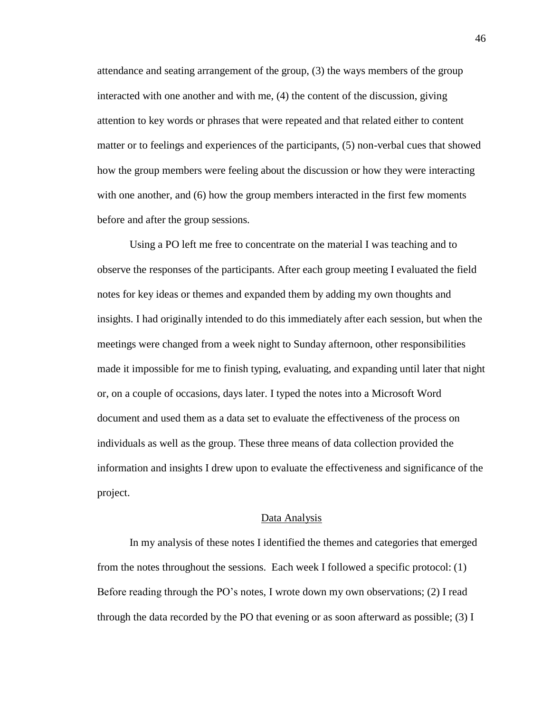attendance and seating arrangement of the group, (3) the ways members of the group interacted with one another and with me, (4) the content of the discussion, giving attention to key words or phrases that were repeated and that related either to content matter or to feelings and experiences of the participants, (5) non-verbal cues that showed how the group members were feeling about the discussion or how they were interacting with one another, and (6) how the group members interacted in the first few moments before and after the group sessions.

Using a PO left me free to concentrate on the material I was teaching and to observe the responses of the participants. After each group meeting I evaluated the field notes for key ideas or themes and expanded them by adding my own thoughts and insights. I had originally intended to do this immediately after each session, but when the meetings were changed from a week night to Sunday afternoon, other responsibilities made it impossible for me to finish typing, evaluating, and expanding until later that night or, on a couple of occasions, days later. I typed the notes into a Microsoft Word document and used them as a data set to evaluate the effectiveness of the process on individuals as well as the group. These three means of data collection provided the information and insights I drew upon to evaluate the effectiveness and significance of the project.

#### Data Analysis

In my analysis of these notes I identified the themes and categories that emerged from the notes throughout the sessions. Each week I followed a specific protocol: (1) Before reading through the PO's notes, I wrote down my own observations; (2) I read through the data recorded by the PO that evening or as soon afterward as possible;  $(3)$  I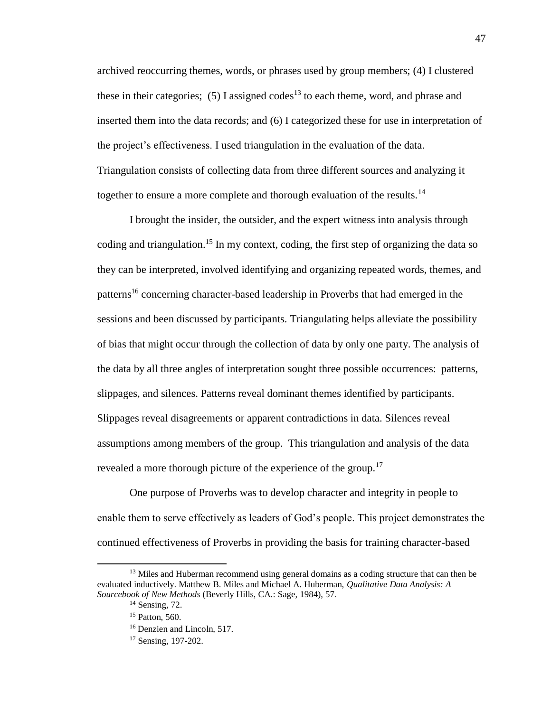archived reoccurring themes, words, or phrases used by group members; (4) I clustered these in their categories; (5) I assigned codes<sup>13</sup> to each theme, word, and phrase and inserted them into the data records; and (6) I categorized these for use in interpretation of the project's effectiveness. I used triangulation in the evaluation of the data. Triangulation consists of collecting data from three different sources and analyzing it together to ensure a more complete and thorough evaluation of the results.<sup>14</sup>

I brought the insider, the outsider, and the expert witness into analysis through coding and triangulation.<sup>15</sup> In my context, coding, the first step of organizing the data so they can be interpreted, involved identifying and organizing repeated words, themes, and patterns<sup>16</sup> concerning character-based leadership in Proverbs that had emerged in the sessions and been discussed by participants. Triangulating helps alleviate the possibility of bias that might occur through the collection of data by only one party. The analysis of the data by all three angles of interpretation sought three possible occurrences: patterns, slippages, and silences. Patterns reveal dominant themes identified by participants. Slippages reveal disagreements or apparent contradictions in data. Silences reveal assumptions among members of the group. This triangulation and analysis of the data revealed a more thorough picture of the experience of the group.<sup>17</sup>

One purpose of Proverbs was to develop character and integrity in people to enable them to serve effectively as leaders of God's people. This project demonstrates the continued effectiveness of Proverbs in providing the basis for training character-based

<sup>&</sup>lt;sup>13</sup> Miles and Huberman recommend using general domains as a coding structure that can then be evaluated inductively. Matthew B. Miles and Michael A. Huberman, *Qualitative Data Analysis: A Sourcebook of New Methods* (Beverly Hills, CA.: Sage, 1984), 57.

 $14$  Sensing, 72.

<sup>&</sup>lt;sup>15</sup> Patton, 560.

<sup>&</sup>lt;sup>16</sup> Denzien and Lincoln, 517.

<sup>17</sup> Sensing, 197-202.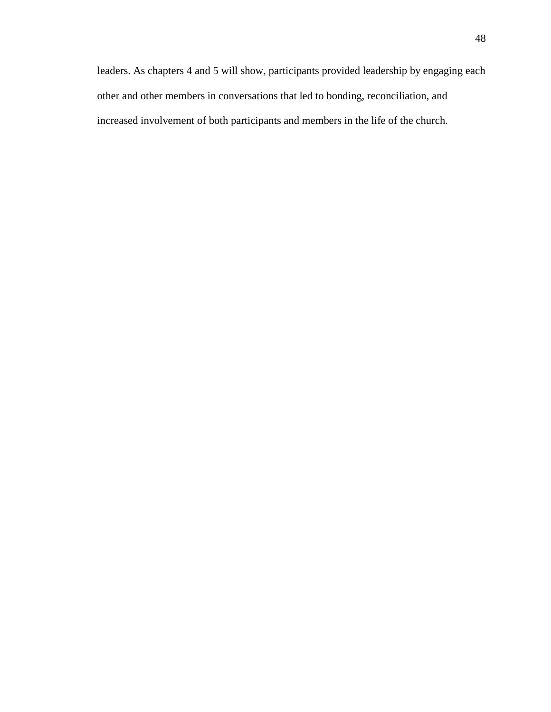leaders. As chapters 4 and 5 will show, participants provided leadership by engaging each other and other members in conversations that led to bonding, reconciliation, and increased involvement of both participants and members in the life of the church.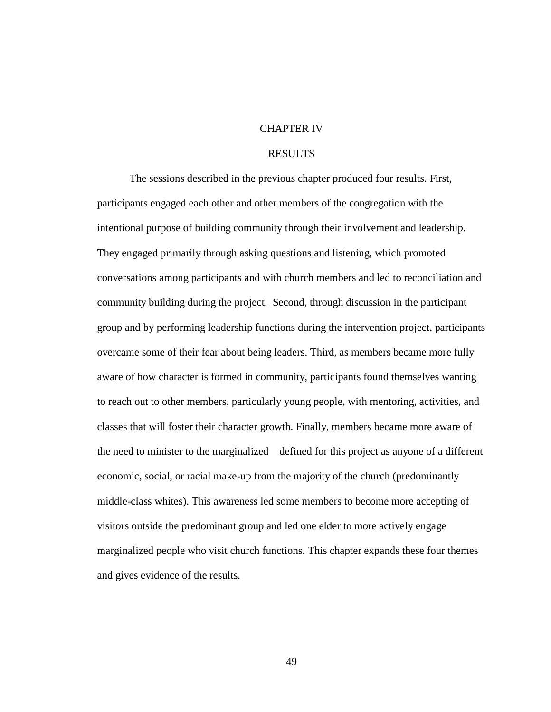## CHAPTER IV

# RESULTS

The sessions described in the previous chapter produced four results. First, participants engaged each other and other members of the congregation with the intentional purpose of building community through their involvement and leadership. They engaged primarily through asking questions and listening, which promoted conversations among participants and with church members and led to reconciliation and community building during the project. Second, through discussion in the participant group and by performing leadership functions during the intervention project, participants overcame some of their fear about being leaders. Third, as members became more fully aware of how character is formed in community, participants found themselves wanting to reach out to other members, particularly young people, with mentoring, activities, and classes that will foster their character growth. Finally, members became more aware of the need to minister to the marginalized—defined for this project as anyone of a different economic, social, or racial make-up from the majority of the church (predominantly middle-class whites). This awareness led some members to become more accepting of visitors outside the predominant group and led one elder to more actively engage marginalized people who visit church functions. This chapter expands these four themes and gives evidence of the results.

49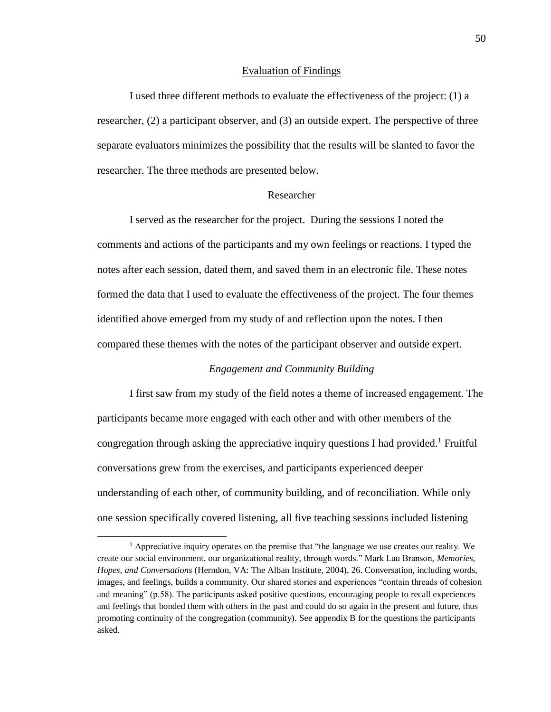## Evaluation of Findings

I used three different methods to evaluate the effectiveness of the project: (1) a researcher, (2) a participant observer, and (3) an outside expert. The perspective of three separate evaluators minimizes the possibility that the results will be slanted to favor the researcher. The three methods are presented below.

# Researcher

I served as the researcher for the project. During the sessions I noted the comments and actions of the participants and my own feelings or reactions. I typed the notes after each session, dated them, and saved them in an electronic file. These notes formed the data that I used to evaluate the effectiveness of the project. The four themes identified above emerged from my study of and reflection upon the notes. I then compared these themes with the notes of the participant observer and outside expert.

# *Engagement and Community Building*

I first saw from my study of the field notes a theme of increased engagement. The participants became more engaged with each other and with other members of the congregation through asking the appreciative inquiry questions I had provided.<sup>1</sup> Fruitful conversations grew from the exercises, and participants experienced deeper understanding of each other, of community building, and of reconciliation. While only one session specifically covered listening, all five teaching sessions included listening

<sup>&</sup>lt;sup>1</sup> Appreciative inquiry operates on the premise that "the language we use creates our reality. We create our social environment, our organizational reality, through words." Mark Lau Branson, *Memories, Hopes, and Conversations* (Herndon, VA: The Alban Institute, 2004), 26. Conversation, including words, images, and feelings, builds a community. Our shared stories and experiences "contain threads of cohesion and meaning" (p.58). The participants asked positive questions, encouraging people to recall experiences and feelings that bonded them with others in the past and could do so again in the present and future, thus promoting continuity of the congregation (community). See appendix B for the questions the participants asked.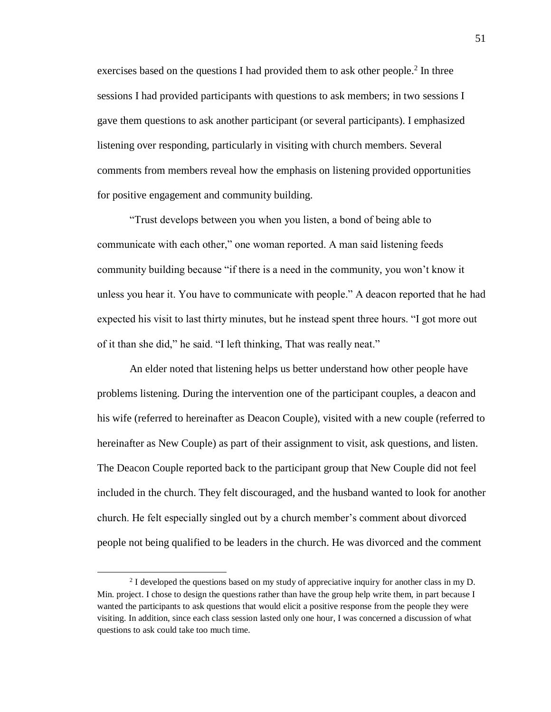exercises based on the questions I had provided them to ask other people.<sup>2</sup> In three sessions I had provided participants with questions to ask members; in two sessions I gave them questions to ask another participant (or several participants). I emphasized listening over responding, particularly in visiting with church members. Several comments from members reveal how the emphasis on listening provided opportunities for positive engagement and community building.

"Trust develops between you when you listen, a bond of being able to communicate with each other," one woman reported. A man said listening feeds community building because "if there is a need in the community, you won't know it unless you hear it. You have to communicate with people." A deacon reported that he had expected his visit to last thirty minutes, but he instead spent three hours. "I got more out of it than she did," he said. "I left thinking, That was really neat."

An elder noted that listening helps us better understand how other people have problems listening. During the intervention one of the participant couples, a deacon and his wife (referred to hereinafter as Deacon Couple), visited with a new couple (referred to hereinafter as New Couple) as part of their assignment to visit, ask questions, and listen. The Deacon Couple reported back to the participant group that New Couple did not feel included in the church. They felt discouraged, and the husband wanted to look for another church. He felt especially singled out by a church member's comment about divorced people not being qualified to be leaders in the church. He was divorced and the comment

 $2<sup>2</sup>$  I developed the questions based on my study of appreciative inquiry for another class in my D. Min. project. I chose to design the questions rather than have the group help write them, in part because I wanted the participants to ask questions that would elicit a positive response from the people they were visiting. In addition, since each class session lasted only one hour, I was concerned a discussion of what questions to ask could take too much time.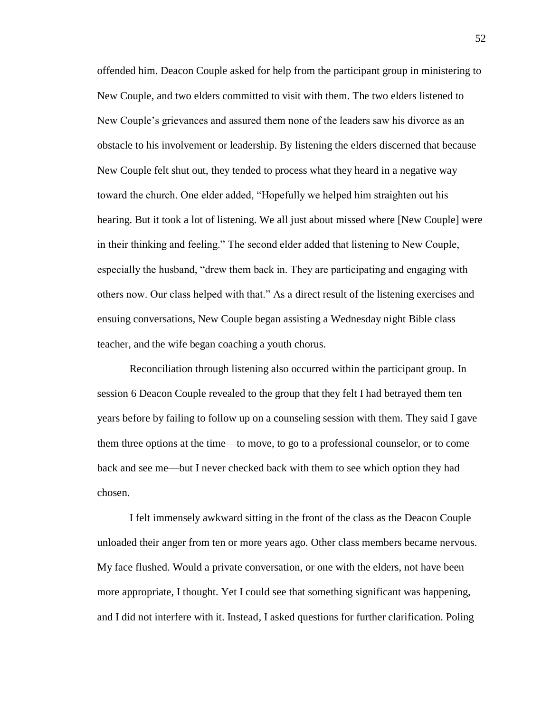offended him. Deacon Couple asked for help from the participant group in ministering to New Couple, and two elders committed to visit with them. The two elders listened to New Couple's grievances and assured them none of the leaders saw his divorce as an obstacle to his involvement or leadership. By listening the elders discerned that because New Couple felt shut out, they tended to process what they heard in a negative way toward the church. One elder added, "Hopefully we helped him straighten out his hearing. But it took a lot of listening. We all just about missed where [New Couple] were in their thinking and feeling." The second elder added that listening to New Couple, especially the husband, "drew them back in. They are participating and engaging with others now. Our class helped with that." As a direct result of the listening exercises and ensuing conversations, New Couple began assisting a Wednesday night Bible class teacher, and the wife began coaching a youth chorus.

Reconciliation through listening also occurred within the participant group. In session 6 Deacon Couple revealed to the group that they felt I had betrayed them ten years before by failing to follow up on a counseling session with them. They said I gave them three options at the time—to move, to go to a professional counselor, or to come back and see me—but I never checked back with them to see which option they had chosen.

I felt immensely awkward sitting in the front of the class as the Deacon Couple unloaded their anger from ten or more years ago. Other class members became nervous. My face flushed. Would a private conversation, or one with the elders, not have been more appropriate, I thought. Yet I could see that something significant was happening, and I did not interfere with it. Instead, I asked questions for further clarification. Poling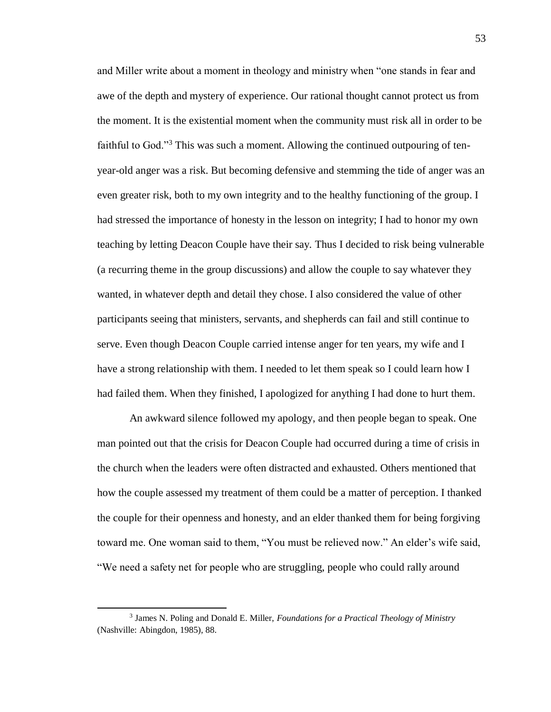and Miller write about a moment in theology and ministry when "one stands in fear and awe of the depth and mystery of experience. Our rational thought cannot protect us from the moment. It is the existential moment when the community must risk all in order to be faithful to God."<sup>3</sup> This was such a moment. Allowing the continued outpouring of tenyear-old anger was a risk. But becoming defensive and stemming the tide of anger was an even greater risk, both to my own integrity and to the healthy functioning of the group. I had stressed the importance of honesty in the lesson on integrity; I had to honor my own teaching by letting Deacon Couple have their say. Thus I decided to risk being vulnerable (a recurring theme in the group discussions) and allow the couple to say whatever they wanted, in whatever depth and detail they chose. I also considered the value of other participants seeing that ministers, servants, and shepherds can fail and still continue to serve. Even though Deacon Couple carried intense anger for ten years, my wife and I have a strong relationship with them. I needed to let them speak so I could learn how I had failed them. When they finished, I apologized for anything I had done to hurt them.

An awkward silence followed my apology, and then people began to speak. One man pointed out that the crisis for Deacon Couple had occurred during a time of crisis in the church when the leaders were often distracted and exhausted. Others mentioned that how the couple assessed my treatment of them could be a matter of perception. I thanked the couple for their openness and honesty, and an elder thanked them for being forgiving toward me. One woman said to them, "You must be relieved now." An elder's wife said, "We need a safety net for people who are struggling, people who could rally around

<sup>3</sup> James N. Poling and Donald E. Miller, *Foundations for a Practical Theology of Ministry* (Nashville: Abingdon, 1985), 88.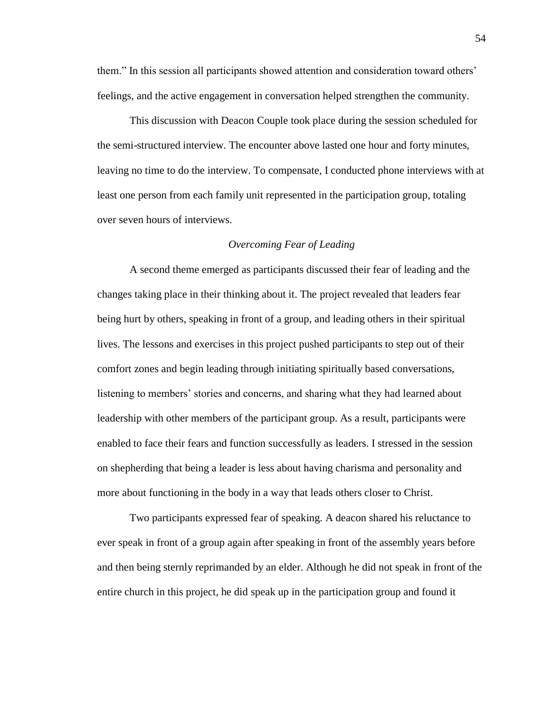them." In this session all participants showed attention and consideration toward others' feelings, and the active engagement in conversation helped strengthen the community.

This discussion with Deacon Couple took place during the session scheduled for the semi-structured interview. The encounter above lasted one hour and forty minutes, leaving no time to do the interview. To compensate, I conducted phone interviews with at least one person from each family unit represented in the participation group, totaling over seven hours of interviews.

# *Overcoming Fear of Leading*

A second theme emerged as participants discussed their fear of leading and the changes taking place in their thinking about it. The project revealed that leaders fear being hurt by others, speaking in front of a group, and leading others in their spiritual lives. The lessons and exercises in this project pushed participants to step out of their comfort zones and begin leading through initiating spiritually based conversations, listening to members' stories and concerns, and sharing what they had learned about leadership with other members of the participant group. As a result, participants were enabled to face their fears and function successfully as leaders. I stressed in the session on shepherding that being a leader is less about having charisma and personality and more about functioning in the body in a way that leads others closer to Christ.

Two participants expressed fear of speaking. A deacon shared his reluctance to ever speak in front of a group again after speaking in front of the assembly years before and then being sternly reprimanded by an elder. Although he did not speak in front of the entire church in this project, he did speak up in the participation group and found it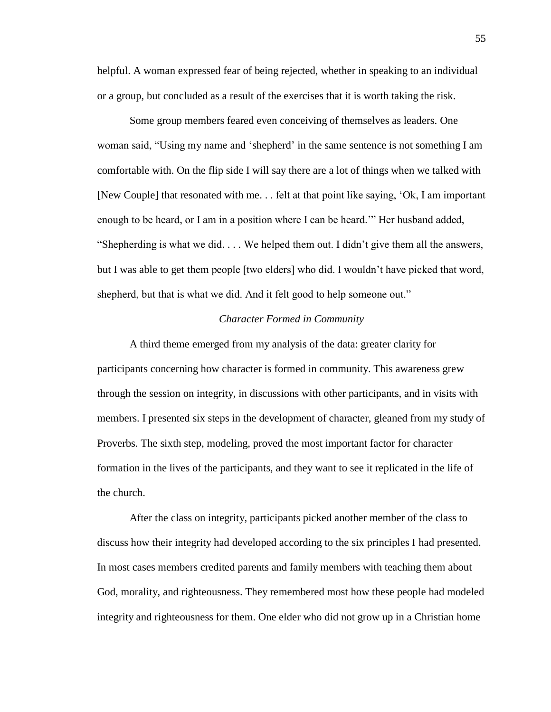helpful. A woman expressed fear of being rejected, whether in speaking to an individual or a group, but concluded as a result of the exercises that it is worth taking the risk.

Some group members feared even conceiving of themselves as leaders. One woman said, "Using my name and 'shepherd' in the same sentence is not something I am comfortable with. On the flip side I will say there are a lot of things when we talked with [New Couple] that resonated with me. . . felt at that point like saying, 'Ok, I am important enough to be heard, or I am in a position where I can be heard.'" Her husband added, "Shepherding is what we did. . . . We helped them out. I didn't give them all the answers, but I was able to get them people [two elders] who did. I wouldn't have picked that word, shepherd, but that is what we did. And it felt good to help someone out."

# *Character Formed in Community*

A third theme emerged from my analysis of the data: greater clarity for participants concerning how character is formed in community. This awareness grew through the session on integrity, in discussions with other participants, and in visits with members. I presented six steps in the development of character, gleaned from my study of Proverbs. The sixth step, modeling, proved the most important factor for character formation in the lives of the participants, and they want to see it replicated in the life of the church.

After the class on integrity, participants picked another member of the class to discuss how their integrity had developed according to the six principles I had presented. In most cases members credited parents and family members with teaching them about God, morality, and righteousness. They remembered most how these people had modeled integrity and righteousness for them. One elder who did not grow up in a Christian home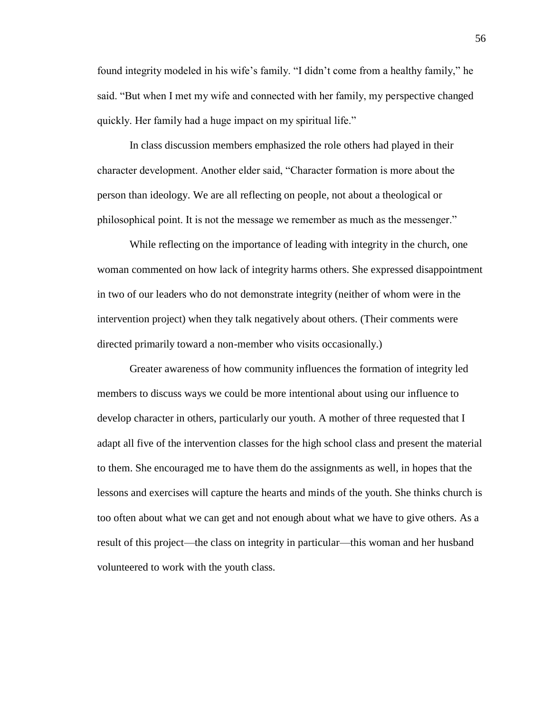found integrity modeled in his wife's family. "I didn't come from a healthy family," he said. "But when I met my wife and connected with her family, my perspective changed quickly. Her family had a huge impact on my spiritual life."

In class discussion members emphasized the role others had played in their character development. Another elder said, "Character formation is more about the person than ideology. We are all reflecting on people, not about a theological or philosophical point. It is not the message we remember as much as the messenger."

While reflecting on the importance of leading with integrity in the church, one woman commented on how lack of integrity harms others. She expressed disappointment in two of our leaders who do not demonstrate integrity (neither of whom were in the intervention project) when they talk negatively about others. (Their comments were directed primarily toward a non-member who visits occasionally.)

Greater awareness of how community influences the formation of integrity led members to discuss ways we could be more intentional about using our influence to develop character in others, particularly our youth. A mother of three requested that I adapt all five of the intervention classes for the high school class and present the material to them. She encouraged me to have them do the assignments as well, in hopes that the lessons and exercises will capture the hearts and minds of the youth. She thinks church is too often about what we can get and not enough about what we have to give others. As a result of this project—the class on integrity in particular—this woman and her husband volunteered to work with the youth class.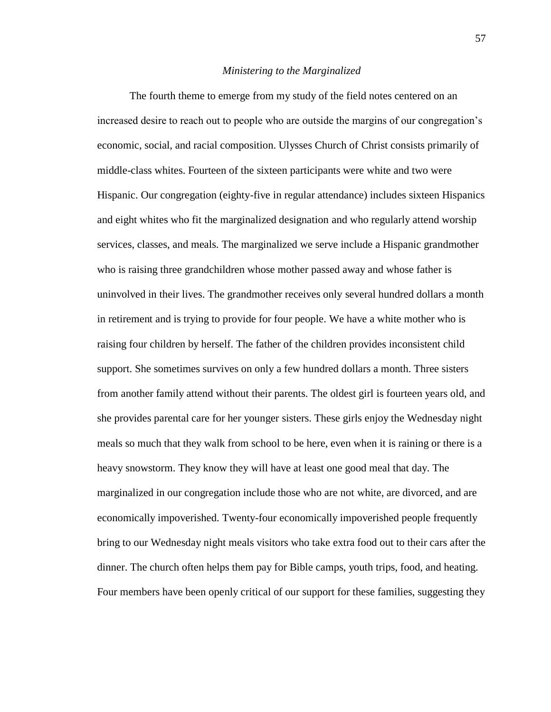## *Ministering to the Marginalized*

The fourth theme to emerge from my study of the field notes centered on an increased desire to reach out to people who are outside the margins of our congregation's economic, social, and racial composition. Ulysses Church of Christ consists primarily of middle-class whites. Fourteen of the sixteen participants were white and two were Hispanic. Our congregation (eighty-five in regular attendance) includes sixteen Hispanics and eight whites who fit the marginalized designation and who regularly attend worship services, classes, and meals. The marginalized we serve include a Hispanic grandmother who is raising three grandchildren whose mother passed away and whose father is uninvolved in their lives. The grandmother receives only several hundred dollars a month in retirement and is trying to provide for four people. We have a white mother who is raising four children by herself. The father of the children provides inconsistent child support. She sometimes survives on only a few hundred dollars a month. Three sisters from another family attend without their parents. The oldest girl is fourteen years old, and she provides parental care for her younger sisters. These girls enjoy the Wednesday night meals so much that they walk from school to be here, even when it is raining or there is a heavy snowstorm. They know they will have at least one good meal that day. The marginalized in our congregation include those who are not white, are divorced, and are economically impoverished. Twenty-four economically impoverished people frequently bring to our Wednesday night meals visitors who take extra food out to their cars after the dinner. The church often helps them pay for Bible camps, youth trips, food, and heating. Four members have been openly critical of our support for these families, suggesting they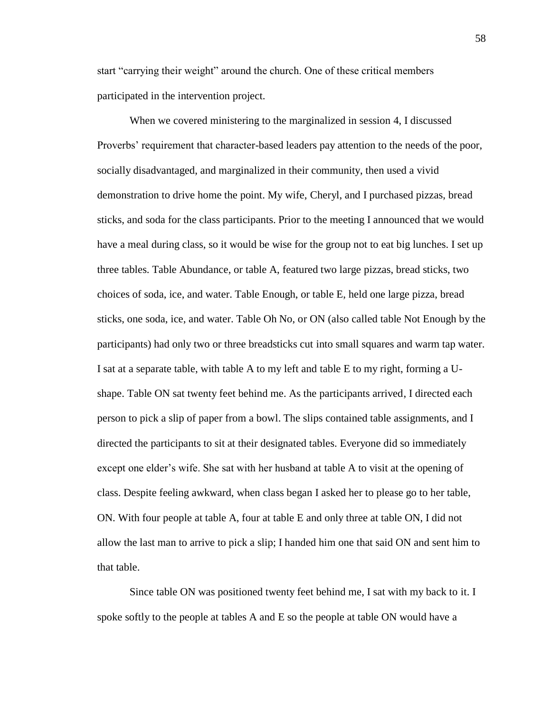start "carrying their weight" around the church. One of these critical members participated in the intervention project.

When we covered ministering to the marginalized in session 4, I discussed Proverbs' requirement that character-based leaders pay attention to the needs of the poor, socially disadvantaged, and marginalized in their community, then used a vivid demonstration to drive home the point. My wife, Cheryl, and I purchased pizzas, bread sticks, and soda for the class participants. Prior to the meeting I announced that we would have a meal during class, so it would be wise for the group not to eat big lunches. I set up three tables. Table Abundance, or table A, featured two large pizzas, bread sticks, two choices of soda, ice, and water. Table Enough, or table E, held one large pizza, bread sticks, one soda, ice, and water. Table Oh No, or ON (also called table Not Enough by the participants) had only two or three breadsticks cut into small squares and warm tap water. I sat at a separate table, with table A to my left and table E to my right, forming a Ushape. Table ON sat twenty feet behind me. As the participants arrived, I directed each person to pick a slip of paper from a bowl. The slips contained table assignments, and I directed the participants to sit at their designated tables. Everyone did so immediately except one elder's wife. She sat with her husband at table A to visit at the opening of class. Despite feeling awkward, when class began I asked her to please go to her table, ON. With four people at table A, four at table E and only three at table ON, I did not allow the last man to arrive to pick a slip; I handed him one that said ON and sent him to that table.

Since table ON was positioned twenty feet behind me, I sat with my back to it. I spoke softly to the people at tables A and E so the people at table ON would have a

58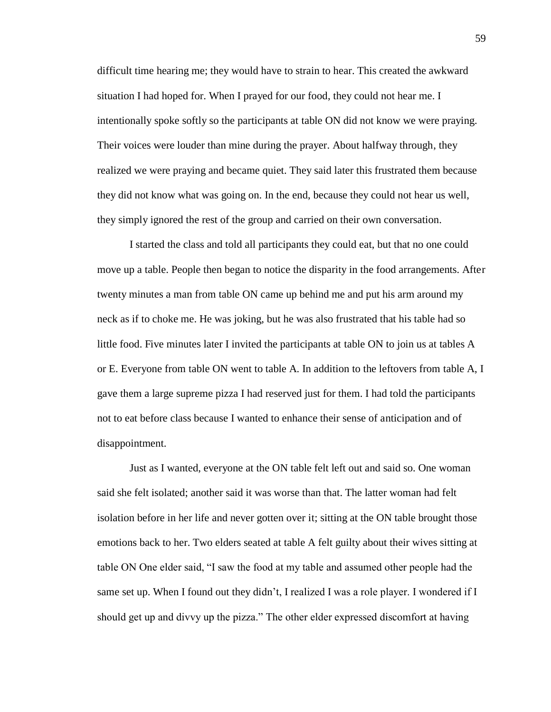difficult time hearing me; they would have to strain to hear. This created the awkward situation I had hoped for. When I prayed for our food, they could not hear me. I intentionally spoke softly so the participants at table ON did not know we were praying. Their voices were louder than mine during the prayer. About halfway through, they realized we were praying and became quiet. They said later this frustrated them because they did not know what was going on. In the end, because they could not hear us well, they simply ignored the rest of the group and carried on their own conversation.

I started the class and told all participants they could eat, but that no one could move up a table. People then began to notice the disparity in the food arrangements. After twenty minutes a man from table ON came up behind me and put his arm around my neck as if to choke me. He was joking, but he was also frustrated that his table had so little food. Five minutes later I invited the participants at table ON to join us at tables A or E. Everyone from table ON went to table A. In addition to the leftovers from table A, I gave them a large supreme pizza I had reserved just for them. I had told the participants not to eat before class because I wanted to enhance their sense of anticipation and of disappointment.

Just as I wanted, everyone at the ON table felt left out and said so. One woman said she felt isolated; another said it was worse than that. The latter woman had felt isolation before in her life and never gotten over it; sitting at the ON table brought those emotions back to her. Two elders seated at table A felt guilty about their wives sitting at table ON One elder said, "I saw the food at my table and assumed other people had the same set up. When I found out they didn't, I realized I was a role player. I wondered if I should get up and divvy up the pizza." The other elder expressed discomfort at having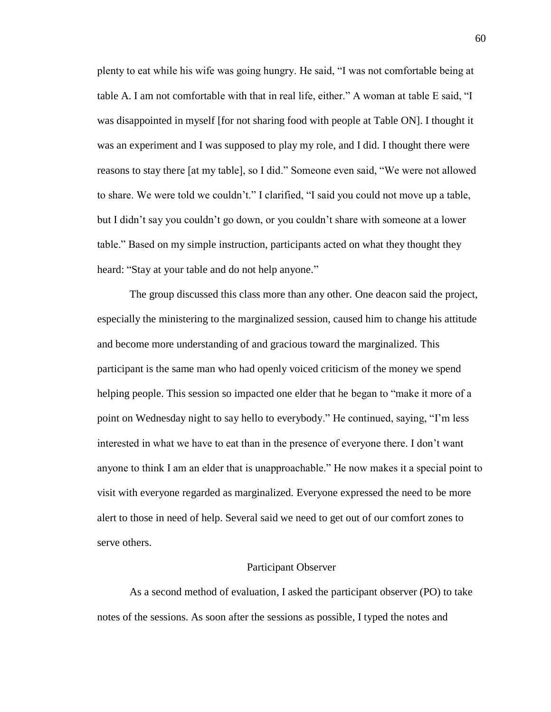plenty to eat while his wife was going hungry. He said, "I was not comfortable being at table A. I am not comfortable with that in real life, either." A woman at table E said, "I was disappointed in myself [for not sharing food with people at Table ON]. I thought it was an experiment and I was supposed to play my role, and I did. I thought there were reasons to stay there [at my table], so I did." Someone even said, "We were not allowed to share. We were told we couldn't." I clarified, "I said you could not move up a table, but I didn't say you couldn't go down, or you couldn't share with someone at a lower table." Based on my simple instruction, participants acted on what they thought they heard: "Stay at your table and do not help anyone."

The group discussed this class more than any other. One deacon said the project, especially the ministering to the marginalized session, caused him to change his attitude and become more understanding of and gracious toward the marginalized. This participant is the same man who had openly voiced criticism of the money we spend helping people. This session so impacted one elder that he began to "make it more of a point on Wednesday night to say hello to everybody." He continued, saying, "I'm less interested in what we have to eat than in the presence of everyone there. I don't want anyone to think I am an elder that is unapproachable." He now makes it a special point to visit with everyone regarded as marginalized. Everyone expressed the need to be more alert to those in need of help. Several said we need to get out of our comfort zones to serve others.

### Participant Observer

As a second method of evaluation, I asked the participant observer (PO) to take notes of the sessions. As soon after the sessions as possible, I typed the notes and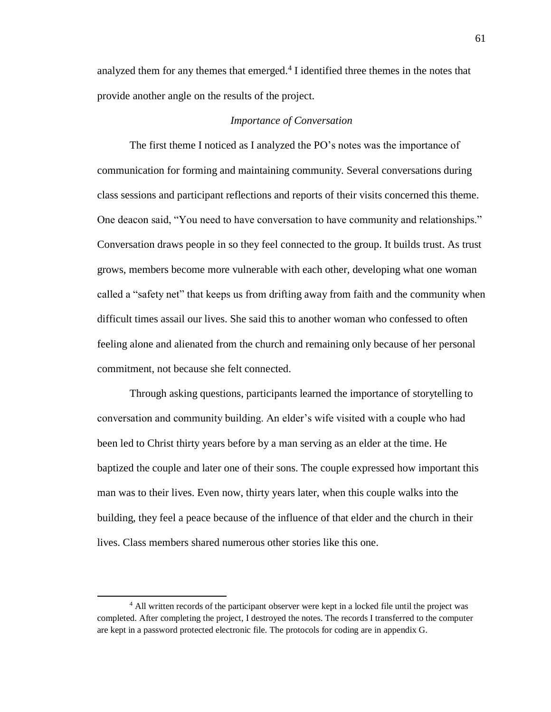analyzed them for any themes that emerged.<sup>4</sup> I identified three themes in the notes that provide another angle on the results of the project.

# *Importance of Conversation*

The first theme I noticed as I analyzed the PO's notes was the importance of communication for forming and maintaining community. Several conversations during class sessions and participant reflections and reports of their visits concerned this theme. One deacon said, "You need to have conversation to have community and relationships." Conversation draws people in so they feel connected to the group. It builds trust. As trust grows, members become more vulnerable with each other, developing what one woman called a "safety net" that keeps us from drifting away from faith and the community when difficult times assail our lives. She said this to another woman who confessed to often feeling alone and alienated from the church and remaining only because of her personal commitment, not because she felt connected.

Through asking questions, participants learned the importance of storytelling to conversation and community building. An elder's wife visited with a couple who had been led to Christ thirty years before by a man serving as an elder at the time. He baptized the couple and later one of their sons. The couple expressed how important this man was to their lives. Even now, thirty years later, when this couple walks into the building, they feel a peace because of the influence of that elder and the church in their lives. Class members shared numerous other stories like this one.

<sup>&</sup>lt;sup>4</sup> All written records of the participant observer were kept in a locked file until the project was completed. After completing the project, I destroyed the notes. The records I transferred to the computer are kept in a password protected electronic file. The protocols for coding are in appendix G.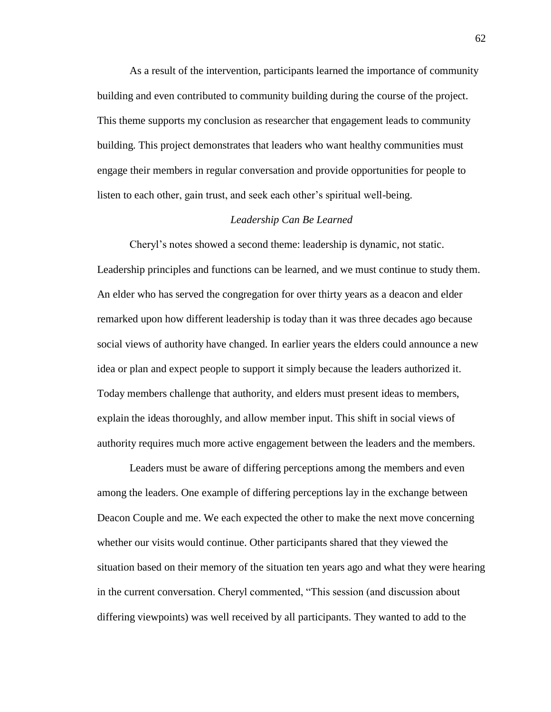As a result of the intervention, participants learned the importance of community building and even contributed to community building during the course of the project. This theme supports my conclusion as researcher that engagement leads to community building. This project demonstrates that leaders who want healthy communities must engage their members in regular conversation and provide opportunities for people to listen to each other, gain trust, and seek each other's spiritual well-being.

#### *Leadership Can Be Learned*

Cheryl's notes showed a second theme: leadership is dynamic, not static. Leadership principles and functions can be learned, and we must continue to study them. An elder who has served the congregation for over thirty years as a deacon and elder remarked upon how different leadership is today than it was three decades ago because social views of authority have changed. In earlier years the elders could announce a new idea or plan and expect people to support it simply because the leaders authorized it. Today members challenge that authority, and elders must present ideas to members, explain the ideas thoroughly, and allow member input. This shift in social views of authority requires much more active engagement between the leaders and the members.

Leaders must be aware of differing perceptions among the members and even among the leaders. One example of differing perceptions lay in the exchange between Deacon Couple and me. We each expected the other to make the next move concerning whether our visits would continue. Other participants shared that they viewed the situation based on their memory of the situation ten years ago and what they were hearing in the current conversation. Cheryl commented, "This session (and discussion about differing viewpoints) was well received by all participants. They wanted to add to the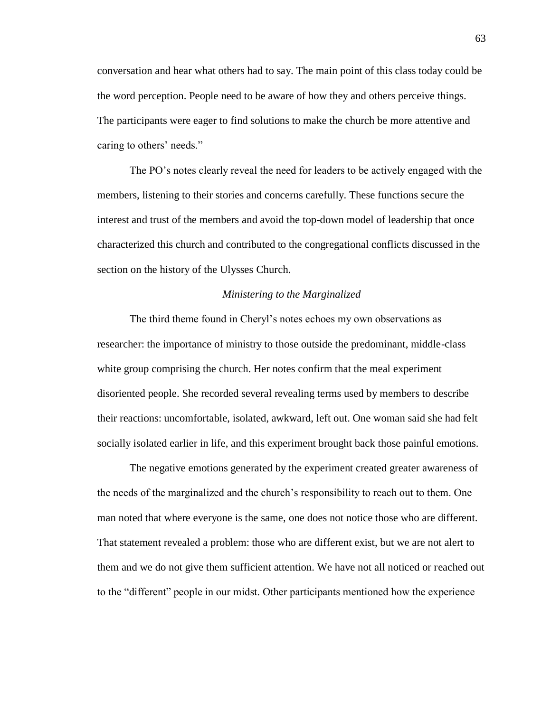conversation and hear what others had to say. The main point of this class today could be the word perception. People need to be aware of how they and others perceive things. The participants were eager to find solutions to make the church be more attentive and caring to others' needs."

The PO's notes clearly reveal the need for leaders to be actively engaged with the members, listening to their stories and concerns carefully. These functions secure the interest and trust of the members and avoid the top-down model of leadership that once characterized this church and contributed to the congregational conflicts discussed in the section on the history of the Ulysses Church.

#### *Ministering to the Marginalized*

The third theme found in Cheryl's notes echoes my own observations as researcher: the importance of ministry to those outside the predominant, middle-class white group comprising the church. Her notes confirm that the meal experiment disoriented people. She recorded several revealing terms used by members to describe their reactions: uncomfortable, isolated, awkward, left out. One woman said she had felt socially isolated earlier in life, and this experiment brought back those painful emotions.

The negative emotions generated by the experiment created greater awareness of the needs of the marginalized and the church's responsibility to reach out to them. One man noted that where everyone is the same, one does not notice those who are different. That statement revealed a problem: those who are different exist, but we are not alert to them and we do not give them sufficient attention. We have not all noticed or reached out to the "different" people in our midst. Other participants mentioned how the experience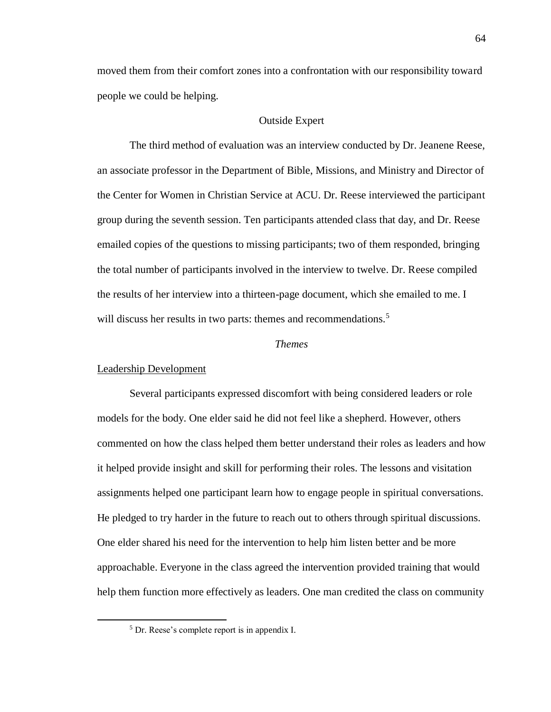moved them from their comfort zones into a confrontation with our responsibility toward people we could be helping.

### Outside Expert

The third method of evaluation was an interview conducted by Dr. Jeanene Reese, an associate professor in the Department of Bible, Missions, and Ministry and Director of the Center for Women in Christian Service at ACU. Dr. Reese interviewed the participant group during the seventh session. Ten participants attended class that day, and Dr. Reese emailed copies of the questions to missing participants; two of them responded, bringing the total number of participants involved in the interview to twelve. Dr. Reese compiled the results of her interview into a thirteen-page document, which she emailed to me. I will discuss her results in two parts: themes and recommendations.<sup>5</sup>

### *Themes*

### Leadership Development

 $\overline{a}$ 

Several participants expressed discomfort with being considered leaders or role models for the body. One elder said he did not feel like a shepherd. However, others commented on how the class helped them better understand their roles as leaders and how it helped provide insight and skill for performing their roles. The lessons and visitation assignments helped one participant learn how to engage people in spiritual conversations. He pledged to try harder in the future to reach out to others through spiritual discussions. One elder shared his need for the intervention to help him listen better and be more approachable. Everyone in the class agreed the intervention provided training that would help them function more effectively as leaders. One man credited the class on community

<sup>5</sup> Dr. Reese's complete report is in appendix I.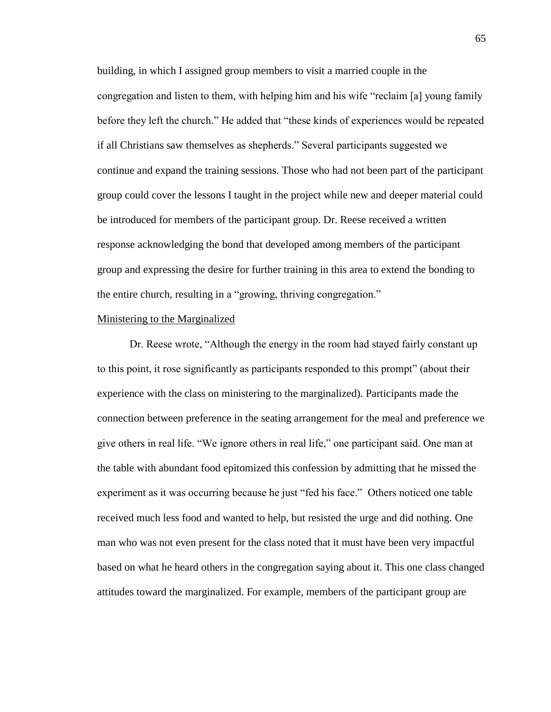building, in which I assigned group members to visit a married couple in the congregation and listen to them, with helping him and his wife "reclaim [a] young family before they left the church." He added that "these kinds of experiences would be repeated if all Christians saw themselves as shepherds." Several participants suggested we continue and expand the training sessions. Those who had not been part of the participant group could cover the lessons I taught in the project while new and deeper material could be introduced for members of the participant group. Dr. Reese received a written response acknowledging the bond that developed among members of the participant group and expressing the desire for further training in this area to extend the bonding to the entire church, resulting in a "growing, thriving congregation."

### Ministering to the Marginalized

Dr. Reese wrote, "Although the energy in the room had stayed fairly constant up to this point, it rose significantly as participants responded to this prompt" (about their experience with the class on ministering to the marginalized). Participants made the connection between preference in the seating arrangement for the meal and preference we give others in real life. "We ignore others in real life," one participant said. One man at the table with abundant food epitomized this confession by admitting that he missed the experiment as it was occurring because he just "fed his face." Others noticed one table received much less food and wanted to help, but resisted the urge and did nothing. One man who was not even present for the class noted that it must have been very impactful based on what he heard others in the congregation saying about it. This one class changed attitudes toward the marginalized. For example, members of the participant group are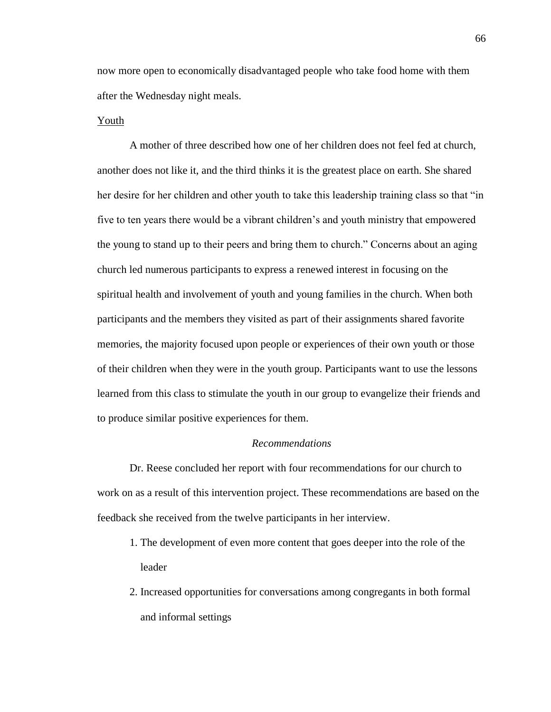now more open to economically disadvantaged people who take food home with them after the Wednesday night meals.

### Youth

A mother of three described how one of her children does not feel fed at church, another does not like it, and the third thinks it is the greatest place on earth. She shared her desire for her children and other youth to take this leadership training class so that "in five to ten years there would be a vibrant children's and youth ministry that empowered the young to stand up to their peers and bring them to church." Concerns about an aging church led numerous participants to express a renewed interest in focusing on the spiritual health and involvement of youth and young families in the church. When both participants and the members they visited as part of their assignments shared favorite memories, the majority focused upon people or experiences of their own youth or those of their children when they were in the youth group. Participants want to use the lessons learned from this class to stimulate the youth in our group to evangelize their friends and to produce similar positive experiences for them.

#### *Recommendations*

Dr. Reese concluded her report with four recommendations for our church to work on as a result of this intervention project. These recommendations are based on the feedback she received from the twelve participants in her interview.

- 1. The development of even more content that goes deeper into the role of the leader
- 2. Increased opportunities for conversations among congregants in both formal and informal settings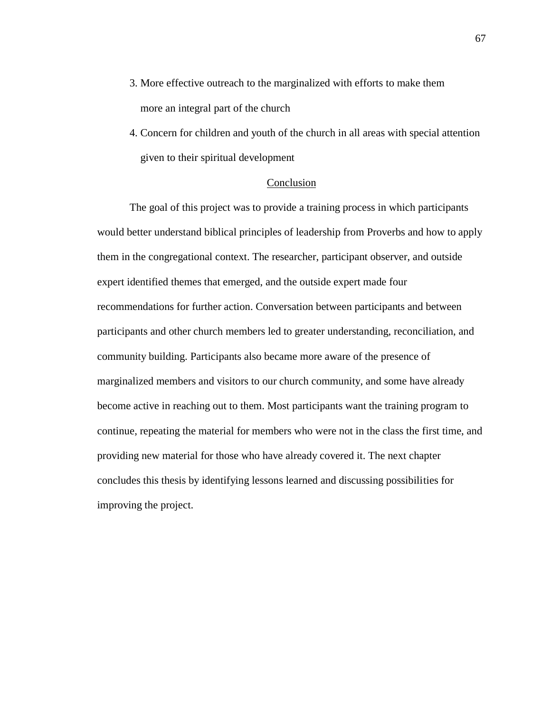- 3. More effective outreach to the marginalized with efforts to make them more an integral part of the church
- 4. Concern for children and youth of the church in all areas with special attention given to their spiritual development

### Conclusion

The goal of this project was to provide a training process in which participants would better understand biblical principles of leadership from Proverbs and how to apply them in the congregational context. The researcher, participant observer, and outside expert identified themes that emerged, and the outside expert made four recommendations for further action. Conversation between participants and between participants and other church members led to greater understanding, reconciliation, and community building. Participants also became more aware of the presence of marginalized members and visitors to our church community, and some have already become active in reaching out to them. Most participants want the training program to continue, repeating the material for members who were not in the class the first time, and providing new material for those who have already covered it. The next chapter concludes this thesis by identifying lessons learned and discussing possibilities for improving the project.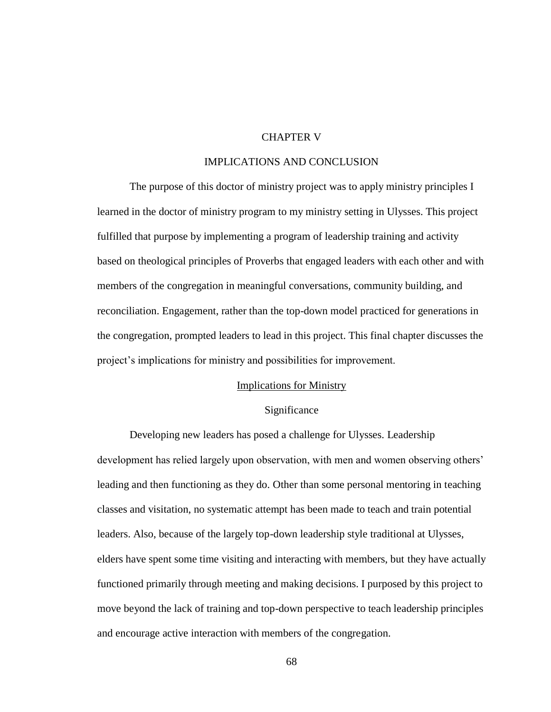### CHAPTER V

### IMPLICATIONS AND CONCLUSION

The purpose of this doctor of ministry project was to apply ministry principles I learned in the doctor of ministry program to my ministry setting in Ulysses. This project fulfilled that purpose by implementing a program of leadership training and activity based on theological principles of Proverbs that engaged leaders with each other and with members of the congregation in meaningful conversations, community building, and reconciliation. Engagement, rather than the top-down model practiced for generations in the congregation, prompted leaders to lead in this project. This final chapter discusses the project's implications for ministry and possibilities for improvement.

### Implications for Ministry

### Significance

Developing new leaders has posed a challenge for Ulysses. Leadership development has relied largely upon observation, with men and women observing others' leading and then functioning as they do. Other than some personal mentoring in teaching classes and visitation, no systematic attempt has been made to teach and train potential leaders. Also, because of the largely top-down leadership style traditional at Ulysses, elders have spent some time visiting and interacting with members, but they have actually functioned primarily through meeting and making decisions. I purposed by this project to move beyond the lack of training and top-down perspective to teach leadership principles and encourage active interaction with members of the congregation.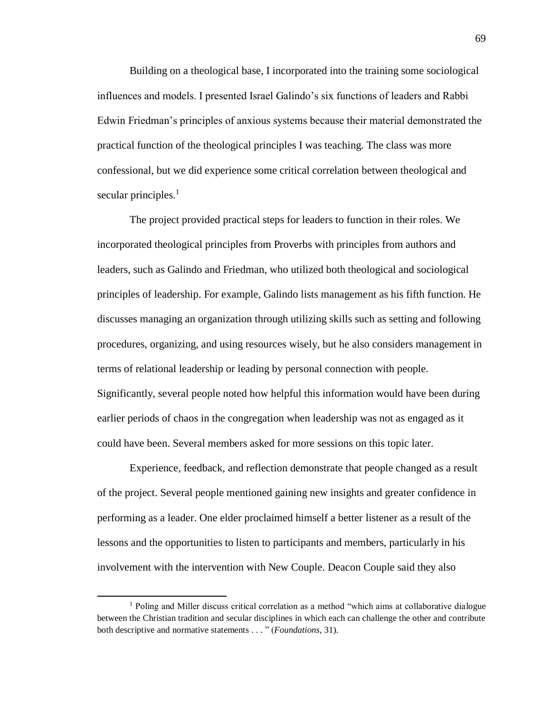Building on a theological base, I incorporated into the training some sociological influences and models. I presented Israel Galindo's six functions of leaders and Rabbi Edwin Friedman's principles of anxious systems because their material demonstrated the practical function of the theological principles I was teaching. The class was more confessional, but we did experience some critical correlation between theological and secular principles.<sup>1</sup>

The project provided practical steps for leaders to function in their roles. We incorporated theological principles from Proverbs with principles from authors and leaders, such as Galindo and Friedman, who utilized both theological and sociological principles of leadership. For example, Galindo lists management as his fifth function. He discusses managing an organization through utilizing skills such as setting and following procedures, organizing, and using resources wisely, but he also considers management in terms of relational leadership or leading by personal connection with people. Significantly, several people noted how helpful this information would have been during earlier periods of chaos in the congregation when leadership was not as engaged as it could have been. Several members asked for more sessions on this topic later.

Experience, feedback, and reflection demonstrate that people changed as a result of the project. Several people mentioned gaining new insights and greater confidence in performing as a leader. One elder proclaimed himself a better listener as a result of the lessons and the opportunities to listen to participants and members, particularly in his involvement with the intervention with New Couple. Deacon Couple said they also

l

 $<sup>1</sup>$  Poling and Miller discuss critical correlation as a method "which aims at collaborative dialogue</sup> between the Christian tradition and secular disciplines in which each can challenge the other and contribute both descriptive and normative statements . . . " (*Foundations*, 31).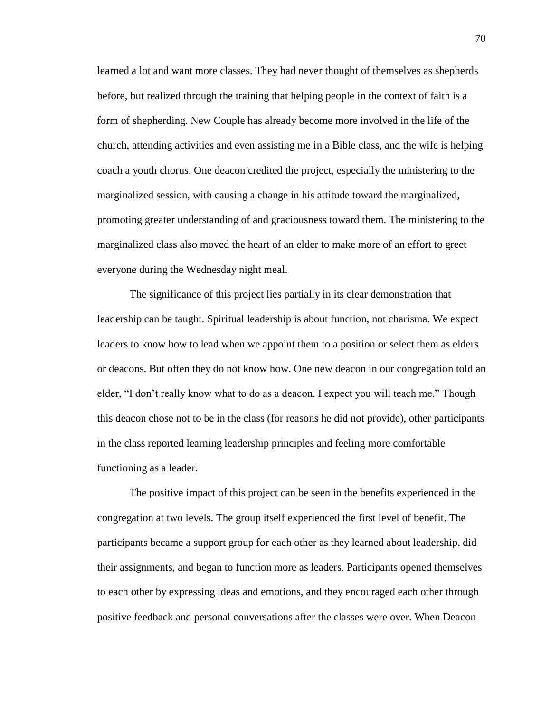learned a lot and want more classes. They had never thought of themselves as shepherds before, but realized through the training that helping people in the context of faith is a form of shepherding. New Couple has already become more involved in the life of the church, attending activities and even assisting me in a Bible class, and the wife is helping coach a youth chorus. One deacon credited the project, especially the ministering to the marginalized session, with causing a change in his attitude toward the marginalized, promoting greater understanding of and graciousness toward them. The ministering to the marginalized class also moved the heart of an elder to make more of an effort to greet everyone during the Wednesday night meal.

The significance of this project lies partially in its clear demonstration that leadership can be taught. Spiritual leadership is about function, not charisma. We expect leaders to know how to lead when we appoint them to a position or select them as elders or deacons. But often they do not know how. One new deacon in our congregation told an elder, "I don't really know what to do as a deacon. I expect you will teach me." Though this deacon chose not to be in the class (for reasons he did not provide), other participants in the class reported learning leadership principles and feeling more comfortable functioning as a leader.

The positive impact of this project can be seen in the benefits experienced in the congregation at two levels. The group itself experienced the first level of benefit. The participants became a support group for each other as they learned about leadership, did their assignments, and began to function more as leaders. Participants opened themselves to each other by expressing ideas and emotions, and they encouraged each other through positive feedback and personal conversations after the classes were over. When Deacon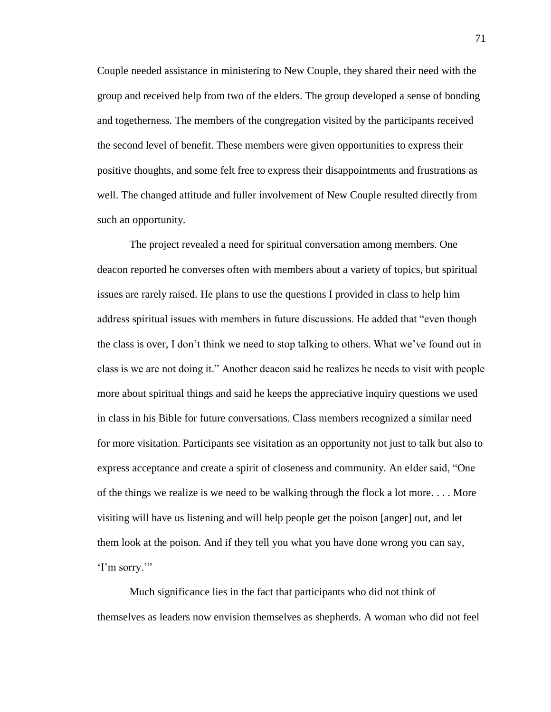Couple needed assistance in ministering to New Couple, they shared their need with the group and received help from two of the elders. The group developed a sense of bonding and togetherness. The members of the congregation visited by the participants received the second level of benefit. These members were given opportunities to express their positive thoughts, and some felt free to express their disappointments and frustrations as well. The changed attitude and fuller involvement of New Couple resulted directly from such an opportunity.

The project revealed a need for spiritual conversation among members. One deacon reported he converses often with members about a variety of topics, but spiritual issues are rarely raised. He plans to use the questions I provided in class to help him address spiritual issues with members in future discussions. He added that "even though the class is over, I don't think we need to stop talking to others. What we've found out in class is we are not doing it." Another deacon said he realizes he needs to visit with people more about spiritual things and said he keeps the appreciative inquiry questions we used in class in his Bible for future conversations. Class members recognized a similar need for more visitation. Participants see visitation as an opportunity not just to talk but also to express acceptance and create a spirit of closeness and community. An elder said, "One of the things we realize is we need to be walking through the flock a lot more. . . . More visiting will have us listening and will help people get the poison [anger] out, and let them look at the poison. And if they tell you what you have done wrong you can say, 'I'm sorry.'"

Much significance lies in the fact that participants who did not think of themselves as leaders now envision themselves as shepherds. A woman who did not feel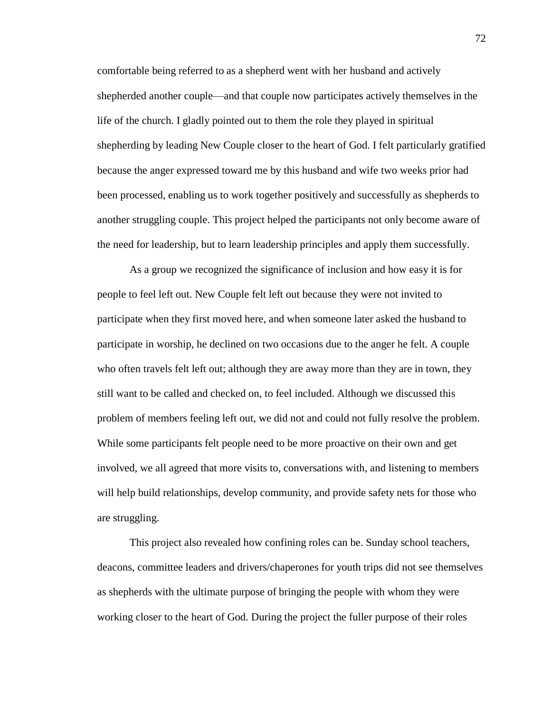comfortable being referred to as a shepherd went with her husband and actively shepherded another couple—and that couple now participates actively themselves in the life of the church. I gladly pointed out to them the role they played in spiritual shepherding by leading New Couple closer to the heart of God. I felt particularly gratified because the anger expressed toward me by this husband and wife two weeks prior had been processed, enabling us to work together positively and successfully as shepherds to another struggling couple. This project helped the participants not only become aware of the need for leadership, but to learn leadership principles and apply them successfully.

As a group we recognized the significance of inclusion and how easy it is for people to feel left out. New Couple felt left out because they were not invited to participate when they first moved here, and when someone later asked the husband to participate in worship, he declined on two occasions due to the anger he felt. A couple who often travels felt left out; although they are away more than they are in town, they still want to be called and checked on, to feel included. Although we discussed this problem of members feeling left out, we did not and could not fully resolve the problem. While some participants felt people need to be more proactive on their own and get involved, we all agreed that more visits to, conversations with, and listening to members will help build relationships, develop community, and provide safety nets for those who are struggling.

This project also revealed how confining roles can be. Sunday school teachers, deacons, committee leaders and drivers/chaperones for youth trips did not see themselves as shepherds with the ultimate purpose of bringing the people with whom they were working closer to the heart of God. During the project the fuller purpose of their roles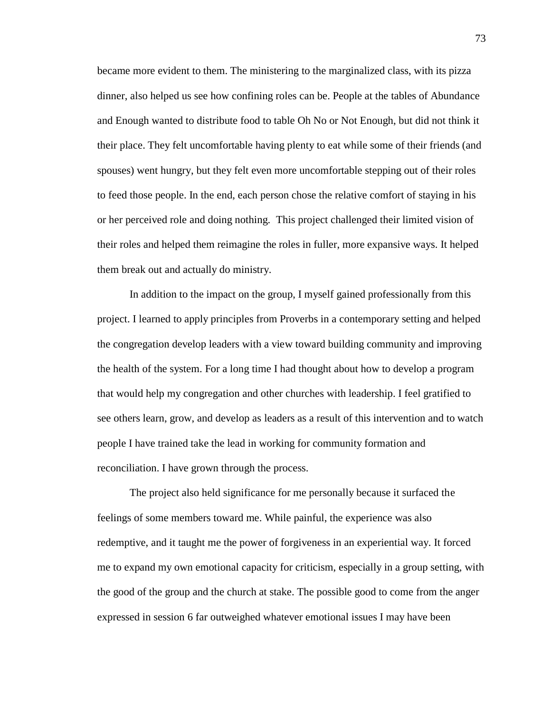became more evident to them. The ministering to the marginalized class, with its pizza dinner, also helped us see how confining roles can be. People at the tables of Abundance and Enough wanted to distribute food to table Oh No or Not Enough, but did not think it their place. They felt uncomfortable having plenty to eat while some of their friends (and spouses) went hungry, but they felt even more uncomfortable stepping out of their roles to feed those people. In the end, each person chose the relative comfort of staying in his or her perceived role and doing nothing. This project challenged their limited vision of their roles and helped them reimagine the roles in fuller, more expansive ways. It helped them break out and actually do ministry.

In addition to the impact on the group, I myself gained professionally from this project. I learned to apply principles from Proverbs in a contemporary setting and helped the congregation develop leaders with a view toward building community and improving the health of the system. For a long time I had thought about how to develop a program that would help my congregation and other churches with leadership. I feel gratified to see others learn, grow, and develop as leaders as a result of this intervention and to watch people I have trained take the lead in working for community formation and reconciliation. I have grown through the process.

The project also held significance for me personally because it surfaced the feelings of some members toward me. While painful, the experience was also redemptive, and it taught me the power of forgiveness in an experiential way. It forced me to expand my own emotional capacity for criticism, especially in a group setting, with the good of the group and the church at stake. The possible good to come from the anger expressed in session 6 far outweighed whatever emotional issues I may have been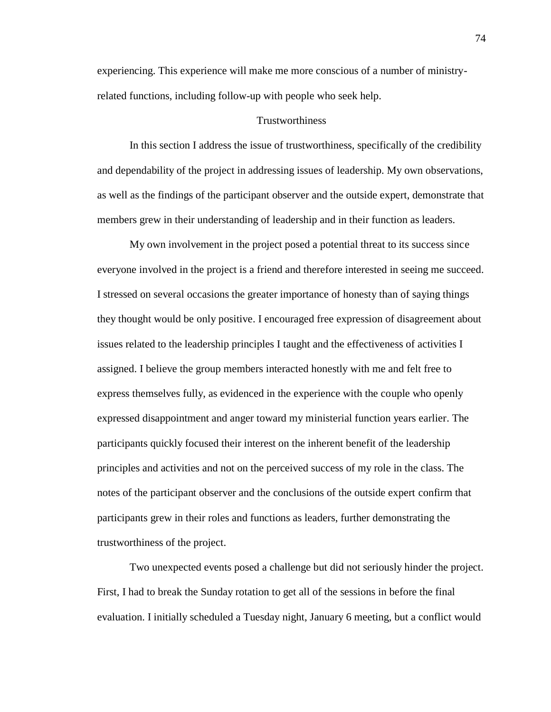experiencing. This experience will make me more conscious of a number of ministryrelated functions, including follow-up with people who seek help.

### **Trustworthiness**

In this section I address the issue of trustworthiness, specifically of the credibility and dependability of the project in addressing issues of leadership. My own observations, as well as the findings of the participant observer and the outside expert, demonstrate that members grew in their understanding of leadership and in their function as leaders.

My own involvement in the project posed a potential threat to its success since everyone involved in the project is a friend and therefore interested in seeing me succeed. I stressed on several occasions the greater importance of honesty than of saying things they thought would be only positive. I encouraged free expression of disagreement about issues related to the leadership principles I taught and the effectiveness of activities I assigned. I believe the group members interacted honestly with me and felt free to express themselves fully, as evidenced in the experience with the couple who openly expressed disappointment and anger toward my ministerial function years earlier. The participants quickly focused their interest on the inherent benefit of the leadership principles and activities and not on the perceived success of my role in the class. The notes of the participant observer and the conclusions of the outside expert confirm that participants grew in their roles and functions as leaders, further demonstrating the trustworthiness of the project.

Two unexpected events posed a challenge but did not seriously hinder the project. First, I had to break the Sunday rotation to get all of the sessions in before the final evaluation. I initially scheduled a Tuesday night, January 6 meeting, but a conflict would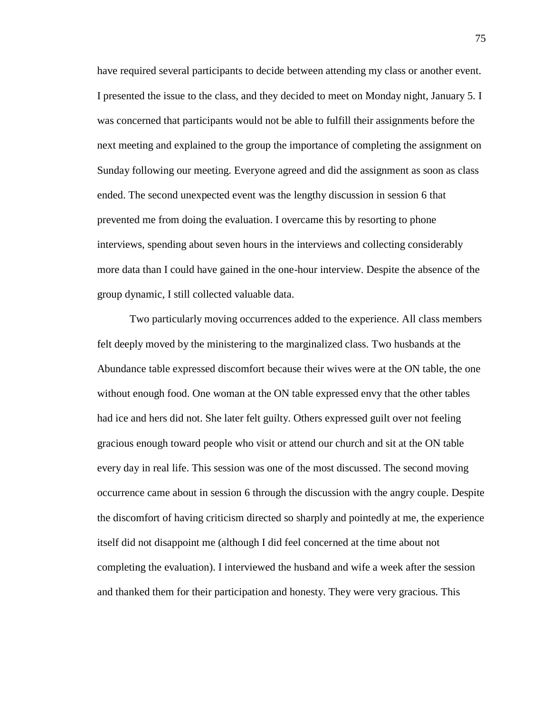have required several participants to decide between attending my class or another event. I presented the issue to the class, and they decided to meet on Monday night, January 5. I was concerned that participants would not be able to fulfill their assignments before the next meeting and explained to the group the importance of completing the assignment on Sunday following our meeting. Everyone agreed and did the assignment as soon as class ended. The second unexpected event was the lengthy discussion in session 6 that prevented me from doing the evaluation. I overcame this by resorting to phone interviews, spending about seven hours in the interviews and collecting considerably more data than I could have gained in the one-hour interview. Despite the absence of the group dynamic, I still collected valuable data.

Two particularly moving occurrences added to the experience. All class members felt deeply moved by the ministering to the marginalized class. Two husbands at the Abundance table expressed discomfort because their wives were at the ON table, the one without enough food. One woman at the ON table expressed envy that the other tables had ice and hers did not. She later felt guilty. Others expressed guilt over not feeling gracious enough toward people who visit or attend our church and sit at the ON table every day in real life. This session was one of the most discussed. The second moving occurrence came about in session 6 through the discussion with the angry couple. Despite the discomfort of having criticism directed so sharply and pointedly at me, the experience itself did not disappoint me (although I did feel concerned at the time about not completing the evaluation). I interviewed the husband and wife a week after the session and thanked them for their participation and honesty. They were very gracious. This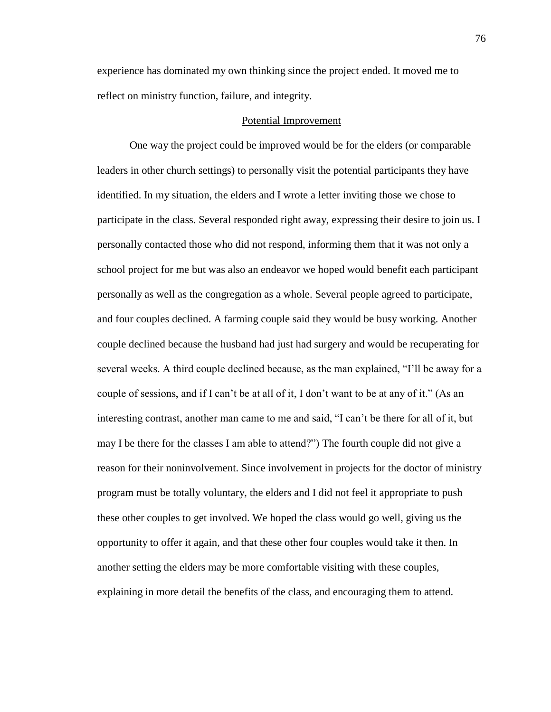experience has dominated my own thinking since the project ended. It moved me to reflect on ministry function, failure, and integrity.

### Potential Improvement

One way the project could be improved would be for the elders (or comparable leaders in other church settings) to personally visit the potential participants they have identified. In my situation, the elders and I wrote a letter inviting those we chose to participate in the class. Several responded right away, expressing their desire to join us. I personally contacted those who did not respond, informing them that it was not only a school project for me but was also an endeavor we hoped would benefit each participant personally as well as the congregation as a whole. Several people agreed to participate, and four couples declined. A farming couple said they would be busy working. Another couple declined because the husband had just had surgery and would be recuperating for several weeks. A third couple declined because, as the man explained, "I'll be away for a couple of sessions, and if I can't be at all of it, I don't want to be at any of it." (As an interesting contrast, another man came to me and said, "I can't be there for all of it, but may I be there for the classes I am able to attend?") The fourth couple did not give a reason for their noninvolvement. Since involvement in projects for the doctor of ministry program must be totally voluntary, the elders and I did not feel it appropriate to push these other couples to get involved. We hoped the class would go well, giving us the opportunity to offer it again, and that these other four couples would take it then. In another setting the elders may be more comfortable visiting with these couples, explaining in more detail the benefits of the class, and encouraging them to attend.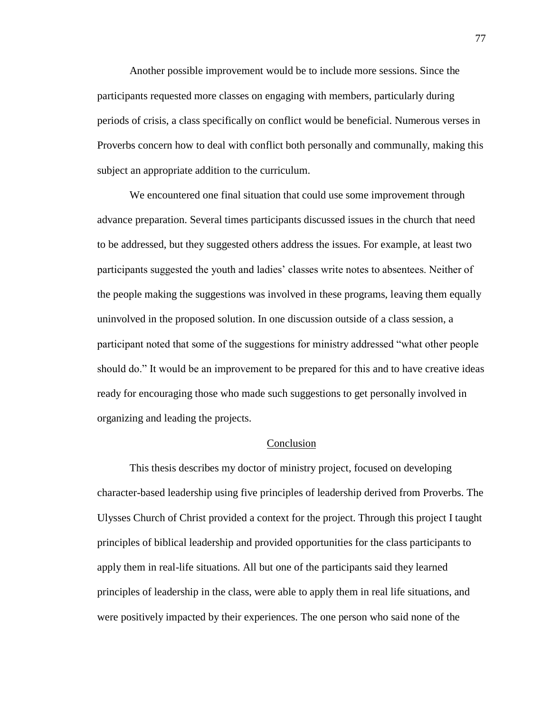Another possible improvement would be to include more sessions. Since the participants requested more classes on engaging with members, particularly during periods of crisis, a class specifically on conflict would be beneficial. Numerous verses in Proverbs concern how to deal with conflict both personally and communally, making this subject an appropriate addition to the curriculum.

We encountered one final situation that could use some improvement through advance preparation. Several times participants discussed issues in the church that need to be addressed, but they suggested others address the issues. For example, at least two participants suggested the youth and ladies' classes write notes to absentees. Neither of the people making the suggestions was involved in these programs, leaving them equally uninvolved in the proposed solution. In one discussion outside of a class session, a participant noted that some of the suggestions for ministry addressed "what other people should do." It would be an improvement to be prepared for this and to have creative ideas ready for encouraging those who made such suggestions to get personally involved in organizing and leading the projects.

#### Conclusion

This thesis describes my doctor of ministry project, focused on developing character-based leadership using five principles of leadership derived from Proverbs. The Ulysses Church of Christ provided a context for the project. Through this project I taught principles of biblical leadership and provided opportunities for the class participants to apply them in real-life situations. All but one of the participants said they learned principles of leadership in the class, were able to apply them in real life situations, and were positively impacted by their experiences. The one person who said none of the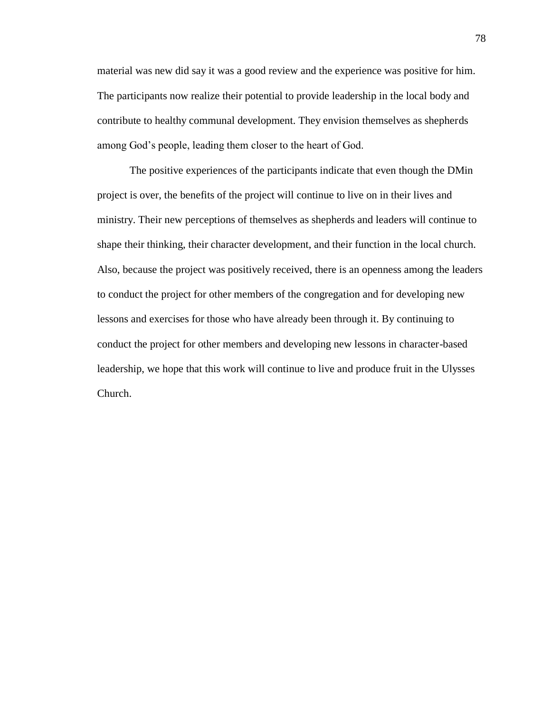material was new did say it was a good review and the experience was positive for him. The participants now realize their potential to provide leadership in the local body and contribute to healthy communal development. They envision themselves as shepherds among God's people, leading them closer to the heart of God.

The positive experiences of the participants indicate that even though the DMin project is over, the benefits of the project will continue to live on in their lives and ministry. Their new perceptions of themselves as shepherds and leaders will continue to shape their thinking, their character development, and their function in the local church. Also, because the project was positively received, there is an openness among the leaders to conduct the project for other members of the congregation and for developing new lessons and exercises for those who have already been through it. By continuing to conduct the project for other members and developing new lessons in character-based leadership, we hope that this work will continue to live and produce fruit in the Ulysses Church.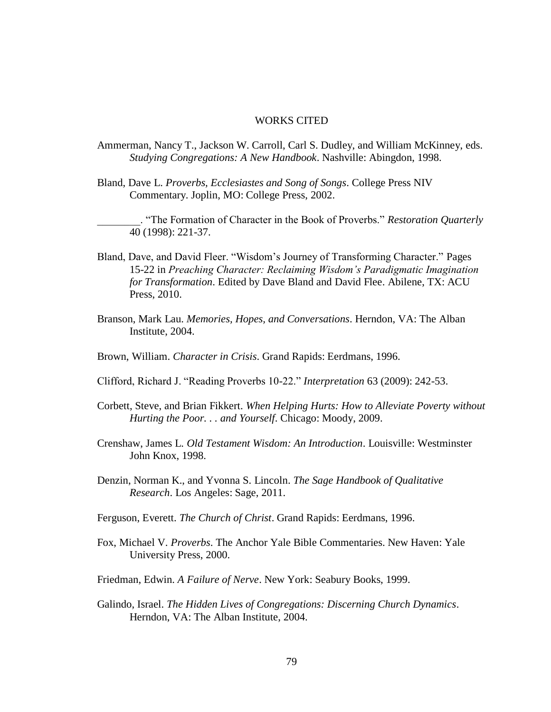### WORKS CITED

- Ammerman, Nancy T., Jackson W. Carroll, Carl S. Dudley, and William McKinney, eds. *Studying Congregations: A New Handbook*. Nashville: Abingdon, 1998.
- Bland, Dave L. *Proverbs, Ecclesiastes and Song of Songs*. College Press NIV Commentary. Joplin, MO: College Press, 2002.

\_\_\_\_\_\_\_\_. "The Formation of Character in the Book of Proverbs." *Restoration Quarterly* 40 (1998): 221-37.

- Bland, Dave, and David Fleer. "Wisdom's Journey of Transforming Character." Pages 15-22 in *Preaching Character: Reclaiming Wisdom's Paradigmatic Imagination for Transformation*. Edited by Dave Bland and David Flee. Abilene, TX: ACU Press, 2010.
- Branson, Mark Lau. *Memories, Hopes, and Conversations*. Herndon, VA: The Alban Institute, 2004.
- Brown, William. *Character in Crisis*. Grand Rapids: Eerdmans, 1996.
- Clifford, Richard J. "Reading Proverbs 10-22." *Interpretation* 63 (2009): 242-53.
- Corbett, Steve, and Brian Fikkert. *When Helping Hurts: How to Alleviate Poverty without Hurting the Poor. . . and Yourself*. Chicago: Moody, 2009.
- Crenshaw, James L. *Old Testament Wisdom: An Introduction*. Louisville: Westminster John Knox, 1998.
- Denzin, Norman K., and Yvonna S. Lincoln. *The Sage Handbook of Qualitative Research*. Los Angeles: Sage, 2011.
- Ferguson, Everett. *The Church of Christ*. Grand Rapids: Eerdmans, 1996.
- Fox, Michael V. *Proverbs*. The Anchor Yale Bible Commentaries. New Haven: Yale University Press, 2000.
- Friedman, Edwin. *A Failure of Nerve*. New York: Seabury Books, 1999.
- Galindo, Israel. *The Hidden Lives of Congregations: Discerning Church Dynamics*. Herndon, VA: The Alban Institute, 2004.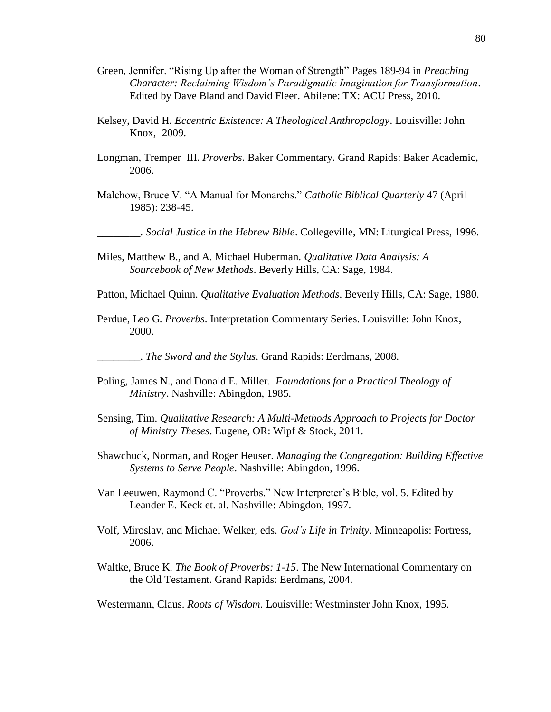- Green, Jennifer. "Rising Up after the Woman of Strength" Pages 189-94 in *Preaching Character: Reclaiming Wisdom's Paradigmatic Imagination for Transformation*. Edited by Dave Bland and David Fleer. Abilene: TX: ACU Press, 2010.
- Kelsey, David H. *Eccentric Existence: A Theological Anthropology*. Louisville: John Knox, 2009.
- Longman, Tremper III. *Proverbs*. Baker Commentary. Grand Rapids: Baker Academic, 2006.
- Malchow, Bruce V. "A Manual for Monarchs." *Catholic Biblical Quarterly* 47 (April 1985): 238-45.

\_\_\_\_\_\_\_\_. *Social Justice in the Hebrew Bible*. Collegeville, MN: Liturgical Press, 1996.

- Miles, Matthew B., and A. Michael Huberman. *Qualitative Data Analysis: A Sourcebook of New Methods*. Beverly Hills, CA: Sage, 1984.
- Patton, Michael Quinn. *Qualitative Evaluation Methods*. Beverly Hills, CA: Sage, 1980.
- Perdue, Leo G. *Proverbs*. Interpretation Commentary Series. Louisville: John Knox, 2000.

\_\_\_\_\_\_\_\_. *The Sword and the Stylus*. Grand Rapids: Eerdmans, 2008.

- Poling, James N., and Donald E. Miller. *Foundations for a Practical Theology of Ministry*. Nashville: Abingdon, 1985.
- Sensing, Tim. *Qualitative Research: A Multi-Methods Approach to Projects for Doctor of Ministry Theses*. Eugene, OR: Wipf & Stock, 2011.
- Shawchuck, Norman, and Roger Heuser. *Managing the Congregation: Building Effective Systems to Serve People*. Nashville: Abingdon, 1996.
- Van Leeuwen, Raymond C. "Proverbs." New Interpreter's Bible, vol. 5. Edited by Leander E. Keck et. al. Nashville: Abingdon, 1997.
- Volf, Miroslav, and Michael Welker, eds. *God's Life in Trinity*. Minneapolis: Fortress, 2006.
- Waltke, Bruce K. *The Book of Proverbs: 1-15*. The New International Commentary on the Old Testament. Grand Rapids: Eerdmans, 2004.

Westermann, Claus. *Roots of Wisdom*. Louisville: Westminster John Knox, 1995.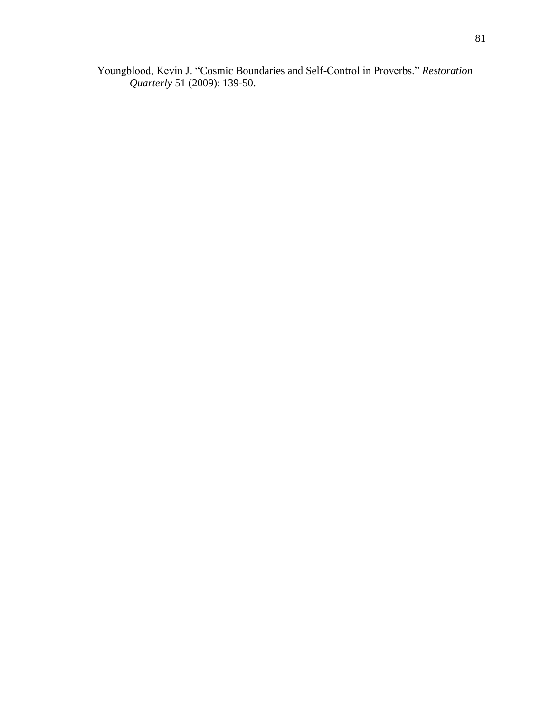Youngblood, Kevin J. "Cosmic Boundaries and Self-Control in Proverbs." *Restoration Quarterly* 51 (2009): 139-50.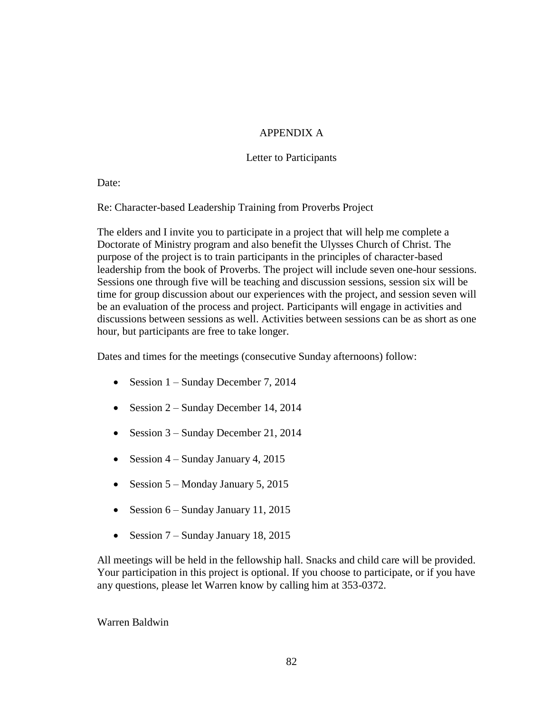# APPENDIX A

# Letter to Participants

Date:

Re: Character-based Leadership Training from Proverbs Project

The elders and I invite you to participate in a project that will help me complete a Doctorate of Ministry program and also benefit the Ulysses Church of Christ. The purpose of the project is to train participants in the principles of character-based leadership from the book of Proverbs. The project will include seven one-hour sessions. Sessions one through five will be teaching and discussion sessions, session six will be time for group discussion about our experiences with the project, and session seven will be an evaluation of the process and project. Participants will engage in activities and discussions between sessions as well. Activities between sessions can be as short as one hour, but participants are free to take longer.

Dates and times for the meetings (consecutive Sunday afternoons) follow:

- Session  $1 -$  Sunday December 7, 2014
- Session 2 Sunday December 14, 2014
- Session 3 Sunday December 21, 2014
- Session  $4 -$  Sunday January 4, 2015
- Session  $5 -$ Monday January 5, 2015
- Session  $6 -$  Sunday January 11, 2015
- Session  $7 -$  Sunday January 18, 2015

All meetings will be held in the fellowship hall. Snacks and child care will be provided. Your participation in this project is optional. If you choose to participate, or if you have any questions, please let Warren know by calling him at 353-0372.

Warren Baldwin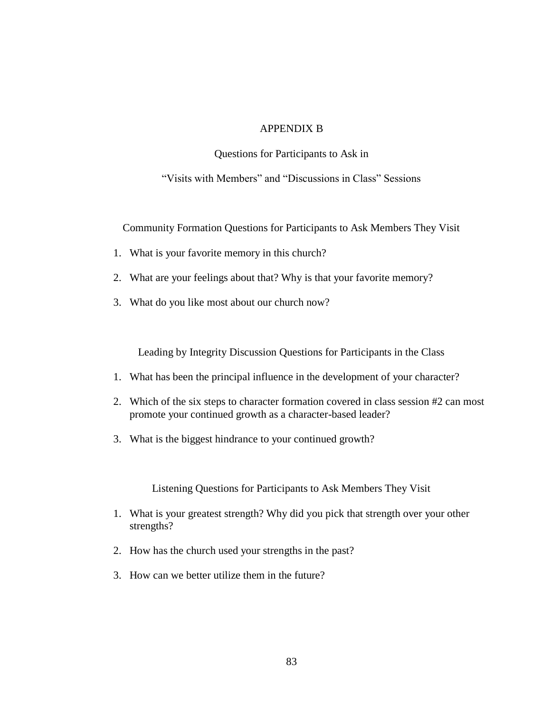# APPENDIX B

Questions for Participants to Ask in

"Visits with Members" and "Discussions in Class" Sessions

Community Formation Questions for Participants to Ask Members They Visit

- 1. What is your favorite memory in this church?
- 2. What are your feelings about that? Why is that your favorite memory?
- 3. What do you like most about our church now?

Leading by Integrity Discussion Questions for Participants in the Class

- 1. What has been the principal influence in the development of your character?
- 2. Which of the six steps to character formation covered in class session #2 can most promote your continued growth as a character-based leader?
- 3. What is the biggest hindrance to your continued growth?

Listening Questions for Participants to Ask Members They Visit

- 1. What is your greatest strength? Why did you pick that strength over your other strengths?
- 2. How has the church used your strengths in the past?
- 3. How can we better utilize them in the future?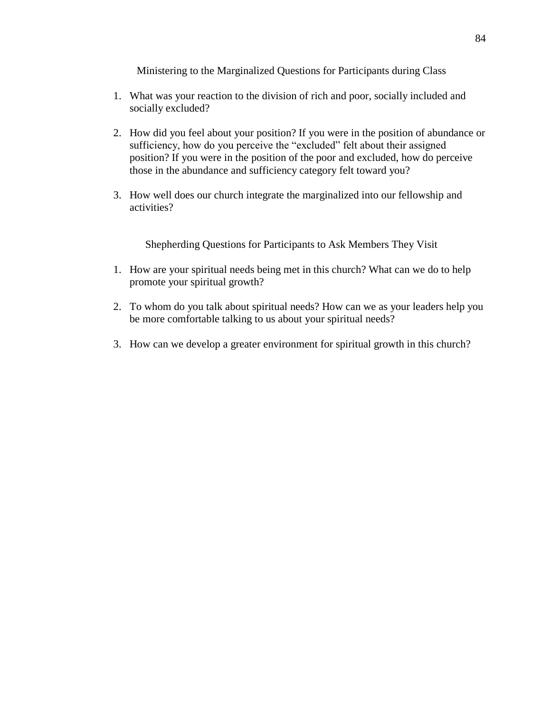Ministering to the Marginalized Questions for Participants during Class

- 1. What was your reaction to the division of rich and poor, socially included and socially excluded?
- 2. How did you feel about your position? If you were in the position of abundance or sufficiency, how do you perceive the "excluded" felt about their assigned position? If you were in the position of the poor and excluded, how do perceive those in the abundance and sufficiency category felt toward you?
- 3. How well does our church integrate the marginalized into our fellowship and activities?

Shepherding Questions for Participants to Ask Members They Visit

- 1. How are your spiritual needs being met in this church? What can we do to help promote your spiritual growth?
- 2. To whom do you talk about spiritual needs? How can we as your leaders help you be more comfortable talking to us about your spiritual needs?
- 3. How can we develop a greater environment for spiritual growth in this church?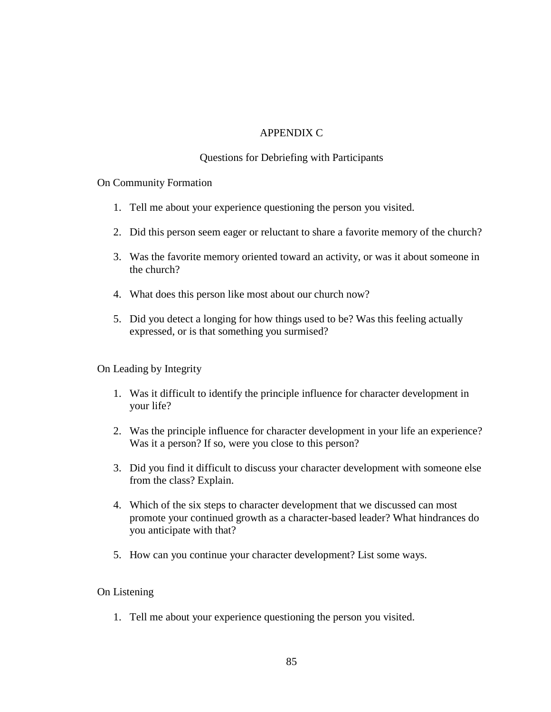# APPENDIX C

# Questions for Debriefing with Participants

On Community Formation

- 1. Tell me about your experience questioning the person you visited.
- 2. Did this person seem eager or reluctant to share a favorite memory of the church?
- 3. Was the favorite memory oriented toward an activity, or was it about someone in the church?
- 4. What does this person like most about our church now?
- 5. Did you detect a longing for how things used to be? Was this feeling actually expressed, or is that something you surmised?

On Leading by Integrity

- 1. Was it difficult to identify the principle influence for character development in your life?
- 2. Was the principle influence for character development in your life an experience? Was it a person? If so, were you close to this person?
- 3. Did you find it difficult to discuss your character development with someone else from the class? Explain.
- 4. Which of the six steps to character development that we discussed can most promote your continued growth as a character-based leader? What hindrances do you anticipate with that?
- 5. How can you continue your character development? List some ways.

## On Listening

1. Tell me about your experience questioning the person you visited.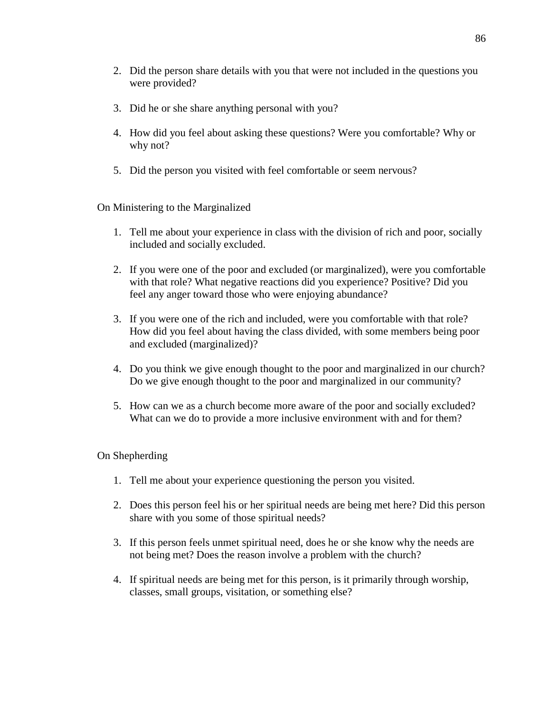- 2. Did the person share details with you that were not included in the questions you were provided?
- 3. Did he or she share anything personal with you?
- 4. How did you feel about asking these questions? Were you comfortable? Why or why not?
- 5. Did the person you visited with feel comfortable or seem nervous?

On Ministering to the Marginalized

- 1. Tell me about your experience in class with the division of rich and poor, socially included and socially excluded.
- 2. If you were one of the poor and excluded (or marginalized), were you comfortable with that role? What negative reactions did you experience? Positive? Did you feel any anger toward those who were enjoying abundance?
- 3. If you were one of the rich and included, were you comfortable with that role? How did you feel about having the class divided, with some members being poor and excluded (marginalized)?
- 4. Do you think we give enough thought to the poor and marginalized in our church? Do we give enough thought to the poor and marginalized in our community?
- 5. How can we as a church become more aware of the poor and socially excluded? What can we do to provide a more inclusive environment with and for them?

## On Shepherding

- 1. Tell me about your experience questioning the person you visited.
- 2. Does this person feel his or her spiritual needs are being met here? Did this person share with you some of those spiritual needs?
- 3. If this person feels unmet spiritual need, does he or she know why the needs are not being met? Does the reason involve a problem with the church?
- 4. If spiritual needs are being met for this person, is it primarily through worship, classes, small groups, visitation, or something else?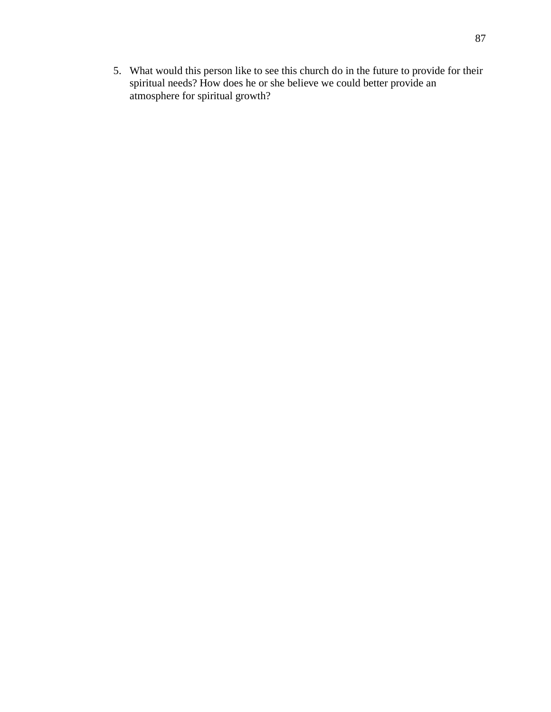5. What would this person like to see this church do in the future to provide for their spiritual needs? How does he or she believe we could better provide an atmosphere for spiritual growth?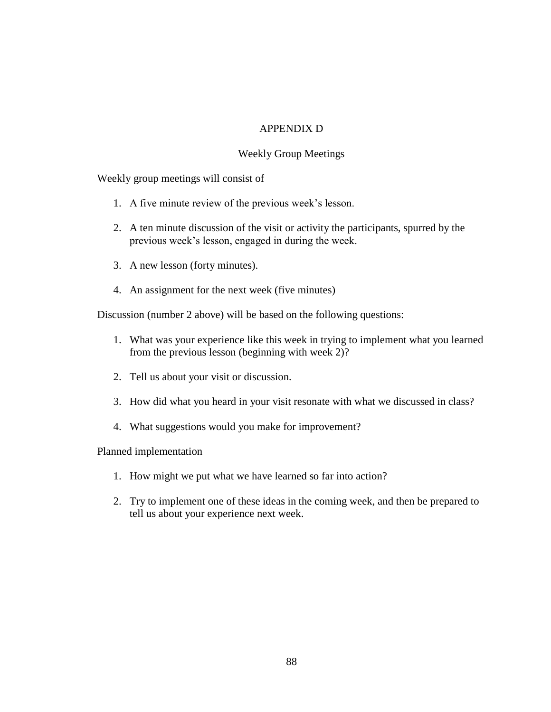# APPENDIX D

## Weekly Group Meetings

Weekly group meetings will consist of

- 1. A five minute review of the previous week's lesson.
- 2. A ten minute discussion of the visit or activity the participants, spurred by the previous week's lesson, engaged in during the week.
- 3. A new lesson (forty minutes).
- 4. An assignment for the next week (five minutes)

Discussion (number 2 above) will be based on the following questions:

- 1. What was your experience like this week in trying to implement what you learned from the previous lesson (beginning with week 2)?
- 2. Tell us about your visit or discussion*.*
- 3. How did what you heard in your visit resonate with what we discussed in class?
- 4. What suggestions would you make for improvement?

Planned implementation

- 1. How might we put what we have learned so far into action?
- 2. Try to implement one of these ideas in the coming week, and then be prepared to tell us about your experience next week.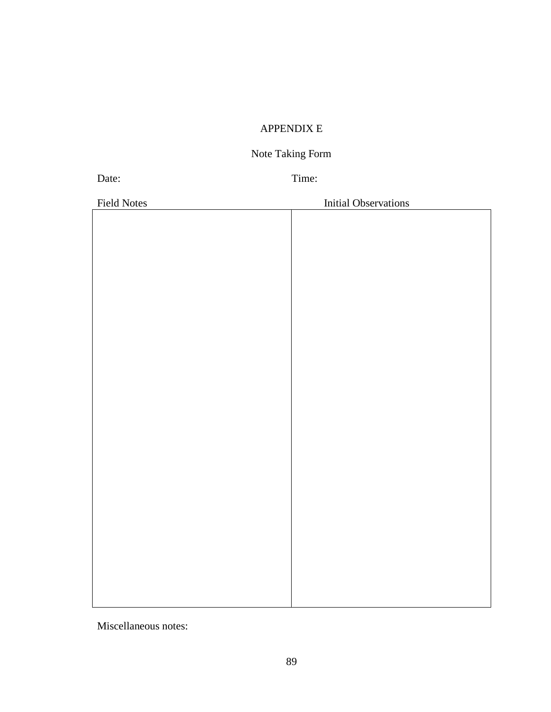# APPENDIX E

# Note Taking Form

Date: Time:

| <b>Field Notes</b> | <b>Initial Observations</b> |
|--------------------|-----------------------------|
|                    |                             |
|                    |                             |
|                    |                             |
|                    |                             |
|                    |                             |
|                    |                             |
|                    |                             |
|                    |                             |
|                    |                             |
|                    |                             |
|                    |                             |
|                    |                             |
|                    |                             |
|                    |                             |
|                    |                             |
|                    |                             |
|                    |                             |
|                    |                             |
|                    |                             |
|                    |                             |
|                    |                             |
|                    |                             |
|                    |                             |
|                    |                             |
|                    |                             |
|                    |                             |
|                    |                             |
|                    |                             |
|                    |                             |
|                    |                             |

Miscellaneous notes: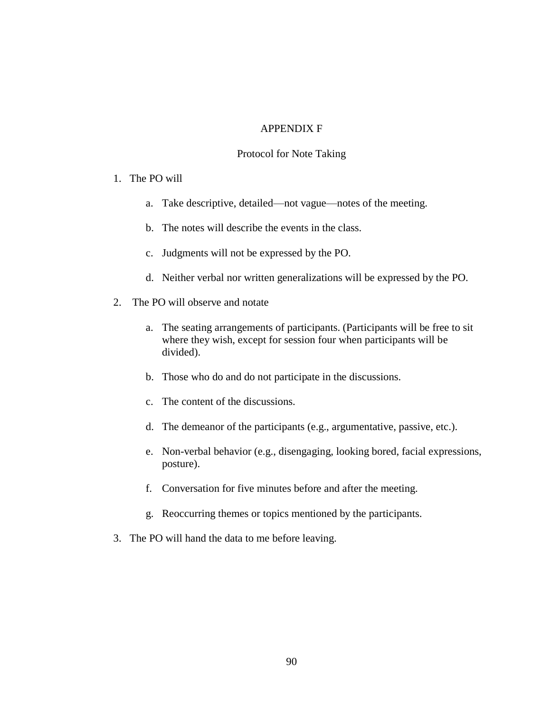### APPENDIX F

### Protocol for Note Taking

### 1. The PO will

- a. Take descriptive, detailed—not vague—notes of the meeting.
- b. The notes will describe the events in the class.
- c. Judgments will not be expressed by the PO.
- d. Neither verbal nor written generalizations will be expressed by the PO.
- 2. The PO will observe and notate
	- a. The seating arrangements of participants. (Participants will be free to sit where they wish, except for session four when participants will be divided).
	- b. Those who do and do not participate in the discussions.
	- c. The content of the discussions.
	- d. The demeanor of the participants (e.g., argumentative, passive, etc.).
	- e. Non-verbal behavior (e.g., disengaging, looking bored, facial expressions, posture).
	- f. Conversation for five minutes before and after the meeting.
	- g. Reoccurring themes or topics mentioned by the participants.
- 3. The PO will hand the data to me before leaving.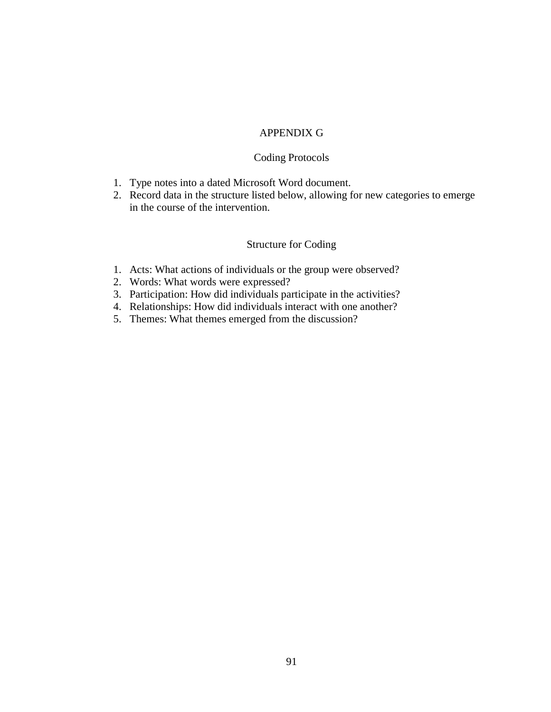## APPENDIX G

### Coding Protocols

- 1. Type notes into a dated Microsoft Word document.
- 2. Record data in the structure listed below, allowing for new categories to emerge in the course of the intervention.

# Structure for Coding

- 1. Acts: What actions of individuals or the group were observed?
- 2. Words: What words were expressed?
- 3. Participation: How did individuals participate in the activities?
- 4. Relationships: How did individuals interact with one another?
- 5. Themes: What themes emerged from the discussion?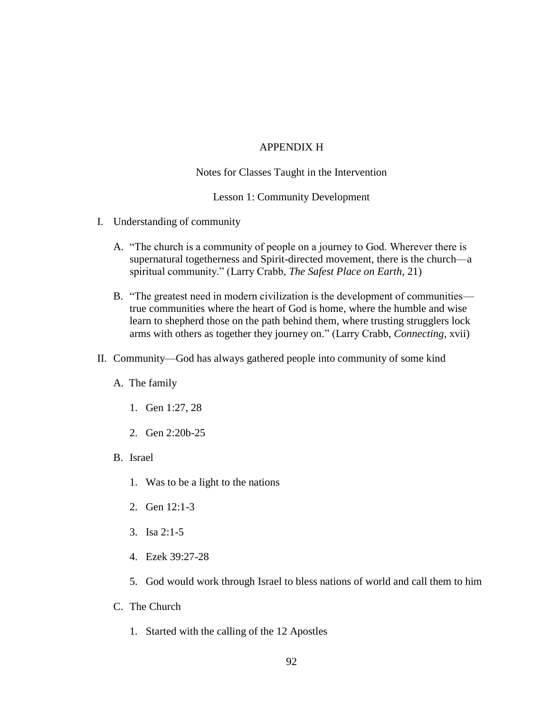### APPENDIX H

### Notes for Classes Taught in the Intervention

### Lesson 1: Community Development

- I. Understanding of community
	- A. "The church is a community of people on a journey to God. Wherever there is supernatural togetherness and Spirit-directed movement, there is the church—a spiritual community." (Larry Crabb, *The Safest Place on Earth*, 21)
	- B. "The greatest need in modern civilization is the development of communities true communities where the heart of God is home, where the humble and wise learn to shepherd those on the path behind them, where trusting strugglers lock arms with others as together they journey on." (Larry Crabb, *Connecting*, xvii)
- II. Community—God has always gathered people into community of some kind
	- A. The family
		- 1. Gen 1:27, 28
		- 2. Gen 2:20b-25
	- B. Israel
		- 1. Was to be a light to the nations
		- 2. Gen 12:1-3
		- 3. Isa 2:1-5
		- 4. Ezek 39:27-28
		- 5. God would work through Israel to bless nations of world and call them to him
	- C. The Church
		- 1. Started with the calling of the 12 Apostles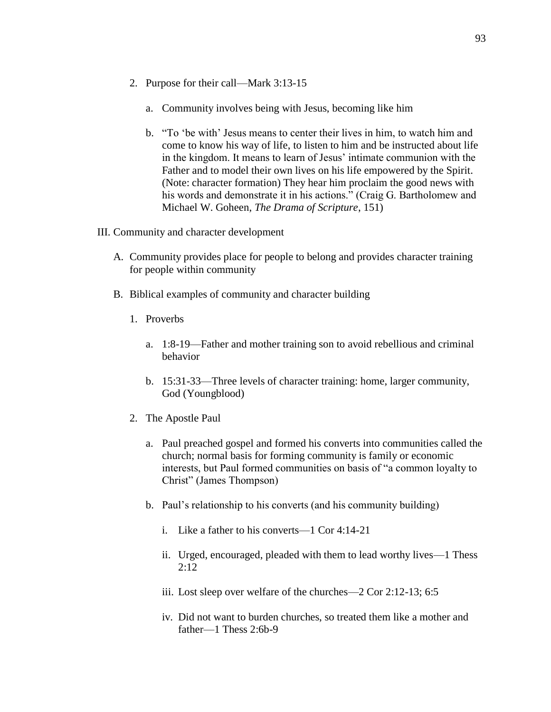- 2. Purpose for their call—Mark 3:13-15
	- a. Community involves being with Jesus, becoming like him
	- b. "To 'be with' Jesus means to center their lives in him, to watch him and come to know his way of life, to listen to him and be instructed about life in the kingdom. It means to learn of Jesus' intimate communion with the Father and to model their own lives on his life empowered by the Spirit. (Note: character formation) They hear him proclaim the good news with his words and demonstrate it in his actions." (Craig G. Bartholomew and Michael W. Goheen, *The Drama of Scripture*, 151)
- III. Community and character development
	- A. Community provides place for people to belong and provides character training for people within community
	- B. Biblical examples of community and character building
		- 1. Proverbs
			- a. 1:8-19—Father and mother training son to avoid rebellious and criminal behavior
			- b. 15:31-33—Three levels of character training: home, larger community, God (Youngblood)
		- 2. The Apostle Paul
			- a. Paul preached gospel and formed his converts into communities called the church; normal basis for forming community is family or economic interests, but Paul formed communities on basis of "a common loyalty to Christ" (James Thompson)
			- b. Paul's relationship to his converts (and his community building)
				- i. Like a father to his converts—1 Cor 4:14-21
				- ii. Urged, encouraged, pleaded with them to lead worthy lives—1 Thess 2:12
				- iii. Lost sleep over welfare of the churches—2 Cor 2:12-13; 6:5
				- iv. Did not want to burden churches, so treated them like a mother and father—1 Thess 2:6b-9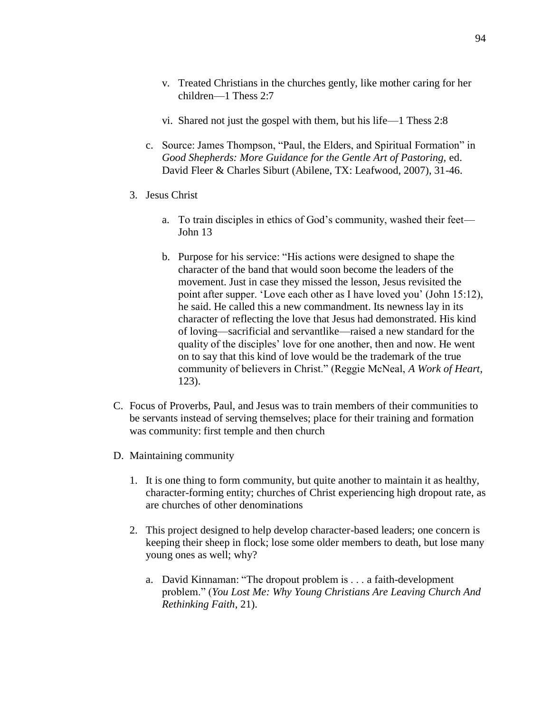- v. Treated Christians in the churches gently, like mother caring for her children—1 Thess 2:7
- vi. Shared not just the gospel with them, but his life—1 Thess 2:8
- c. Source: James Thompson, "Paul, the Elders, and Spiritual Formation" in *Good Shepherds: More Guidance for the Gentle Art of Pastoring,* ed. David Fleer & Charles Siburt (Abilene, TX: Leafwood, 2007), 31-46.
- 3. Jesus Christ
	- a. To train disciples in ethics of God's community, washed their feet— John 13
	- b. Purpose for his service: "His actions were designed to shape the character of the band that would soon become the leaders of the movement. Just in case they missed the lesson, Jesus revisited the point after supper. 'Love each other as I have loved you' (John 15:12), he said. He called this a new commandment. Its newness lay in its character of reflecting the love that Jesus had demonstrated. His kind of loving—sacrificial and servantlike—raised a new standard for the quality of the disciples' love for one another, then and now. He went on to say that this kind of love would be the trademark of the true community of believers in Christ." (Reggie McNeal, *A Work of Heart*, 123).
- C. Focus of Proverbs, Paul, and Jesus was to train members of their communities to be servants instead of serving themselves; place for their training and formation was community: first temple and then church
- D. Maintaining community
	- 1. It is one thing to form community, but quite another to maintain it as healthy, character-forming entity; churches of Christ experiencing high dropout rate, as are churches of other denominations
	- 2. This project designed to help develop character-based leaders; one concern is keeping their sheep in flock; lose some older members to death, but lose many young ones as well; why?
		- a. David Kinnaman: "The dropout problem is . . . a faith-development problem." (*You Lost Me: Why Young Christians Are Leaving Church And Rethinking Faith*, 21).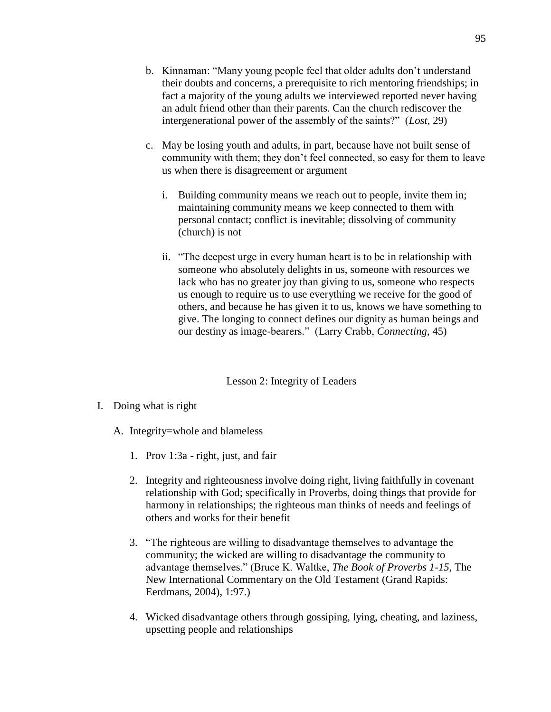- b. Kinnaman: "Many young people feel that older adults don't understand their doubts and concerns, a prerequisite to rich mentoring friendships; in fact a majority of the young adults we interviewed reported never having an adult friend other than their parents. Can the church rediscover the intergenerational power of the assembly of the saints?" (*Lost*, 29)
- c. May be losing youth and adults, in part, because have not built sense of community with them; they don't feel connected, so easy for them to leave us when there is disagreement or argument
	- i. Building community means we reach out to people, invite them in; maintaining community means we keep connected to them with personal contact; conflict is inevitable; dissolving of community (church) is not
	- ii. "The deepest urge in every human heart is to be in relationship with someone who absolutely delights in us, someone with resources we lack who has no greater joy than giving to us, someone who respects us enough to require us to use everything we receive for the good of others, and because he has given it to us, knows we have something to give. The longing to connect defines our dignity as human beings and our destiny as image-bearers." (Larry Crabb, *Connecting*, 45)

# Lesson 2: Integrity of Leaders

- I. Doing what is right
	- A. Integrity=whole and blameless
		- 1. Prov 1:3a right, just, and fair
		- 2. Integrity and righteousness involve doing right, living faithfully in covenant relationship with God; specifically in Proverbs, doing things that provide for harmony in relationships; the righteous man thinks of needs and feelings of others and works for their benefit
		- 3. "The righteous are willing to disadvantage themselves to advantage the community; the wicked are willing to disadvantage the community to advantage themselves." (Bruce K. Waltke, *The Book of Proverbs 1-15*, The New International Commentary on the Old Testament (Grand Rapids: Eerdmans, 2004), 1:97.)
		- 4. Wicked disadvantage others through gossiping, lying, cheating, and laziness, upsetting people and relationships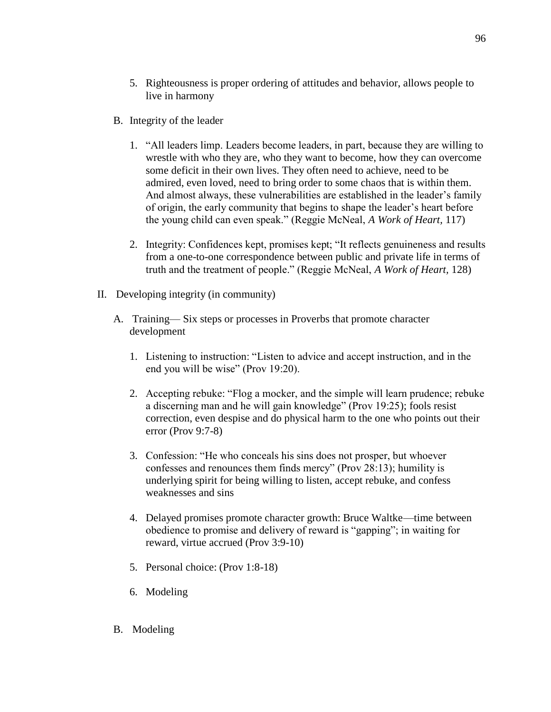- 5. Righteousness is proper ordering of attitudes and behavior, allows people to live in harmony
- B. Integrity of the leader
	- 1. "All leaders limp. Leaders become leaders, in part, because they are willing to wrestle with who they are, who they want to become, how they can overcome some deficit in their own lives. They often need to achieve, need to be admired, even loved, need to bring order to some chaos that is within them. And almost always, these vulnerabilities are established in the leader's family of origin, the early community that begins to shape the leader's heart before the young child can even speak." (Reggie McNeal, *A Work of Heart,* 117)
	- 2. Integrity: Confidences kept, promises kept; "It reflects genuineness and results from a one-to-one correspondence between public and private life in terms of truth and the treatment of people." (Reggie McNeal, *A Work of Heart,* 128)
- II. Developing integrity (in community)
	- A. Training— Six steps or processes in Proverbs that promote character development
		- 1. Listening to instruction: "Listen to advice and accept instruction, and in the end you will be wise" (Prov 19:20).
		- 2. Accepting rebuke: "Flog a mocker, and the simple will learn prudence; rebuke a discerning man and he will gain knowledge" (Prov 19:25); fools resist correction, even despise and do physical harm to the one who points out their error (Prov 9:7-8)
		- 3. Confession: "He who conceals his sins does not prosper, but whoever confesses and renounces them finds mercy" (Prov 28:13); humility is underlying spirit for being willing to listen, accept rebuke, and confess weaknesses and sins
		- 4. Delayed promises promote character growth: Bruce Waltke—time between obedience to promise and delivery of reward is "gapping"; in waiting for reward, virtue accrued (Prov 3:9-10)
		- 5. Personal choice: (Prov 1:8-18)
		- 6. Modeling
	- B. Modeling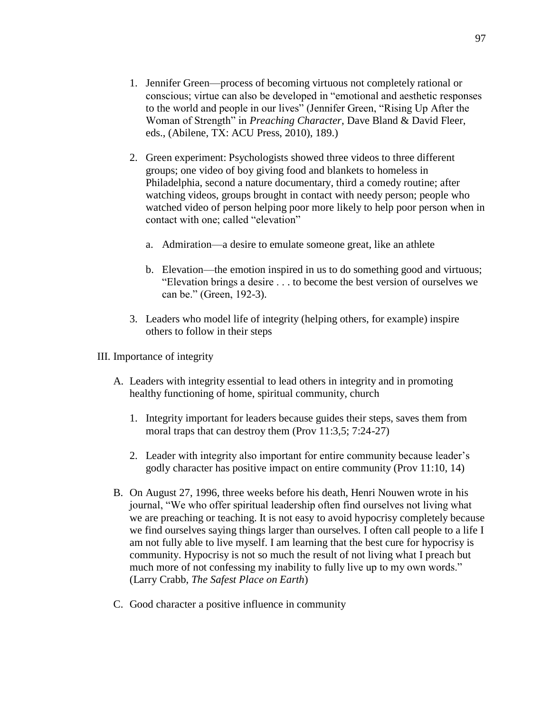- 1. Jennifer Green—process of becoming virtuous not completely rational or conscious; virtue can also be developed in "emotional and aesthetic responses to the world and people in our lives" (Jennifer Green, "Rising Up After the Woman of Strength" in *Preaching Character*, Dave Bland & David Fleer, eds., (Abilene, TX: ACU Press, 2010), 189.)
- 2. Green experiment: Psychologists showed three videos to three different groups; one video of boy giving food and blankets to homeless in Philadelphia, second a nature documentary, third a comedy routine; after watching videos, groups brought in contact with needy person; people who watched video of person helping poor more likely to help poor person when in contact with one; called "elevation"
	- a. Admiration—a desire to emulate someone great, like an athlete
	- b. Elevation—the emotion inspired in us to do something good and virtuous; "Elevation brings a desire . . . to become the best version of ourselves we can be." (Green, 192-3).
- 3. Leaders who model life of integrity (helping others, for example) inspire others to follow in their steps
- III. Importance of integrity
	- A. Leaders with integrity essential to lead others in integrity and in promoting healthy functioning of home, spiritual community, church
		- 1. Integrity important for leaders because guides their steps, saves them from moral traps that can destroy them (Prov 11:3,5; 7:24-27)
		- 2. Leader with integrity also important for entire community because leader's godly character has positive impact on entire community (Prov 11:10, 14)
	- B. On August 27, 1996, three weeks before his death, Henri Nouwen wrote in his journal, "We who offer spiritual leadership often find ourselves not living what we are preaching or teaching. It is not easy to avoid hypocrisy completely because we find ourselves saying things larger than ourselves. I often call people to a life I am not fully able to live myself. I am learning that the best cure for hypocrisy is community. Hypocrisy is not so much the result of not living what I preach but much more of not confessing my inability to fully live up to my own words." (Larry Crabb, *The Safest Place on Earth*)
	- C. Good character a positive influence in community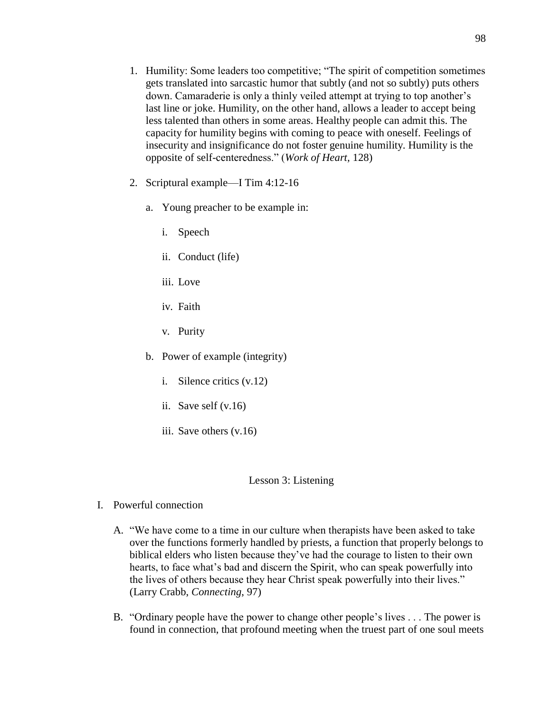- 1. Humility: Some leaders too competitive; "The spirit of competition sometimes gets translated into sarcastic humor that subtly (and not so subtly) puts others down. Camaraderie is only a thinly veiled attempt at trying to top another's last line or joke. Humility, on the other hand, allows a leader to accept being less talented than others in some areas. Healthy people can admit this. The capacity for humility begins with coming to peace with oneself. Feelings of insecurity and insignificance do not foster genuine humility. Humility is the opposite of self-centeredness." (*Work of Heart,* 128)
- 2. Scriptural example—I Tim 4:12-16
	- a. Young preacher to be example in:
		- i. Speech
		- ii. Conduct (life)
		- iii. Love
		- iv. Faith
		- v. Purity
	- b. Power of example (integrity)
		- i. Silence critics (v.12)
		- ii. Save self (v.16)
		- iii. Save others (v.16)

## Lesson 3: Listening

- I. Powerful connection
	- A. "We have come to a time in our culture when therapists have been asked to take over the functions formerly handled by priests, a function that properly belongs to biblical elders who listen because they've had the courage to listen to their own hearts, to face what's bad and discern the Spirit, who can speak powerfully into the lives of others because they hear Christ speak powerfully into their lives." (Larry Crabb, *Connecting*, 97)
	- B. "Ordinary people have the power to change other people's lives . . . The power is found in connection, that profound meeting when the truest part of one soul meets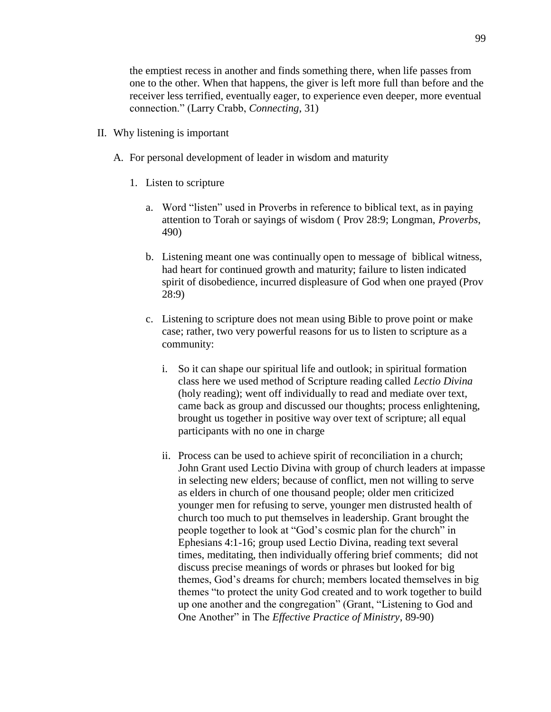the emptiest recess in another and finds something there, when life passes from one to the other. When that happens, the giver is left more full than before and the receiver less terrified, eventually eager, to experience even deeper, more eventual connection." (Larry Crabb, *Connecting*, 31)

- II. Why listening is important
	- A. For personal development of leader in wisdom and maturity
		- 1. Listen to scripture
			- a. Word "listen" used in Proverbs in reference to biblical text, as in paying attention to Torah or sayings of wisdom ( Prov 28:9; Longman, *Proverbs*, 490)
			- b. Listening meant one was continually open to message of biblical witness, had heart for continued growth and maturity; failure to listen indicated spirit of disobedience, incurred displeasure of God when one prayed (Prov 28:9)
			- c. Listening to scripture does not mean using Bible to prove point or make case; rather, two very powerful reasons for us to listen to scripture as a community:
				- i. So it can shape our spiritual life and outlook; in spiritual formation class here we used method of Scripture reading called *Lectio Divina* (holy reading); went off individually to read and mediate over text, came back as group and discussed our thoughts; process enlightening, brought us together in positive way over text of scripture; all equal participants with no one in charge
				- ii. Process can be used to achieve spirit of reconciliation in a church; John Grant used Lectio Divina with group of church leaders at impasse in selecting new elders; because of conflict, men not willing to serve as elders in church of one thousand people; older men criticized younger men for refusing to serve, younger men distrusted health of church too much to put themselves in leadership. Grant brought the people together to look at "God's cosmic plan for the church" in Ephesians 4:1-16; group used Lectio Divina, reading text several times, meditating, then individually offering brief comments; did not discuss precise meanings of words or phrases but looked for big themes, God's dreams for church; members located themselves in big themes "to protect the unity God created and to work together to build up one another and the congregation" (Grant, "Listening to God and One Another" in The *Effective Practice of Ministry*, 89-90)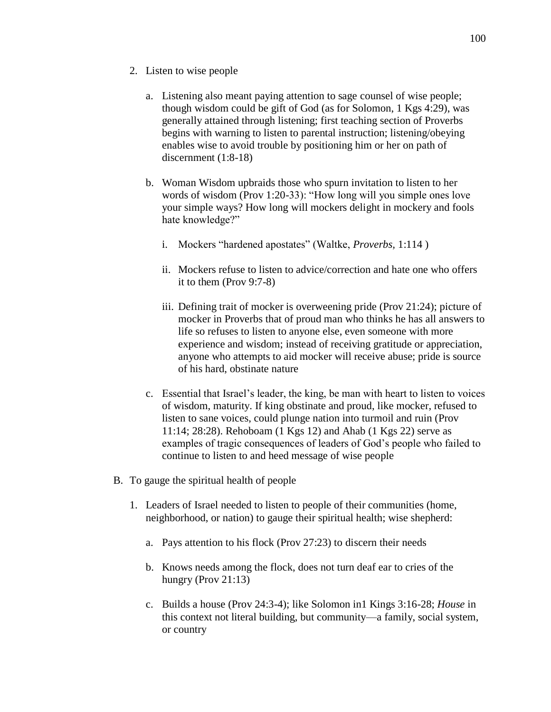- 2. Listen to wise people
	- a. Listening also meant paying attention to sage counsel of wise people; though wisdom could be gift of God (as for Solomon, 1 Kgs 4:29), was generally attained through listening; first teaching section of Proverbs begins with warning to listen to parental instruction; listening/obeying enables wise to avoid trouble by positioning him or her on path of discernment (1:8-18)
	- b. Woman Wisdom upbraids those who spurn invitation to listen to her words of wisdom (Prov 1:20-33): "How long will you simple ones love your simple ways? How long will mockers delight in mockery and fools hate knowledge?"
		- i. Mockers "hardened apostates" (Waltke, *Proverbs,* 1:114 )
		- ii. Mockers refuse to listen to advice/correction and hate one who offers it to them (Prov 9:7-8)
		- iii. Defining trait of mocker is overweening pride (Prov 21:24); picture of mocker in Proverbs that of proud man who thinks he has all answers to life so refuses to listen to anyone else, even someone with more experience and wisdom; instead of receiving gratitude or appreciation, anyone who attempts to aid mocker will receive abuse; pride is source of his hard, obstinate nature
	- c. Essential that Israel's leader, the king, be man with heart to listen to voices of wisdom, maturity. If king obstinate and proud, like mocker, refused to listen to sane voices, could plunge nation into turmoil and ruin (Prov 11:14; 28:28). Rehoboam (1 Kgs 12) and Ahab (1 Kgs 22) serve as examples of tragic consequences of leaders of God's people who failed to continue to listen to and heed message of wise people
- B. To gauge the spiritual health of people
	- 1. Leaders of Israel needed to listen to people of their communities (home, neighborhood, or nation) to gauge their spiritual health; wise shepherd:
		- a. Pays attention to his flock (Prov 27:23) to discern their needs
		- b. Knows needs among the flock, does not turn deaf ear to cries of the hungry (Prov 21:13)
		- c. Builds a house (Prov 24:3-4); like Solomon in1 Kings 3:16-28; *House* in this context not literal building, but community—a family, social system, or country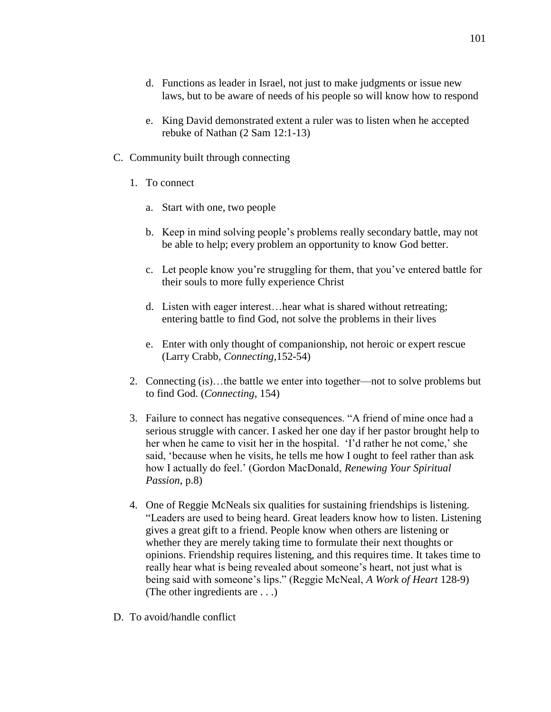- d. Functions as leader in Israel, not just to make judgments or issue new laws, but to be aware of needs of his people so will know how to respond
- e. King David demonstrated extent a ruler was to listen when he accepted rebuke of Nathan (2 Sam 12:1-13)
- C. Community built through connecting
	- 1. To connect
		- a. Start with one, two people
		- b. Keep in mind solving people's problems really secondary battle, may not be able to help; every problem an opportunity to know God better.
		- c. Let people know you're struggling for them, that you've entered battle for their souls to more fully experience Christ
		- d. Listen with eager interest…hear what is shared without retreating; entering battle to find God, not solve the problems in their lives
		- e. Enter with only thought of companionship, not heroic or expert rescue (Larry Crabb, *Connecting*,152-54)
	- 2. Connecting (is)…the battle we enter into together—not to solve problems but to find God. (*Connecting*, 154)
	- 3. Failure to connect has negative consequences. "A friend of mine once had a serious struggle with cancer. I asked her one day if her pastor brought help to her when he came to visit her in the hospital. 'I'd rather he not come,' she said, 'because when he visits, he tells me how I ought to feel rather than ask how I actually do feel.' (Gordon MacDonald, *Renewing Your Spiritual Passion*, p.8)
	- 4. One of Reggie McNeals six qualities for sustaining friendships is listening. "Leaders are used to being heard. Great leaders know how to listen. Listening gives a great gift to a friend. People know when others are listening or whether they are merely taking time to formulate their next thoughts or opinions. Friendship requires listening, and this requires time. It takes time to really hear what is being revealed about someone's heart, not just what is being said with someone's lips." (Reggie McNeal, *A Work of Heart* 128-9) (The other ingredients are . . .)
- D. To avoid/handle conflict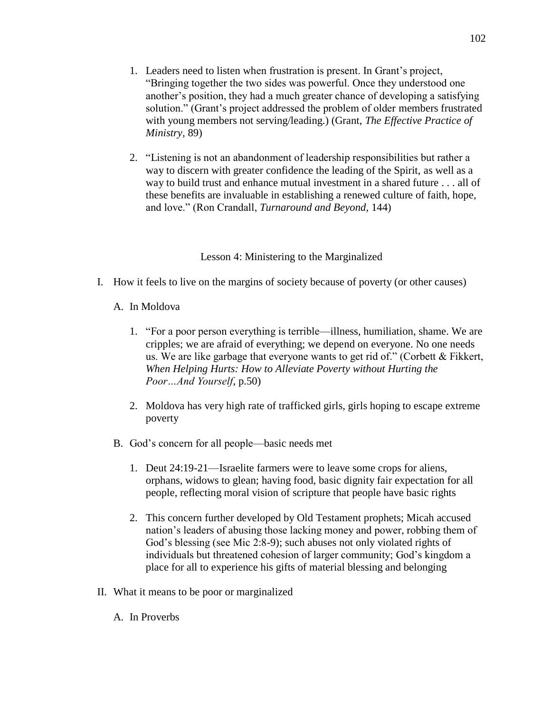- 1. Leaders need to listen when frustration is present. In Grant's project, "Bringing together the two sides was powerful. Once they understood one another's position, they had a much greater chance of developing a satisfying solution." (Grant's project addressed the problem of older members frustrated with young members not serving/leading.) (Grant, *The Effective Practice of Ministry,* 89)
- 2. "Listening is not an abandonment of leadership responsibilities but rather a way to discern with greater confidence the leading of the Spirit, as well as a way to build trust and enhance mutual investment in a shared future . . . all of these benefits are invaluable in establishing a renewed culture of faith, hope, and love." (Ron Crandall, *Turnaround and Beyond,* 144)

## Lesson 4: Ministering to the Marginalized

- I. How it feels to live on the margins of society because of poverty (or other causes)
	- A. In Moldova
		- 1. "For a poor person everything is terrible—illness, humiliation, shame. We are cripples; we are afraid of everything; we depend on everyone. No one needs us. We are like garbage that everyone wants to get rid of." (Corbett & Fikkert, *When Helping Hurts: How to Alleviate Poverty without Hurting the Poor…And Yourself*, p.50)
		- 2. Moldova has very high rate of trafficked girls, girls hoping to escape extreme poverty
	- B. God's concern for all people—basic needs met
		- 1. Deut 24:19-21—Israelite farmers were to leave some crops for aliens, orphans, widows to glean; having food, basic dignity fair expectation for all people, reflecting moral vision of scripture that people have basic rights
		- 2. This concern further developed by Old Testament prophets; Micah accused nation's leaders of abusing those lacking money and power, robbing them of God's blessing (see Mic 2:8-9); such abuses not only violated rights of individuals but threatened cohesion of larger community; God's kingdom a place for all to experience his gifts of material blessing and belonging
- II. What it means to be poor or marginalized
	- A. In Proverbs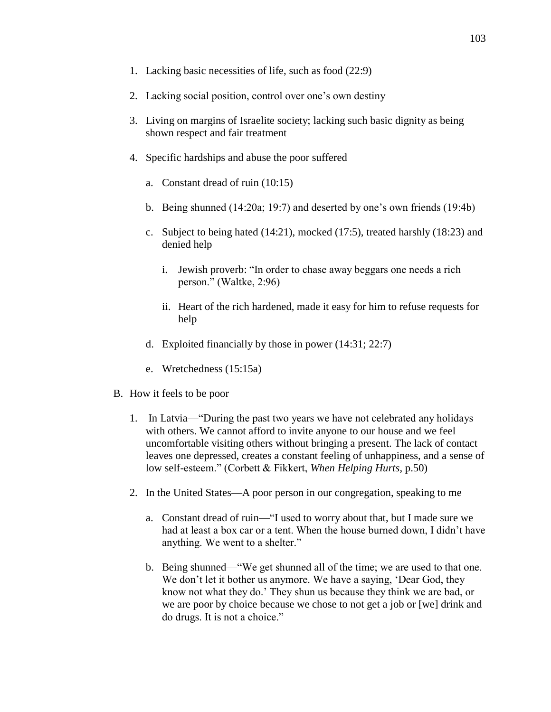- 1. Lacking basic necessities of life, such as food (22:9)
- 2. Lacking social position, control over one's own destiny
- 3. Living on margins of Israelite society; lacking such basic dignity as being shown respect and fair treatment
- 4. Specific hardships and abuse the poor suffered
	- a. Constant dread of ruin (10:15)
	- b. Being shunned (14:20a; 19:7) and deserted by one's own friends (19:4b)
	- c. Subject to being hated (14:21), mocked (17:5), treated harshly (18:23) and denied help
		- i. Jewish proverb: "In order to chase away beggars one needs a rich person." (Waltke, 2:96)
		- ii. Heart of the rich hardened, made it easy for him to refuse requests for help
	- d. Exploited financially by those in power (14:31; 22:7)
	- e. Wretchedness (15:15a)
- B. How it feels to be poor
	- 1. In Latvia—"During the past two years we have not celebrated any holidays with others. We cannot afford to invite anyone to our house and we feel uncomfortable visiting others without bringing a present. The lack of contact leaves one depressed, creates a constant feeling of unhappiness, and a sense of low self-esteem." (Corbett & Fikkert, *When Helping Hurts*, p.50)
	- 2. In the United States—A poor person in our congregation, speaking to me
		- a. Constant dread of ruin—"I used to worry about that, but I made sure we had at least a box car or a tent. When the house burned down, I didn't have anything. We went to a shelter."
		- b. Being shunned—"We get shunned all of the time; we are used to that one. We don't let it bother us anymore. We have a saying, 'Dear God, they know not what they do.' They shun us because they think we are bad, or we are poor by choice because we chose to not get a job or [we] drink and do drugs. It is not a choice."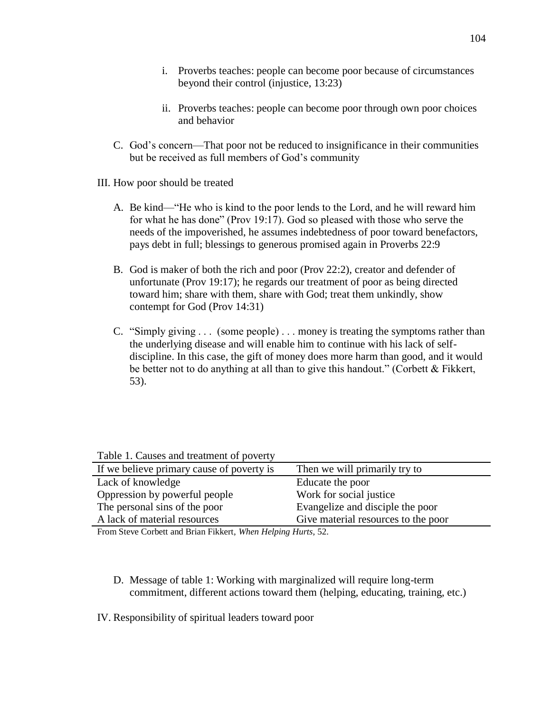- i. Proverbs teaches: people can become poor because of circumstances beyond their control (injustice, 13:23)
- ii. Proverbs teaches: people can become poor through own poor choices and behavior
- C. God's concern—That poor not be reduced to insignificance in their communities but be received as full members of God's community
- III. How poor should be treated
	- A. Be kind—"He who is kind to the poor lends to the Lord, and he will reward him for what he has done" (Prov 19:17). God so pleased with those who serve the needs of the impoverished, he assumes indebtedness of poor toward benefactors, pays debt in full; blessings to generous promised again in Proverbs 22:9
	- B. God is maker of both the rich and poor (Prov 22:2), creator and defender of unfortunate (Prov 19:17); he regards our treatment of poor as being directed toward him; share with them, share with God; treat them unkindly, show contempt for God (Prov 14:31)
	- C. "Simply giving . . . (some people) . . . money is treating the symptoms rather than the underlying disease and will enable him to continue with his lack of selfdiscipline. In this case, the gift of money does more harm than good, and it would be better not to do anything at all than to give this handout." (Corbett & Fikkert, 53).

Table 1. Causes and treatment of poverty

| If we believe primary cause of poverty is                                                                                                                                                                                                                                                                                                                                                                                                                                                                           | Then we will primarily try to                                    |
|---------------------------------------------------------------------------------------------------------------------------------------------------------------------------------------------------------------------------------------------------------------------------------------------------------------------------------------------------------------------------------------------------------------------------------------------------------------------------------------------------------------------|------------------------------------------------------------------|
| Lack of knowledge                                                                                                                                                                                                                                                                                                                                                                                                                                                                                                   | Educate the poor                                                 |
| Oppression by powerful people                                                                                                                                                                                                                                                                                                                                                                                                                                                                                       | Work for social justice                                          |
| The personal sins of the poor                                                                                                                                                                                                                                                                                                                                                                                                                                                                                       | Evangelize and disciple the poor                                 |
| A lack of material resources                                                                                                                                                                                                                                                                                                                                                                                                                                                                                        | Give material resources to the poor                              |
| $\blacksquare$ $\blacksquare$ $\blacksquare$ $\blacksquare$ $\blacksquare$ $\blacksquare$ $\blacksquare$ $\blacksquare$ $\blacksquare$ $\blacksquare$ $\blacksquare$ $\blacksquare$ $\blacksquare$ $\blacksquare$ $\blacksquare$ $\blacksquare$ $\blacksquare$ $\blacksquare$ $\blacksquare$ $\blacksquare$ $\blacksquare$ $\blacksquare$ $\blacksquare$ $\blacksquare$ $\blacksquare$ $\blacksquare$ $\blacksquare$ $\blacksquare$ $\blacksquare$ $\blacksquare$ $\blacksquare$ $\blacks$<br>$-1$ $-1$<br>$\cdots$ | $\mathbf{v}$ $\mathbf{v}$ $\mathbf{v}$ $\mathbf{v}$ $\mathbf{v}$ |

From Steve Corbett and Brian Fikkert, *When Helping Hurts*, 52.

- D. Message of table 1: Working with marginalized will require long-term commitment, different actions toward them (helping, educating, training, etc.)
- IV. Responsibility of spiritual leaders toward poor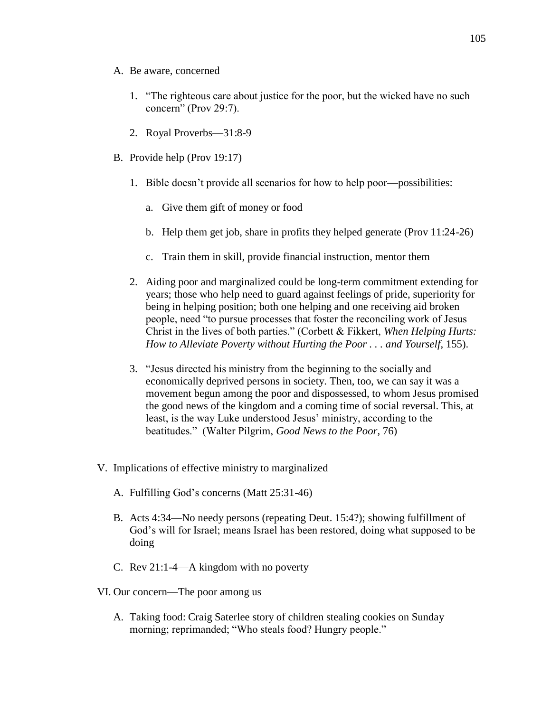- A. Be aware, concerned
	- 1. "The righteous care about justice for the poor, but the wicked have no such concern" (Prov 29:7).
	- 2. Royal Proverbs—31:8-9
- B. Provide help (Prov 19:17)
	- 1. Bible doesn't provide all scenarios for how to help poor—possibilities:
		- a. Give them gift of money or food
		- b. Help them get job, share in profits they helped generate (Prov 11:24-26)
		- c. Train them in skill, provide financial instruction, mentor them
	- 2. Aiding poor and marginalized could be long-term commitment extending for years; those who help need to guard against feelings of pride, superiority for being in helping position; both one helping and one receiving aid broken people, need "to pursue processes that foster the reconciling work of Jesus Christ in the lives of both parties." (Corbett & Fikkert, *When Helping Hurts: How to Alleviate Poverty without Hurting the Poor . . . and Yourself*, 155).
	- 3. "Jesus directed his ministry from the beginning to the socially and economically deprived persons in society. Then, too, we can say it was a movement begun among the poor and dispossessed, to whom Jesus promised the good news of the kingdom and a coming time of social reversal. This, at least, is the way Luke understood Jesus' ministry, according to the beatitudes." (Walter Pilgrim, *Good News to the Poor*, 76)
- V. Implications of effective ministry to marginalized
	- A. Fulfilling God's concerns (Matt 25:31-46)
	- B. Acts 4:34—No needy persons (repeating Deut. 15:4?); showing fulfillment of God's will for Israel; means Israel has been restored, doing what supposed to be doing
	- C. Rev 21:1-4—A kingdom with no poverty
- VI. Our concern—The poor among us
	- A. Taking food: Craig Saterlee story of children stealing cookies on Sunday morning; reprimanded; "Who steals food? Hungry people."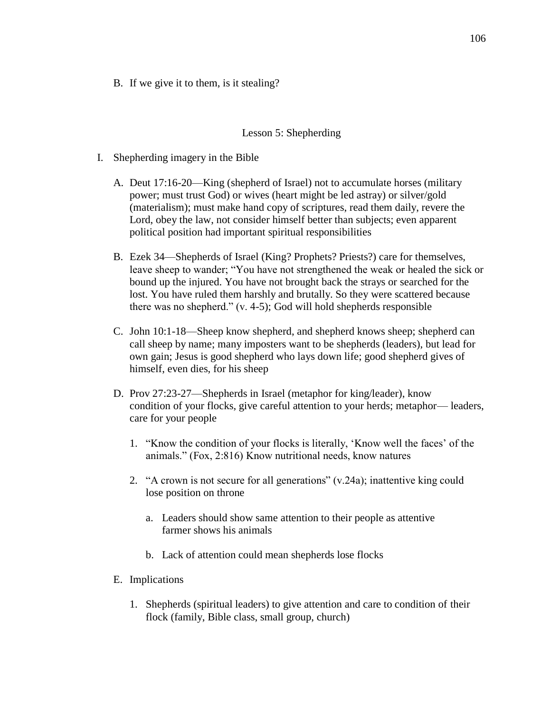B. If we give it to them, is it stealing?

### Lesson 5: Shepherding

- I. Shepherding imagery in the Bible
	- A. Deut 17:16-20—King (shepherd of Israel) not to accumulate horses (military power; must trust God) or wives (heart might be led astray) or silver/gold (materialism); must make hand copy of scriptures, read them daily, revere the Lord, obey the law, not consider himself better than subjects; even apparent political position had important spiritual responsibilities
	- B. Ezek 34—Shepherds of Israel (King? Prophets? Priests?) care for themselves, leave sheep to wander; "You have not strengthened the weak or healed the sick or bound up the injured. You have not brought back the strays or searched for the lost. You have ruled them harshly and brutally. So they were scattered because there was no shepherd." (v. 4-5); God will hold shepherds responsible
	- C. John 10:1-18—Sheep know shepherd, and shepherd knows sheep; shepherd can call sheep by name; many imposters want to be shepherds (leaders), but lead for own gain; Jesus is good shepherd who lays down life; good shepherd gives of himself, even dies, for his sheep
	- D. Prov 27:23-27—Shepherds in Israel (metaphor for king/leader), know condition of your flocks, give careful attention to your herds; metaphor— leaders, care for your people
		- 1. "Know the condition of your flocks is literally, 'Know well the faces' of the animals." (Fox, 2:816) Know nutritional needs, know natures
		- 2. "A crown is not secure for all generations" (v.24a); inattentive king could lose position on throne
			- a. Leaders should show same attention to their people as attentive farmer shows his animals
			- b. Lack of attention could mean shepherds lose flocks
	- E. Implications
		- 1. Shepherds (spiritual leaders) to give attention and care to condition of their flock (family, Bible class, small group, church)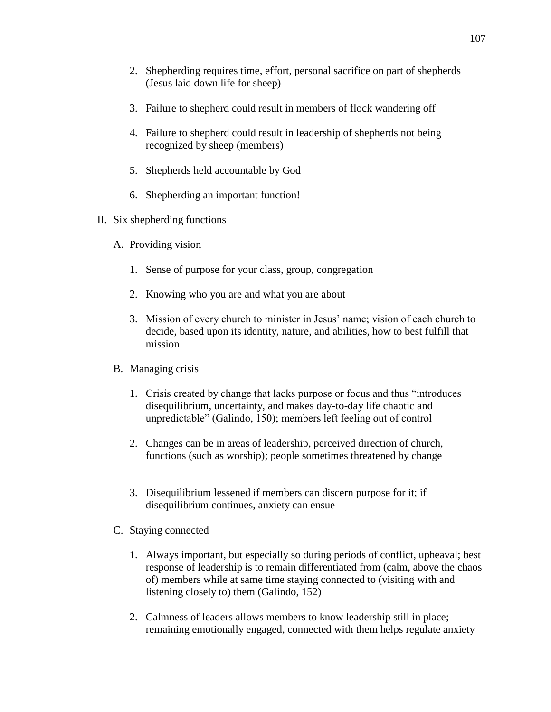- 2. Shepherding requires time, effort, personal sacrifice on part of shepherds (Jesus laid down life for sheep)
- 3. Failure to shepherd could result in members of flock wandering off
- 4. Failure to shepherd could result in leadership of shepherds not being recognized by sheep (members)
- 5. Shepherds held accountable by God
- 6. Shepherding an important function!
- II. Six shepherding functions
	- A. Providing vision
		- 1. Sense of purpose for your class, group, congregation
		- 2. Knowing who you are and what you are about
		- 3. Mission of every church to minister in Jesus' name; vision of each church to decide, based upon its identity, nature, and abilities, how to best fulfill that mission
	- B. Managing crisis
		- 1. Crisis created by change that lacks purpose or focus and thus "introduces disequilibrium, uncertainty, and makes day-to-day life chaotic and unpredictable" (Galindo, 150); members left feeling out of control
		- 2. Changes can be in areas of leadership, perceived direction of church, functions (such as worship); people sometimes threatened by change
		- 3. Disequilibrium lessened if members can discern purpose for it; if disequilibrium continues, anxiety can ensue
	- C. Staying connected
		- 1. Always important, but especially so during periods of conflict, upheaval; best response of leadership is to remain differentiated from (calm, above the chaos of) members while at same time staying connected to (visiting with and listening closely to) them (Galindo, 152)
		- 2. Calmness of leaders allows members to know leadership still in place; remaining emotionally engaged, connected with them helps regulate anxiety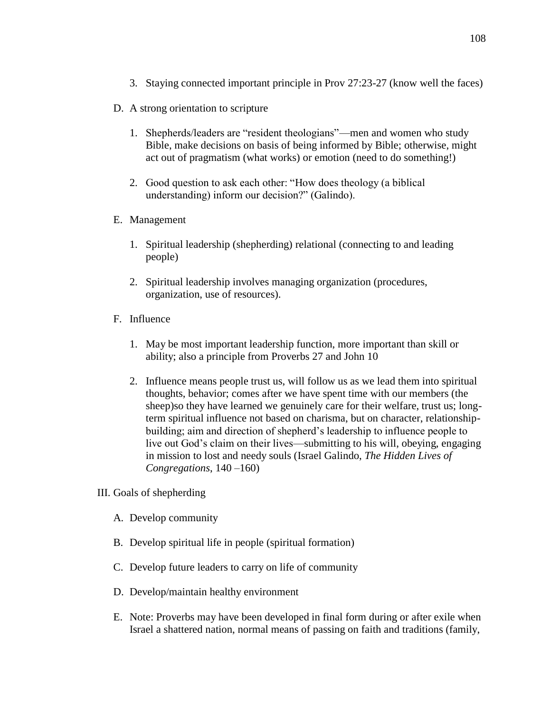- 3. Staying connected important principle in Prov 27:23-27 (know well the faces)
- D. A strong orientation to scripture
	- 1. Shepherds/leaders are "resident theologians"—men and women who study Bible, make decisions on basis of being informed by Bible; otherwise, might act out of pragmatism (what works) or emotion (need to do something!)
	- 2. Good question to ask each other: "How does theology (a biblical understanding) inform our decision?" (Galindo).
- E. Management
	- 1. Spiritual leadership (shepherding) relational (connecting to and leading people)
	- 2. Spiritual leadership involves managing organization (procedures, organization, use of resources).
- F. Influence
	- 1. May be most important leadership function, more important than skill or ability; also a principle from Proverbs 27 and John 10
	- 2. Influence means people trust us, will follow us as we lead them into spiritual thoughts, behavior; comes after we have spent time with our members (the sheep)so they have learned we genuinely care for their welfare, trust us; longterm spiritual influence not based on charisma, but on character, relationshipbuilding; aim and direction of shepherd's leadership to influence people to live out God's claim on their lives—submitting to his will, obeying, engaging in mission to lost and needy souls (Israel Galindo, *The Hidden Lives of Congregations*, 140 –160)
- III. Goals of shepherding
	- A. Develop community
	- B. Develop spiritual life in people (spiritual formation)
	- C. Develop future leaders to carry on life of community
	- D. Develop/maintain healthy environment
	- E. Note: Proverbs may have been developed in final form during or after exile when Israel a shattered nation, normal means of passing on faith and traditions (family,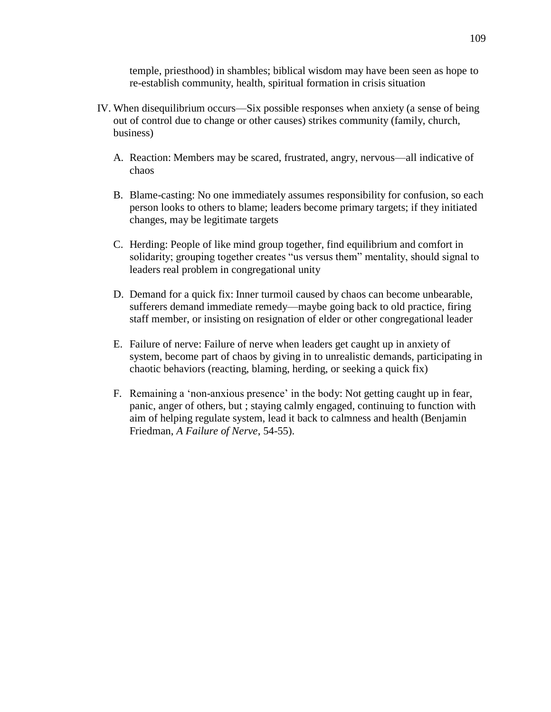temple, priesthood) in shambles; biblical wisdom may have been seen as hope to re-establish community, health, spiritual formation in crisis situation

- IV. When disequilibrium occurs—Six possible responses when anxiety (a sense of being out of control due to change or other causes) strikes community (family, church, business)
	- A. Reaction: Members may be scared, frustrated, angry, nervous—all indicative of chaos
	- B. Blame-casting: No one immediately assumes responsibility for confusion, so each person looks to others to blame; leaders become primary targets; if they initiated changes, may be legitimate targets
	- C. Herding: People of like mind group together, find equilibrium and comfort in solidarity; grouping together creates "us versus them" mentality, should signal to leaders real problem in congregational unity
	- D. Demand for a quick fix: Inner turmoil caused by chaos can become unbearable, sufferers demand immediate remedy—maybe going back to old practice, firing staff member, or insisting on resignation of elder or other congregational leader
	- E. Failure of nerve: Failure of nerve when leaders get caught up in anxiety of system, become part of chaos by giving in to unrealistic demands, participating in chaotic behaviors (reacting, blaming, herding, or seeking a quick fix)
	- F. Remaining a 'non-anxious presence' in the body: Not getting caught up in fear, panic, anger of others, but ; staying calmly engaged, continuing to function with aim of helping regulate system, lead it back to calmness and health (Benjamin Friedman, *A Failure of Nerve*, 54-55).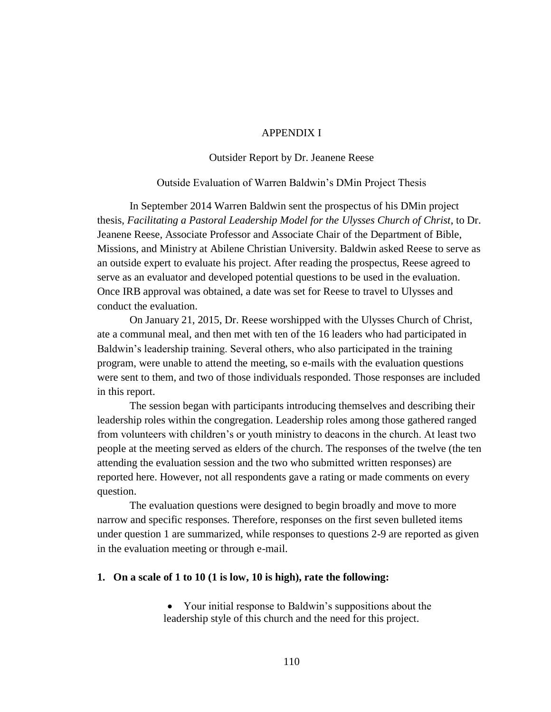### APPENDIX I

### Outsider Report by Dr. Jeanene Reese

#### Outside Evaluation of Warren Baldwin's DMin Project Thesis

In September 2014 Warren Baldwin sent the prospectus of his DMin project thesis, *Facilitating a Pastoral Leadership Model for the Ulysses Church of Christ*, to Dr. Jeanene Reese, Associate Professor and Associate Chair of the Department of Bible, Missions, and Ministry at Abilene Christian University. Baldwin asked Reese to serve as an outside expert to evaluate his project. After reading the prospectus, Reese agreed to serve as an evaluator and developed potential questions to be used in the evaluation. Once IRB approval was obtained, a date was set for Reese to travel to Ulysses and conduct the evaluation.

On January 21, 2015, Dr. Reese worshipped with the Ulysses Church of Christ, ate a communal meal, and then met with ten of the 16 leaders who had participated in Baldwin's leadership training. Several others, who also participated in the training program, were unable to attend the meeting, so e-mails with the evaluation questions were sent to them, and two of those individuals responded. Those responses are included in this report.

The session began with participants introducing themselves and describing their leadership roles within the congregation. Leadership roles among those gathered ranged from volunteers with children's or youth ministry to deacons in the church. At least two people at the meeting served as elders of the church. The responses of the twelve (the ten attending the evaluation session and the two who submitted written responses) are reported here. However, not all respondents gave a rating or made comments on every question.

The evaluation questions were designed to begin broadly and move to more narrow and specific responses. Therefore, responses on the first seven bulleted items under question 1 are summarized, while responses to questions 2-9 are reported as given in the evaluation meeting or through e-mail.

#### **1. On a scale of 1 to 10 (1 is low, 10 is high), rate the following:**

 Your initial response to Baldwin's suppositions about the leadership style of this church and the need for this project.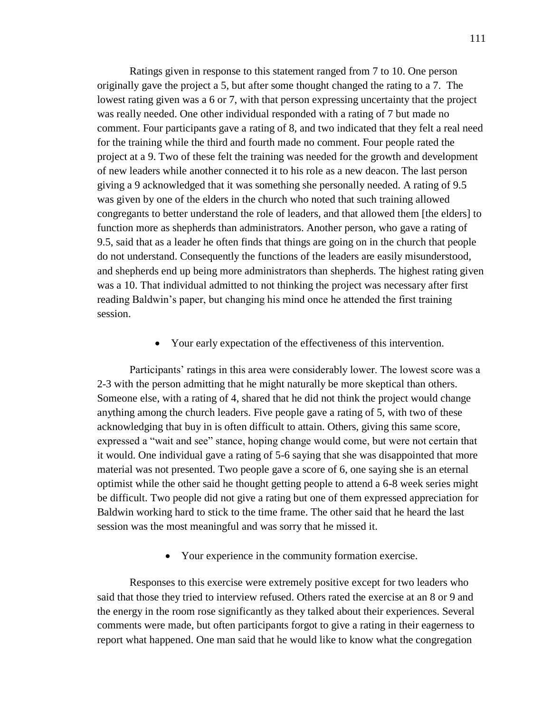Ratings given in response to this statement ranged from 7 to 10. One person originally gave the project a 5, but after some thought changed the rating to a 7. The lowest rating given was a 6 or 7, with that person expressing uncertainty that the project was really needed. One other individual responded with a rating of 7 but made no comment. Four participants gave a rating of 8, and two indicated that they felt a real need for the training while the third and fourth made no comment. Four people rated the project at a 9. Two of these felt the training was needed for the growth and development of new leaders while another connected it to his role as a new deacon. The last person giving a 9 acknowledged that it was something she personally needed. A rating of 9.5 was given by one of the elders in the church who noted that such training allowed congregants to better understand the role of leaders, and that allowed them [the elders] to function more as shepherds than administrators. Another person, who gave a rating of 9.5, said that as a leader he often finds that things are going on in the church that people do not understand. Consequently the functions of the leaders are easily misunderstood, and shepherds end up being more administrators than shepherds. The highest rating given was a 10. That individual admitted to not thinking the project was necessary after first reading Baldwin's paper, but changing his mind once he attended the first training session.

Your early expectation of the effectiveness of this intervention.

Participants' ratings in this area were considerably lower. The lowest score was a 2-3 with the person admitting that he might naturally be more skeptical than others. Someone else, with a rating of 4, shared that he did not think the project would change anything among the church leaders. Five people gave a rating of 5, with two of these acknowledging that buy in is often difficult to attain. Others, giving this same score, expressed a "wait and see" stance, hoping change would come, but were not certain that it would. One individual gave a rating of 5-6 saying that she was disappointed that more material was not presented. Two people gave a score of 6, one saying she is an eternal optimist while the other said he thought getting people to attend a 6-8 week series might be difficult. Two people did not give a rating but one of them expressed appreciation for Baldwin working hard to stick to the time frame. The other said that he heard the last session was the most meaningful and was sorry that he missed it.

Your experience in the community formation exercise.

Responses to this exercise were extremely positive except for two leaders who said that those they tried to interview refused. Others rated the exercise at an 8 or 9 and the energy in the room rose significantly as they talked about their experiences. Several comments were made, but often participants forgot to give a rating in their eagerness to report what happened. One man said that he would like to know what the congregation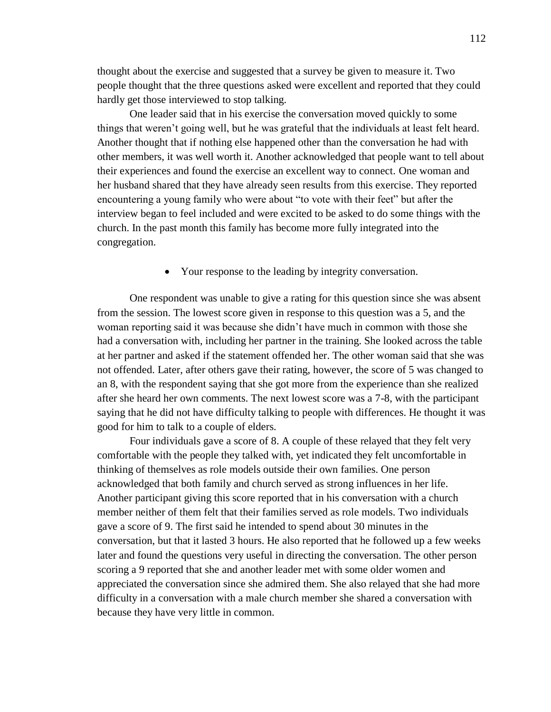thought about the exercise and suggested that a survey be given to measure it. Two people thought that the three questions asked were excellent and reported that they could hardly get those interviewed to stop talking.

One leader said that in his exercise the conversation moved quickly to some things that weren't going well, but he was grateful that the individuals at least felt heard. Another thought that if nothing else happened other than the conversation he had with other members, it was well worth it. Another acknowledged that people want to tell about their experiences and found the exercise an excellent way to connect. One woman and her husband shared that they have already seen results from this exercise. They reported encountering a young family who were about "to vote with their feet" but after the interview began to feel included and were excited to be asked to do some things with the church. In the past month this family has become more fully integrated into the congregation.

Your response to the leading by integrity conversation.

One respondent was unable to give a rating for this question since she was absent from the session. The lowest score given in response to this question was a 5, and the woman reporting said it was because she didn't have much in common with those she had a conversation with, including her partner in the training. She looked across the table at her partner and asked if the statement offended her. The other woman said that she was not offended. Later, after others gave their rating, however, the score of 5 was changed to an 8, with the respondent saying that she got more from the experience than she realized after she heard her own comments. The next lowest score was a 7-8, with the participant saying that he did not have difficulty talking to people with differences. He thought it was good for him to talk to a couple of elders.

Four individuals gave a score of 8. A couple of these relayed that they felt very comfortable with the people they talked with, yet indicated they felt uncomfortable in thinking of themselves as role models outside their own families. One person acknowledged that both family and church served as strong influences in her life. Another participant giving this score reported that in his conversation with a church member neither of them felt that their families served as role models. Two individuals gave a score of 9. The first said he intended to spend about 30 minutes in the conversation, but that it lasted 3 hours. He also reported that he followed up a few weeks later and found the questions very useful in directing the conversation. The other person scoring a 9 reported that she and another leader met with some older women and appreciated the conversation since she admired them. She also relayed that she had more difficulty in a conversation with a male church member she shared a conversation with because they have very little in common.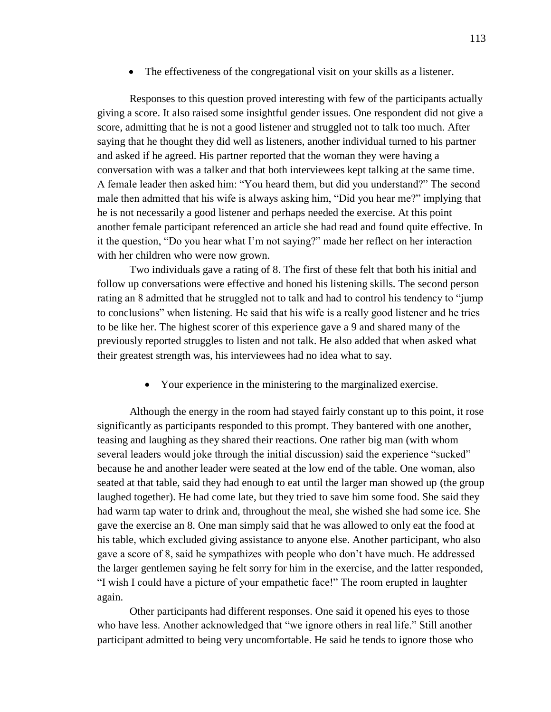• The effectiveness of the congregational visit on your skills as a listener.

Responses to this question proved interesting with few of the participants actually giving a score. It also raised some insightful gender issues. One respondent did not give a score, admitting that he is not a good listener and struggled not to talk too much. After saying that he thought they did well as listeners, another individual turned to his partner and asked if he agreed. His partner reported that the woman they were having a conversation with was a talker and that both interviewees kept talking at the same time. A female leader then asked him: "You heard them, but did you understand?" The second male then admitted that his wife is always asking him, "Did you hear me?" implying that he is not necessarily a good listener and perhaps needed the exercise. At this point another female participant referenced an article she had read and found quite effective. In it the question, "Do you hear what I'm not saying?" made her reflect on her interaction with her children who were now grown.

Two individuals gave a rating of 8. The first of these felt that both his initial and follow up conversations were effective and honed his listening skills. The second person rating an 8 admitted that he struggled not to talk and had to control his tendency to "jump to conclusions" when listening. He said that his wife is a really good listener and he tries to be like her. The highest scorer of this experience gave a 9 and shared many of the previously reported struggles to listen and not talk. He also added that when asked what their greatest strength was, his interviewees had no idea what to say.

Your experience in the ministering to the marginalized exercise.

Although the energy in the room had stayed fairly constant up to this point, it rose significantly as participants responded to this prompt. They bantered with one another, teasing and laughing as they shared their reactions. One rather big man (with whom several leaders would joke through the initial discussion) said the experience "sucked" because he and another leader were seated at the low end of the table. One woman, also seated at that table, said they had enough to eat until the larger man showed up (the group laughed together). He had come late, but they tried to save him some food. She said they had warm tap water to drink and, throughout the meal, she wished she had some ice. She gave the exercise an 8. One man simply said that he was allowed to only eat the food at his table, which excluded giving assistance to anyone else. Another participant, who also gave a score of 8, said he sympathizes with people who don't have much. He addressed the larger gentlemen saying he felt sorry for him in the exercise, and the latter responded, "I wish I could have a picture of your empathetic face!" The room erupted in laughter again.

Other participants had different responses. One said it opened his eyes to those who have less. Another acknowledged that "we ignore others in real life." Still another participant admitted to being very uncomfortable. He said he tends to ignore those who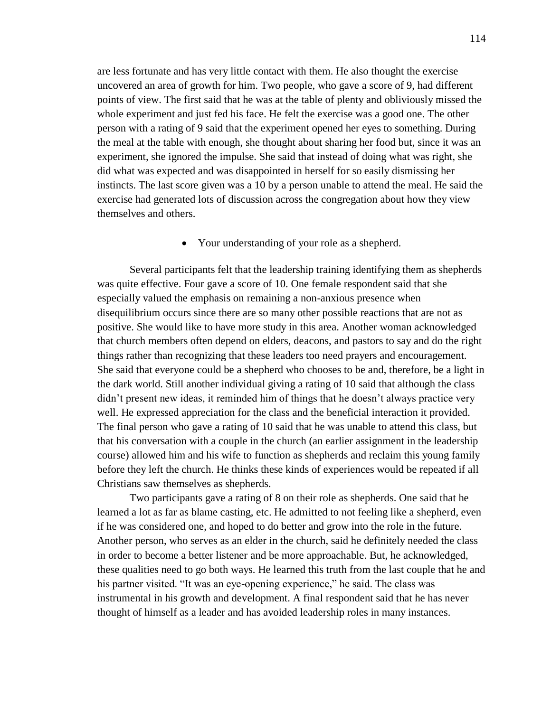are less fortunate and has very little contact with them. He also thought the exercise uncovered an area of growth for him. Two people, who gave a score of 9, had different points of view. The first said that he was at the table of plenty and obliviously missed the whole experiment and just fed his face. He felt the exercise was a good one. The other person with a rating of 9 said that the experiment opened her eyes to something. During the meal at the table with enough, she thought about sharing her food but, since it was an experiment, she ignored the impulse. She said that instead of doing what was right, she did what was expected and was disappointed in herself for so easily dismissing her instincts. The last score given was a 10 by a person unable to attend the meal. He said the exercise had generated lots of discussion across the congregation about how they view themselves and others.

Your understanding of your role as a shepherd.

Several participants felt that the leadership training identifying them as shepherds was quite effective. Four gave a score of 10. One female respondent said that she especially valued the emphasis on remaining a non-anxious presence when disequilibrium occurs since there are so many other possible reactions that are not as positive. She would like to have more study in this area. Another woman acknowledged that church members often depend on elders, deacons, and pastors to say and do the right things rather than recognizing that these leaders too need prayers and encouragement. She said that everyone could be a shepherd who chooses to be and, therefore, be a light in the dark world. Still another individual giving a rating of 10 said that although the class didn't present new ideas, it reminded him of things that he doesn't always practice very well. He expressed appreciation for the class and the beneficial interaction it provided. The final person who gave a rating of 10 said that he was unable to attend this class, but that his conversation with a couple in the church (an earlier assignment in the leadership course) allowed him and his wife to function as shepherds and reclaim this young family before they left the church. He thinks these kinds of experiences would be repeated if all Christians saw themselves as shepherds.

Two participants gave a rating of 8 on their role as shepherds. One said that he learned a lot as far as blame casting, etc. He admitted to not feeling like a shepherd, even if he was considered one, and hoped to do better and grow into the role in the future. Another person, who serves as an elder in the church, said he definitely needed the class in order to become a better listener and be more approachable. But, he acknowledged, these qualities need to go both ways. He learned this truth from the last couple that he and his partner visited. "It was an eye-opening experience," he said. The class was instrumental in his growth and development. A final respondent said that he has never thought of himself as a leader and has avoided leadership roles in many instances.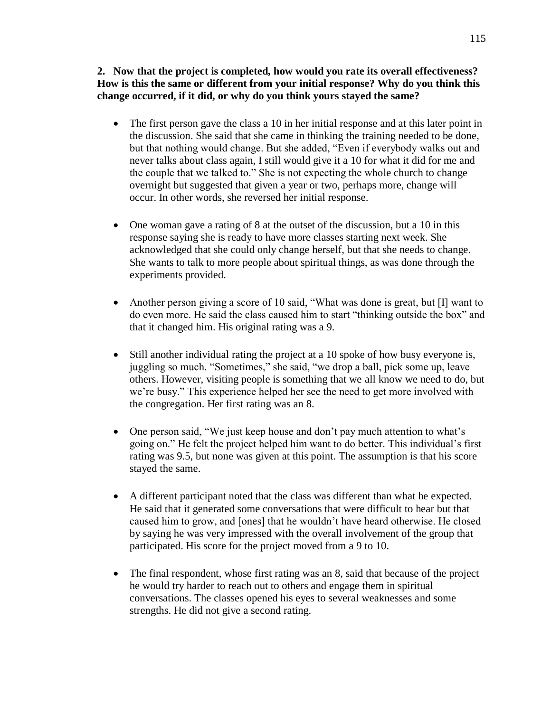**2. Now that the project is completed, how would you rate its overall effectiveness? How is this the same or different from your initial response? Why do you think this change occurred, if it did, or why do you think yours stayed the same?** 

- The first person gave the class a 10 in her initial response and at this later point in the discussion. She said that she came in thinking the training needed to be done, but that nothing would change. But she added, "Even if everybody walks out and never talks about class again, I still would give it a 10 for what it did for me and the couple that we talked to." She is not expecting the whole church to change overnight but suggested that given a year or two, perhaps more, change will occur. In other words, she reversed her initial response.
- One woman gave a rating of 8 at the outset of the discussion, but a 10 in this response saying she is ready to have more classes starting next week. She acknowledged that she could only change herself, but that she needs to change. She wants to talk to more people about spiritual things, as was done through the experiments provided.
- Another person giving a score of 10 said, "What was done is great, but [I] want to do even more. He said the class caused him to start "thinking outside the box" and that it changed him. His original rating was a 9.
- Still another individual rating the project at a 10 spoke of how busy everyone is, juggling so much. "Sometimes," she said, "we drop a ball, pick some up, leave others. However, visiting people is something that we all know we need to do, but we're busy." This experience helped her see the need to get more involved with the congregation. Her first rating was an 8.
- One person said, "We just keep house and don't pay much attention to what's going on." He felt the project helped him want to do better. This individual's first rating was 9.5, but none was given at this point. The assumption is that his score stayed the same.
- A different participant noted that the class was different than what he expected. He said that it generated some conversations that were difficult to hear but that caused him to grow, and [ones] that he wouldn't have heard otherwise. He closed by saying he was very impressed with the overall involvement of the group that participated. His score for the project moved from a 9 to 10.
- The final respondent, whose first rating was an 8, said that because of the project he would try harder to reach out to others and engage them in spiritual conversations. The classes opened his eyes to several weaknesses and some strengths. He did not give a second rating.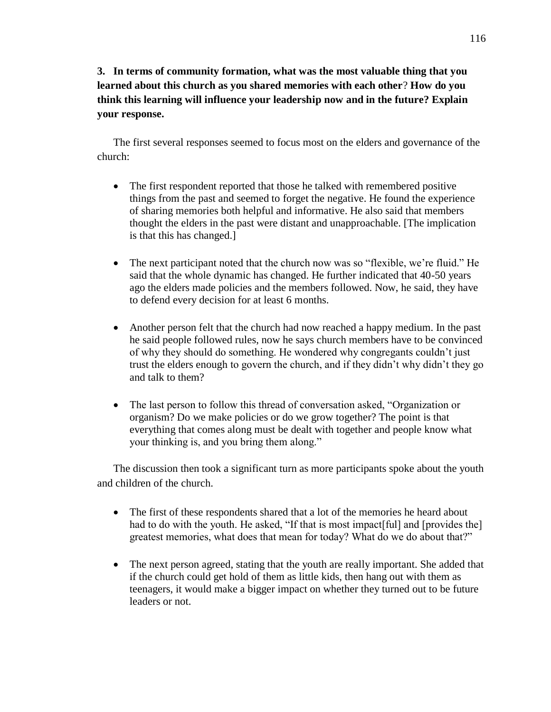# **3. In terms of community formation, what was the most valuable thing that you learned about this church as you shared memories with each other**? **How do you think this learning will influence your leadership now and in the future? Explain your response.**

The first several responses seemed to focus most on the elders and governance of the church:

- The first respondent reported that those he talked with remembered positive things from the past and seemed to forget the negative. He found the experience of sharing memories both helpful and informative. He also said that members thought the elders in the past were distant and unapproachable. [The implication is that this has changed.]
- The next participant noted that the church now was so "flexible, we're fluid." He said that the whole dynamic has changed. He further indicated that 40-50 years ago the elders made policies and the members followed. Now, he said, they have to defend every decision for at least 6 months.
- Another person felt that the church had now reached a happy medium. In the past he said people followed rules, now he says church members have to be convinced of why they should do something. He wondered why congregants couldn't just trust the elders enough to govern the church, and if they didn't why didn't they go and talk to them?
- The last person to follow this thread of conversation asked, "Organization or organism? Do we make policies or do we grow together? The point is that everything that comes along must be dealt with together and people know what your thinking is, and you bring them along."

The discussion then took a significant turn as more participants spoke about the youth and children of the church.

- The first of these respondents shared that a lot of the memories he heard about had to do with the youth. He asked, "If that is most impact [ful] and [provides the] greatest memories, what does that mean for today? What do we do about that?"
- The next person agreed, stating that the youth are really important. She added that if the church could get hold of them as little kids, then hang out with them as teenagers, it would make a bigger impact on whether they turned out to be future leaders or not.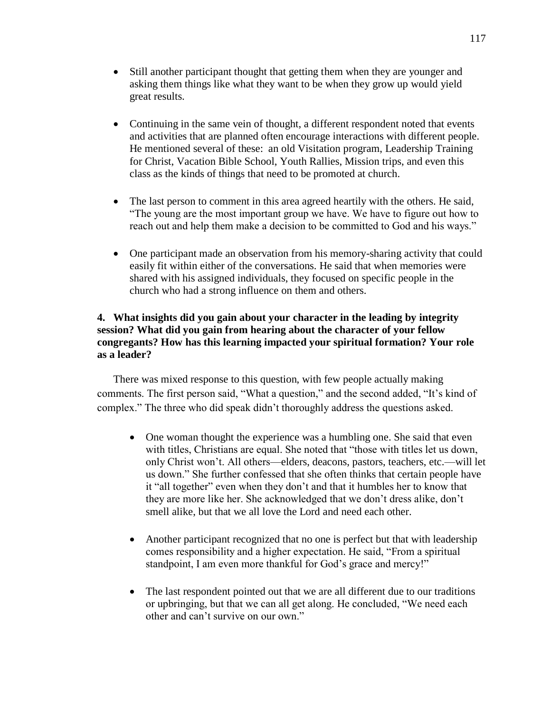- Still another participant thought that getting them when they are younger and asking them things like what they want to be when they grow up would yield great results.
- Continuing in the same vein of thought, a different respondent noted that events and activities that are planned often encourage interactions with different people. He mentioned several of these: an old Visitation program, Leadership Training for Christ, Vacation Bible School, Youth Rallies, Mission trips, and even this class as the kinds of things that need to be promoted at church.
- The last person to comment in this area agreed heartily with the others. He said, "The young are the most important group we have. We have to figure out how to reach out and help them make a decision to be committed to God and his ways."
- One participant made an observation from his memory-sharing activity that could easily fit within either of the conversations. He said that when memories were shared with his assigned individuals, they focused on specific people in the church who had a strong influence on them and others.

## **4. What insights did you gain about your character in the leading by integrity session? What did you gain from hearing about the character of your fellow congregants? How has this learning impacted your spiritual formation? Your role as a leader?**

There was mixed response to this question, with few people actually making comments. The first person said, "What a question," and the second added, "It's kind of complex." The three who did speak didn't thoroughly address the questions asked.

- One woman thought the experience was a humbling one. She said that even with titles, Christians are equal. She noted that "those with titles let us down, only Christ won't. All others—elders, deacons, pastors, teachers, etc.—will let us down." She further confessed that she often thinks that certain people have it "all together" even when they don't and that it humbles her to know that they are more like her. She acknowledged that we don't dress alike, don't smell alike, but that we all love the Lord and need each other.
- Another participant recognized that no one is perfect but that with leadership comes responsibility and a higher expectation. He said, "From a spiritual standpoint, I am even more thankful for God's grace and mercy!"
- The last respondent pointed out that we are all different due to our traditions or upbringing, but that we can all get along. He concluded, "We need each other and can't survive on our own."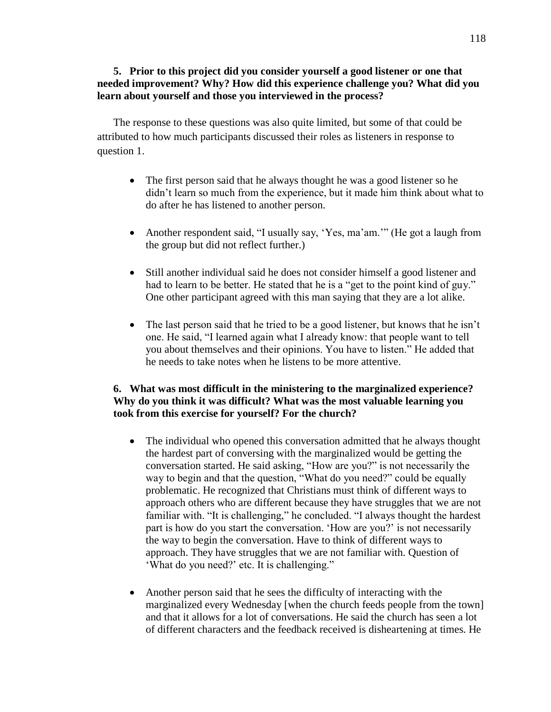## **5. Prior to this project did you consider yourself a good listener or one that needed improvement? Why? How did this experience challenge you? What did you learn about yourself and those you interviewed in the process?**

The response to these questions was also quite limited, but some of that could be attributed to how much participants discussed their roles as listeners in response to question 1.

- The first person said that he always thought he was a good listener so he didn't learn so much from the experience, but it made him think about what to do after he has listened to another person.
- Another respondent said, "I usually say, 'Yes, ma'am.'" (He got a laugh from the group but did not reflect further.)
- Still another individual said he does not consider himself a good listener and had to learn to be better. He stated that he is a "get to the point kind of guy." One other participant agreed with this man saying that they are a lot alike.
- The last person said that he tried to be a good listener, but knows that he isn't one. He said, "I learned again what I already know: that people want to tell you about themselves and their opinions. You have to listen." He added that he needs to take notes when he listens to be more attentive.

## **6. What was most difficult in the ministering to the marginalized experience? Why do you think it was difficult? What was the most valuable learning you took from this exercise for yourself? For the church?**

- The individual who opened this conversation admitted that he always thought the hardest part of conversing with the marginalized would be getting the conversation started. He said asking, "How are you?" is not necessarily the way to begin and that the question, "What do you need?" could be equally problematic. He recognized that Christians must think of different ways to approach others who are different because they have struggles that we are not familiar with. "It is challenging," he concluded. "I always thought the hardest part is how do you start the conversation. 'How are you?' is not necessarily the way to begin the conversation. Have to think of different ways to approach. They have struggles that we are not familiar with. Question of 'What do you need?' etc. It is challenging."
- Another person said that he sees the difficulty of interacting with the marginalized every Wednesday [when the church feeds people from the town] and that it allows for a lot of conversations. He said the church has seen a lot of different characters and the feedback received is disheartening at times. He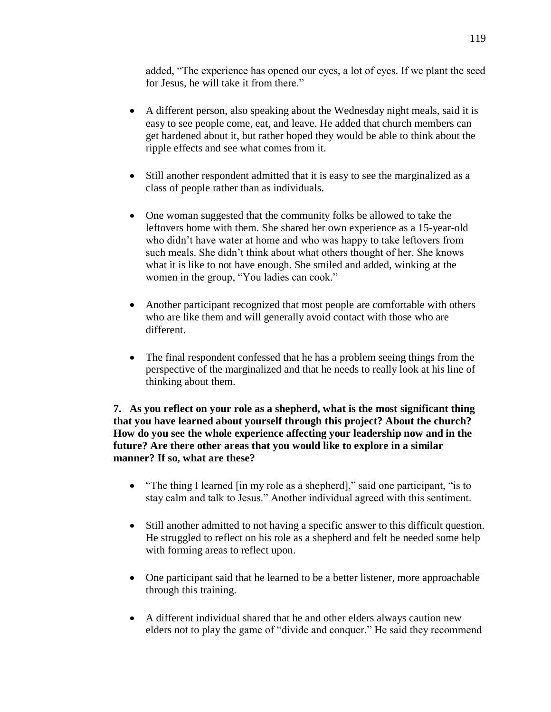added, "The experience has opened our eyes, a lot of eyes. If we plant the seed for Jesus, he will take it from there."

- A different person, also speaking about the Wednesday night meals, said it is easy to see people come, eat, and leave. He added that church members can get hardened about it, but rather hoped they would be able to think about the ripple effects and see what comes from it.
- Still another respondent admitted that it is easy to see the marginalized as a class of people rather than as individuals.
- One woman suggested that the community folks be allowed to take the leftovers home with them. She shared her own experience as a 15-year-old who didn't have water at home and who was happy to take leftovers from such meals. She didn't think about what others thought of her. She knows what it is like to not have enough. She smiled and added, winking at the women in the group, "You ladies can cook."
- Another participant recognized that most people are comfortable with others who are like them and will generally avoid contact with those who are different.
- The final respondent confessed that he has a problem seeing things from the perspective of the marginalized and that he needs to really look at his line of thinking about them.

**7. As you reflect on your role as a shepherd, what is the most significant thing that you have learned about yourself through this project? About the church? How do you see the whole experience affecting your leadership now and in the future? Are there other areas that you would like to explore in a similar manner? If so, what are these?**

- "The thing I learned [in my role as a shepherd]," said one participant, "is to stay calm and talk to Jesus." Another individual agreed with this sentiment.
- Still another admitted to not having a specific answer to this difficult question. He struggled to reflect on his role as a shepherd and felt he needed some help with forming areas to reflect upon.
- One participant said that he learned to be a better listener, more approachable through this training.
- A different individual shared that he and other elders always caution new elders not to play the game of "divide and conquer." He said they recommend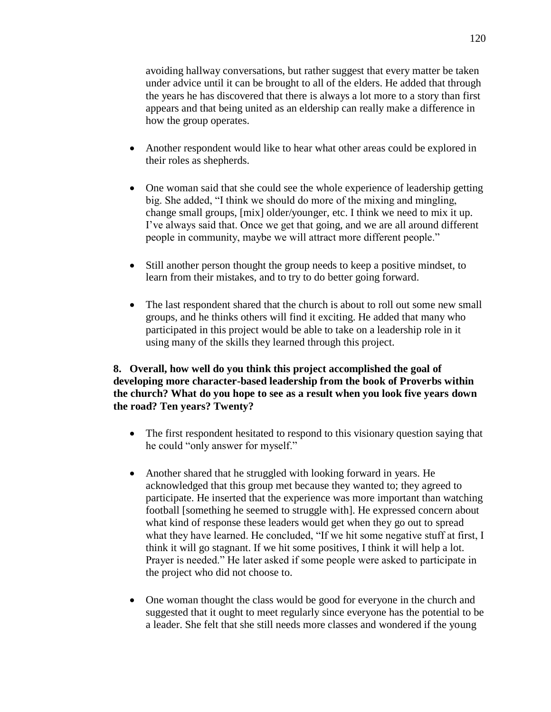avoiding hallway conversations, but rather suggest that every matter be taken under advice until it can be brought to all of the elders. He added that through the years he has discovered that there is always a lot more to a story than first appears and that being united as an eldership can really make a difference in how the group operates.

- Another respondent would like to hear what other areas could be explored in their roles as shepherds.
- One woman said that she could see the whole experience of leadership getting big. She added, "I think we should do more of the mixing and mingling, change small groups, [mix] older/younger, etc. I think we need to mix it up. I've always said that. Once we get that going, and we are all around different people in community, maybe we will attract more different people."
- Still another person thought the group needs to keep a positive mindset, to learn from their mistakes, and to try to do better going forward.
- The last respondent shared that the church is about to roll out some new small groups, and he thinks others will find it exciting. He added that many who participated in this project would be able to take on a leadership role in it using many of the skills they learned through this project.

## **8. Overall, how well do you think this project accomplished the goal of developing more character-based leadership from the book of Proverbs within the church? What do you hope to see as a result when you look five years down the road? Ten years? Twenty?**

- The first respondent hesitated to respond to this visionary question saying that he could "only answer for myself."
- Another shared that he struggled with looking forward in years. He acknowledged that this group met because they wanted to; they agreed to participate. He inserted that the experience was more important than watching football [something he seemed to struggle with]. He expressed concern about what kind of response these leaders would get when they go out to spread what they have learned. He concluded, "If we hit some negative stuff at first, I think it will go stagnant. If we hit some positives, I think it will help a lot. Prayer is needed." He later asked if some people were asked to participate in the project who did not choose to.
- One woman thought the class would be good for everyone in the church and suggested that it ought to meet regularly since everyone has the potential to be a leader. She felt that she still needs more classes and wondered if the young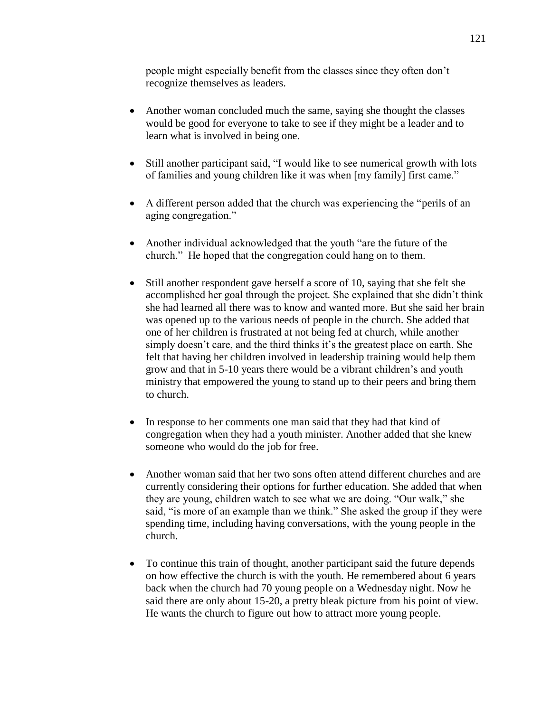people might especially benefit from the classes since they often don't recognize themselves as leaders.

- Another woman concluded much the same, saying she thought the classes would be good for everyone to take to see if they might be a leader and to learn what is involved in being one.
- Still another participant said, "I would like to see numerical growth with lots of families and young children like it was when [my family] first came."
- A different person added that the church was experiencing the "perils of an aging congregation."
- Another individual acknowledged that the youth "are the future of the church." He hoped that the congregation could hang on to them.
- Still another respondent gave herself a score of 10, saying that she felt she accomplished her goal through the project. She explained that she didn't think she had learned all there was to know and wanted more. But she said her brain was opened up to the various needs of people in the church. She added that one of her children is frustrated at not being fed at church, while another simply doesn't care, and the third thinks it's the greatest place on earth. She felt that having her children involved in leadership training would help them grow and that in 5-10 years there would be a vibrant children's and youth ministry that empowered the young to stand up to their peers and bring them to church.
- In response to her comments one man said that they had that kind of congregation when they had a youth minister. Another added that she knew someone who would do the job for free.
- Another woman said that her two sons often attend different churches and are currently considering their options for further education. She added that when they are young, children watch to see what we are doing. "Our walk," she said, "is more of an example than we think." She asked the group if they were spending time, including having conversations, with the young people in the church.
- To continue this train of thought, another participant said the future depends on how effective the church is with the youth. He remembered about 6 years back when the church had 70 young people on a Wednesday night. Now he said there are only about 15-20, a pretty bleak picture from his point of view. He wants the church to figure out how to attract more young people.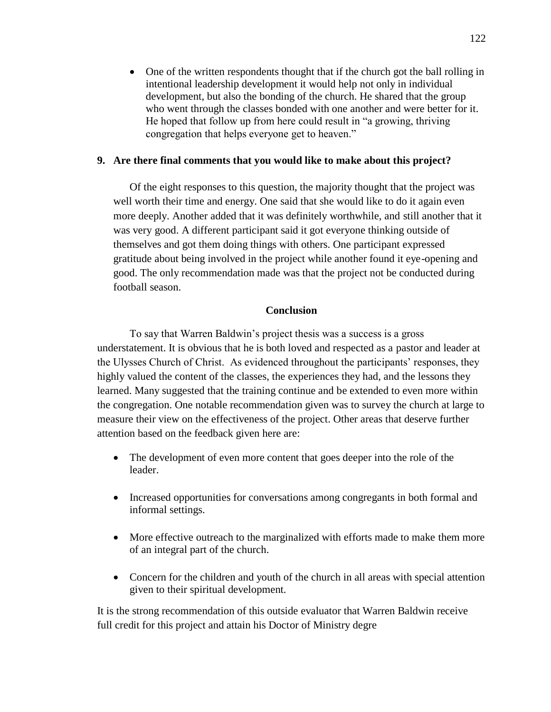One of the written respondents thought that if the church got the ball rolling in intentional leadership development it would help not only in individual development, but also the bonding of the church. He shared that the group who went through the classes bonded with one another and were better for it. He hoped that follow up from here could result in "a growing, thriving congregation that helps everyone get to heaven."

## **9. Are there final comments that you would like to make about this project?**

Of the eight responses to this question, the majority thought that the project was well worth their time and energy. One said that she would like to do it again even more deeply. Another added that it was definitely worthwhile, and still another that it was very good. A different participant said it got everyone thinking outside of themselves and got them doing things with others. One participant expressed gratitude about being involved in the project while another found it eye-opening and good. The only recommendation made was that the project not be conducted during football season.

# **Conclusion**

To say that Warren Baldwin's project thesis was a success is a gross understatement. It is obvious that he is both loved and respected as a pastor and leader at the Ulysses Church of Christ. As evidenced throughout the participants' responses, they highly valued the content of the classes, the experiences they had, and the lessons they learned. Many suggested that the training continue and be extended to even more within the congregation. One notable recommendation given was to survey the church at large to measure their view on the effectiveness of the project. Other areas that deserve further attention based on the feedback given here are:

- The development of even more content that goes deeper into the role of the leader.
- Increased opportunities for conversations among congregants in both formal and informal settings.
- More effective outreach to the marginalized with efforts made to make them more of an integral part of the church.
- Concern for the children and youth of the church in all areas with special attention given to their spiritual development.

It is the strong recommendation of this outside evaluator that Warren Baldwin receive full credit for this project and attain his Doctor of Ministry degre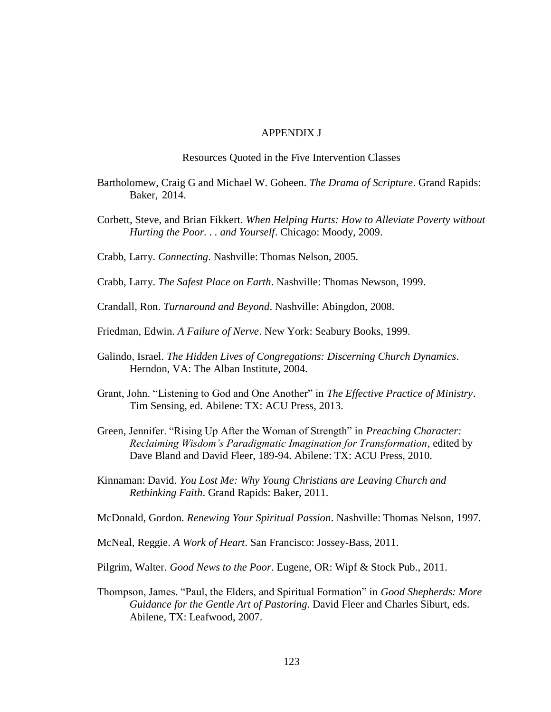#### APPENDIX J

Resources Quoted in the Five Intervention Classes

- Bartholomew, Craig G and Michael W. Goheen. *The Drama of Scripture*. Grand Rapids: Baker, 2014.
- Corbett, Steve, and Brian Fikkert. *When Helping Hurts: How to Alleviate Poverty without Hurting the Poor. . . and Yourself*. Chicago: Moody, 2009.

Crabb, Larry. *Connecting*. Nashville: Thomas Nelson, 2005.

Crabb, Larry. *The Safest Place on Earth*. Nashville: Thomas Newson, 1999.

Crandall, Ron. *Turnaround and Beyond*. Nashville: Abingdon, 2008.

Friedman, Edwin. *A Failure of Nerve*. New York: Seabury Books, 1999.

- Galindo, Israel. *The Hidden Lives of Congregations: Discerning Church Dynamics*. Herndon, VA: The Alban Institute, 2004.
- Grant, John. "Listening to God and One Another" in *The Effective Practice of Ministry*. Tim Sensing, ed. Abilene: TX: ACU Press, 2013.
- Green, Jennifer. "Rising Up After the Woman of Strength" in *Preaching Character: Reclaiming Wisdom's Paradigmatic Imagination for Transformation*, edited by Dave Bland and David Fleer, 189-94. Abilene: TX: ACU Press, 2010.
- Kinnaman: David. *You Lost Me: Why Young Christians are Leaving Church and Rethinking Faith*. Grand Rapids: Baker, 2011.

McDonald, Gordon. *Renewing Your Spiritual Passion*. Nashville: Thomas Nelson, 1997.

- McNeal, Reggie. *A Work of Heart*. San Francisco: Jossey-Bass, 2011.
- Pilgrim, Walter. *Good News to the Poor*. Eugene, OR: Wipf & Stock Pub., 2011.
- Thompson, James. "Paul, the Elders, and Spiritual Formation" in *Good Shepherds: More Guidance for the Gentle Art of Pastoring*. David Fleer and Charles Siburt, eds. Abilene, TX: Leafwood, 2007.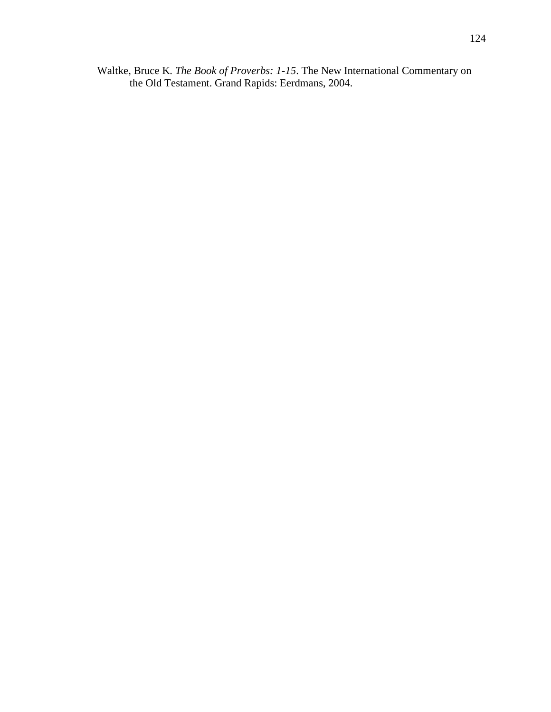Waltke, Bruce K. *The Book of Proverbs: 1-15*. The New International Commentary on the Old Testament. Grand Rapids: Eerdmans, 2004.